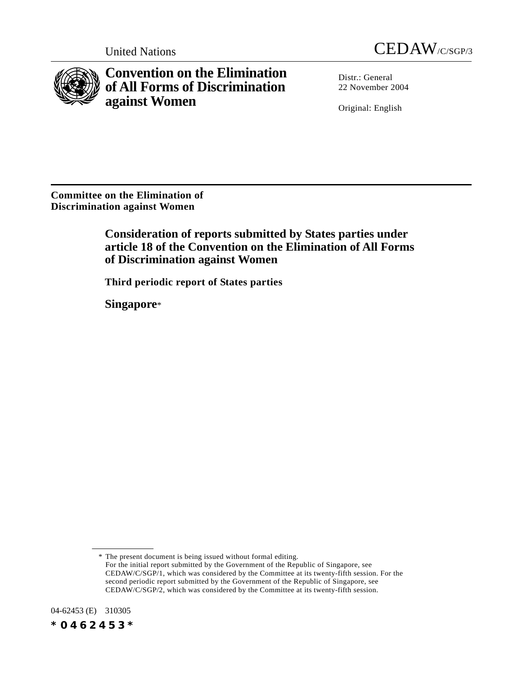



**Convention on the Elimination of All Forms of Discrimination against Women**

Distr.: General 22 November 2004

Original: English

**Committee on the Elimination of Discrimination against Women**

> **Consideration of reports submitted by States parties under article 18 of the Convention on the Elimination of All Forms of Discrimination against Women**

**Third periodic report of States parties**

**Singapore**\*

<sup>\*</sup> The present document is being issued without formal editing. For the initial report submitted by the Government of the Republic of Singapore, see CEDAW/C/SGP/1, which was considered by the Committee at its twenty-fifth session. For the second periodic report submitted by the Government of the Republic of Singapore, see CEDAW/C/SGP/2, which was considered by the Committee at its twenty-fifth session.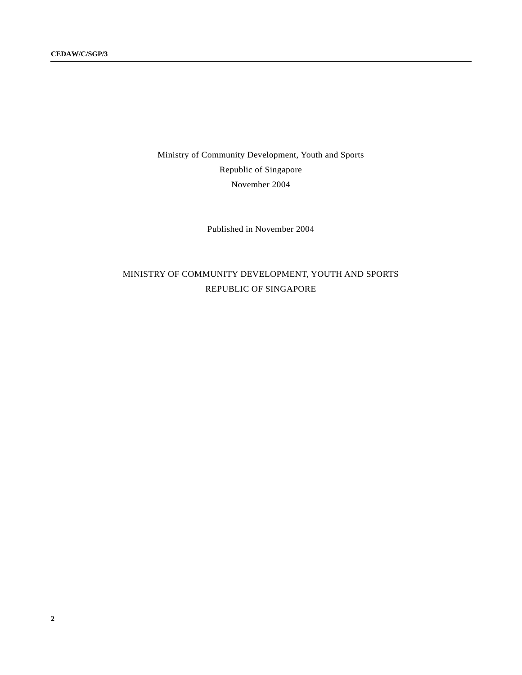Ministry of Community Development, Youth and Sports Republic of Singapore November 2004

Published in November 2004

# MINISTRY OF COMMUNITY DEVELOPMENT, YOUTH AND SPORTS REPUBLIC OF SINGAPORE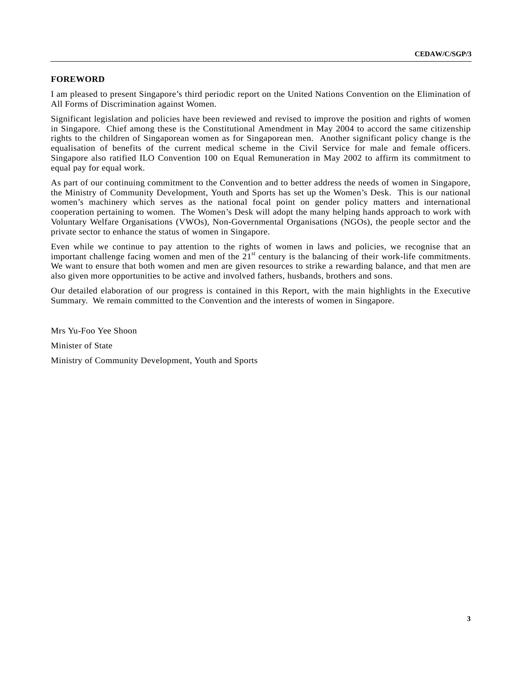#### **FOREWORD**

I am pleased to present Singapore's third periodic report on the United Nations Convention on the Elimination of All Forms of Discrimination against Women.

Significant legislation and policies have been reviewed and revised to improve the position and rights of women in Singapore. Chief among these is the Constitutional Amendment in May 2004 to accord the same citizenship rights to the children of Singaporean women as for Singaporean men. Another significant policy change is the equalisation of benefits of the current medical scheme in the Civil Service for male and female officers. Singapore also ratified ILO Convention 100 on Equal Remuneration in May 2002 to affirm its commitment to equal pay for equal work.

As part of our continuing commitment to the Convention and to better address the needs of women in Singapore, the Ministry of Community Development, Youth and Sports has set up the Women's Desk. This is our national women's machinery which serves as the national focal point on gender policy matters and international cooperation pertaining to women. The Women's Desk will adopt the many helping hands approach to work with Voluntary Welfare Organisations (VWOs), Non-Governmental Organisations (NGOs), the people sector and the private sector to enhance the status of women in Singapore.

Even while we continue to pay attention to the rights of women in laws and policies, we recognise that an important challenge facing women and men of the  $21<sup>st</sup>$  century is the balancing of their work-life commitments. We want to ensure that both women and men are given resources to strike a rewarding balance, and that men are also given more opportunities to be active and involved fathers, husbands, brothers and sons.

Our detailed elaboration of our progress is contained in this Report, with the main highlights in the Executive Summary. We remain committed to the Convention and the interests of women in Singapore.

Mrs Yu-Foo Yee Shoon Minister of State Ministry of Community Development, Youth and Sports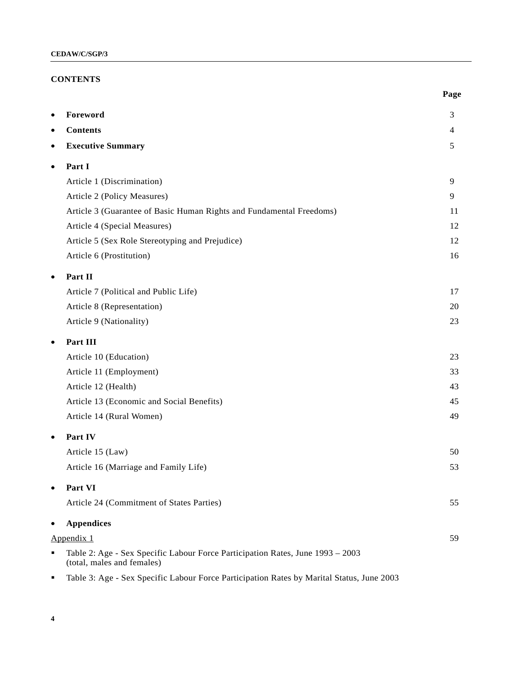# **CONTENTS**

|           |                                                                                                              | Page |
|-----------|--------------------------------------------------------------------------------------------------------------|------|
| ٠         | Foreword                                                                                                     | 3    |
| $\bullet$ | <b>Contents</b>                                                                                              | 4    |
| $\bullet$ | <b>Executive Summary</b>                                                                                     | 5    |
| $\bullet$ | Part I                                                                                                       |      |
|           | Article 1 (Discrimination)                                                                                   | 9    |
|           | Article 2 (Policy Measures)                                                                                  | 9    |
|           | Article 3 (Guarantee of Basic Human Rights and Fundamental Freedoms)                                         | 11   |
|           | Article 4 (Special Measures)                                                                                 | 12   |
|           | Article 5 (Sex Role Stereotyping and Prejudice)                                                              | 12   |
|           | Article 6 (Prostitution)                                                                                     | 16   |
| $\bullet$ | Part II                                                                                                      |      |
|           | Article 7 (Political and Public Life)                                                                        | 17   |
|           | Article 8 (Representation)                                                                                   | 20   |
|           | Article 9 (Nationality)                                                                                      | 23   |
| $\bullet$ | Part III                                                                                                     |      |
|           | Article 10 (Education)                                                                                       | 23   |
|           | Article 11 (Employment)                                                                                      | 33   |
|           | Article 12 (Health)                                                                                          | 43   |
|           | Article 13 (Economic and Social Benefits)                                                                    | 45   |
|           | Article 14 (Rural Women)                                                                                     | 49   |
| $\bullet$ | Part IV                                                                                                      |      |
|           | Article 15 (Law)                                                                                             | 50   |
|           | Article 16 (Marriage and Family Life)                                                                        | 53   |
| $\bullet$ | Part VI                                                                                                      |      |
|           | Article 24 (Commitment of States Parties)                                                                    | 55   |
| $\bullet$ | <b>Appendices</b>                                                                                            |      |
|           | Appendix 1                                                                                                   | 59   |
| ٠         | Table 2: Age - Sex Specific Labour Force Participation Rates, June 1993 – 2003<br>(total, males and females) |      |

! Table 3: Age - Sex Specific Labour Force Participation Rates by Marital Status, June 2003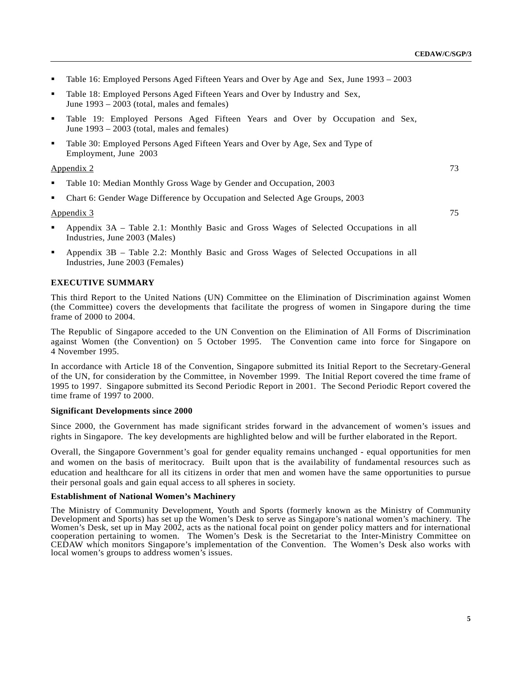- ! Table 16: Employed Persons Aged Fifteen Years and Over by Age and Sex, June 1993 2003
- ! Table 18: Employed Persons Aged Fifteen Years and Over by Industry and Sex, June 1993 – 2003 (total, males and females)
- ! Table 19: Employed Persons Aged Fifteen Years and Over by Occupation and Sex, June 1993 – 2003 (total, males and females)
- ! Table 30: Employed Persons Aged Fifteen Years and Over by Age, Sex and Type of Employment, June 2003

## $\Delta$ ppendix 2 73

- ! Table 10: Median Monthly Gross Wage by Gender and Occupation, 2003
- ! Chart 6: Gender Wage Difference by Occupation and Selected Age Groups, 2003

### $\Delta$ ppendix 3 75

- ! Appendix 3A Table 2.1: Monthly Basic and Gross Wages of Selected Occupations in all Industries, June 2003 (Males)
- ! Appendix 3B Table 2.2: Monthly Basic and Gross Wages of Selected Occupations in all Industries, June 2003 (Females)

### **EXECUTIVE SUMMARY**

This third Report to the United Nations (UN) Committee on the Elimination of Discrimination against Women (the Committee) covers the developments that facilitate the progress of women in Singapore during the time frame of 2000 to 2004.

The Republic of Singapore acceded to the UN Convention on the Elimination of All Forms of Discrimination against Women (the Convention) on 5 October 1995. The Convention came into force for Singapore on 4 November 1995.

In accordance with Article 18 of the Convention, Singapore submitted its Initial Report to the Secretary-General of the UN, for consideration by the Committee, in November 1999. The Initial Report covered the time frame of 1995 to 1997. Singapore submitted its Second Periodic Report in 2001. The Second Periodic Report covered the time frame of 1997 to 2000.

#### **Significant Developments since 2000**

Since 2000, the Government has made significant strides forward in the advancement of women's issues and rights in Singapore. The key developments are highlighted below and will be further elaborated in the Report.

Overall, the Singapore Government's goal for gender equality remains unchanged - equal opportunities for men and women on the basis of meritocracy. Built upon that is the availability of fundamental resources such as education and healthcare for all its citizens in order that men and women have the same opportunities to pursue their personal goals and gain equal access to all spheres in society.

#### **Establishment of National Women's Machinery**

The Ministry of Community Development, Youth and Sports (formerly known as the Ministry of Community Development and Sports) has set up the Women's Desk to serve as Singapore's national women's machinery. The Women's Desk, set up in May 2002, acts as the national focal point on gender policy matters and for international cooperation pertaining to women. The Women's Desk is the Secretariat to the Inter-Ministry Committee on CEDAW which monitors Singapore's implementation of the Convention. The Women's Desk also works with local women's groups to address women's issues.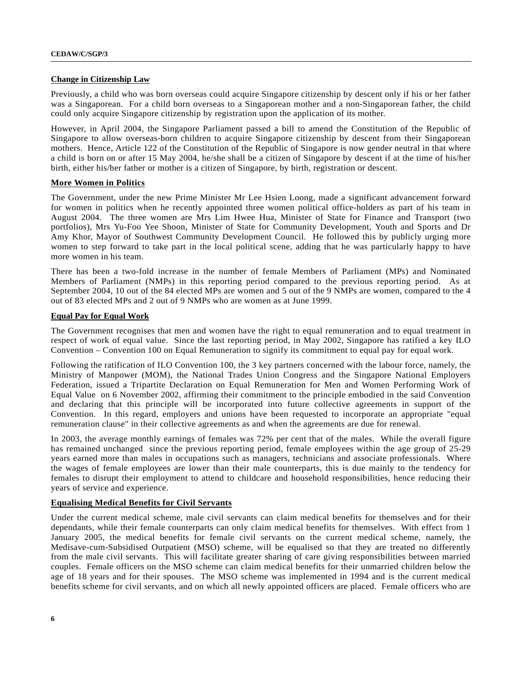#### **Change in Citizenship Law**

Previously, a child who was born overseas could acquire Singapore citizenship by descent only if his or her father was a Singaporean. For a child born overseas to a Singaporean mother and a non-Singaporean father, the child could only acquire Singapore citizenship by registration upon the application of its mother.

However, in April 2004, the Singapore Parliament passed a bill to amend the Constitution of the Republic of Singapore to allow overseas-born children to acquire Singapore citizenship by descent from their Singaporean mothers. Hence, Article 122 of the Constitution of the Republic of Singapore is now gender neutral in that where a child is born on or after 15 May 2004, he/she shall be a citizen of Singapore by descent if at the time of his/her birth, either his/her father or mother is a citizen of Singapore, by birth, registration or descent.

### **More Women in Politics**

The Government, under the new Prime Minister Mr Lee Hsien Loong, made a significant advancement forward for women in politics when he recently appointed three women political office-holders as part of his team in August 2004. The three women are Mrs Lim Hwee Hua, Minister of State for Finance and Transport (two portfolios), Mrs Yu-Foo Yee Shoon, Minister of State for Community Development, Youth and Sports and Dr Amy Khor, Mayor of Southwest Community Development Council. He followed this by publicly urging more women to step forward to take part in the local political scene, adding that he was particularly happy to have more women in his team.

There has been a two-fold increase in the number of female Members of Parliament (MPs) and Nominated Members of Parliament (NMPs) in this reporting period compared to the previous reporting period. As at September 2004, 10 out of the 84 elected MPs are women and 5 out of the 9 NMPs are women, compared to the 4 out of 83 elected MPs and 2 out of 9 NMPs who are women as at June 1999.

#### **Equal Pay for Equal Work**

The Government recognises that men and women have the right to equal remuneration and to equal treatment in respect of work of equal value. Since the last reporting period, in May 2002, Singapore has ratified a key ILO Convention – Convention 100 on Equal Remuneration to signify its commitment to equal pay for equal work.

Following the ratification of ILO Convention 100, the 3 key partners concerned with the labour force, namely, the Ministry of Manpower (MOM), the National Trades Union Congress and the Singapore National Employers Federation, issued a Tripartite Declaration on Equal Remuneration for Men and Women Performing Work of Equal Value on 6 November 2002, affirming their commitment to the principle embodied in the said Convention and declaring that this principle will be incorporated into future collective agreements in support of the Convention. In this regard, employers and unions have been requested to incorporate an appropriate "equal remuneration clause" in their collective agreements as and when the agreements are due for renewal.

In 2003, the average monthly earnings of females was 72% per cent that of the males. While the overall figure has remained unchanged since the previous reporting period, female employees within the age group of 25-29 years earned more than males in occupations such as managers, technicians and associate professionals. Where the wages of female employees are lower than their male counterparts, this is due mainly to the tendency for females to disrupt their employment to attend to childcare and household responsibilities, hence reducing their years of service and experience.

#### **Equalising Medical Benefits for Civil Servants**

Under the current medical scheme, male civil servants can claim medical benefits for themselves and for their dependants, while their female counterparts can only claim medical benefits for themselves. With effect from 1 January 2005, the medical benefits for female civil servants on the current medical scheme, namely, the Medisave-cum-Subsidised Outpatient (MSO) scheme, will be equalised so that they are treated no differently from the male civil servants. This will facilitate greater sharing of care giving responsibilities between married couples. Female officers on the MSO scheme can claim medical benefits for their unmarried children below the age of 18 years and for their spouses. The MSO scheme was implemented in 1994 and is the current medical benefits scheme for civil servants, and on which all newly appointed officers are placed. Female officers who are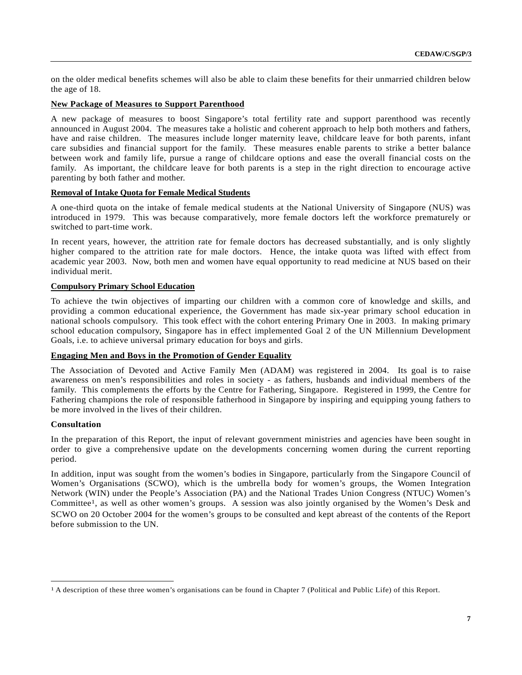on the older medical benefits schemes will also be able to claim these benefits for their unmarried children below the age of 18.

### **New Package of Measures to Support Parenthood**

A new package of measures to boost Singapore's total fertility rate and support parenthood was recently announced in August 2004. The measures take a holistic and coherent approach to help both mothers and fathers, have and raise children. The measures include longer maternity leave, childcare leave for both parents, infant care subsidies and financial support for the family. These measures enable parents to strike a better balance between work and family life, pursue a range of childcare options and ease the overall financial costs on the family. As important, the childcare leave for both parents is a step in the right direction to encourage active parenting by both father and mother.

## **Removal of Intake Quota for Female Medical Students**

A one-third quota on the intake of female medical students at the National University of Singapore (NUS) was introduced in 1979. This was because comparatively, more female doctors left the workforce prematurely or switched to part-time work.

In recent years, however, the attrition rate for female doctors has decreased substantially, and is only slightly higher compared to the attrition rate for male doctors. Hence, the intake quota was lifted with effect from academic year 2003. Now, both men and women have equal opportunity to read medicine at NUS based on their individual merit.

### **Compulsory Primary School Education**

To achieve the twin objectives of imparting our children with a common core of knowledge and skills, and providing a common educational experience, the Government has made six-year primary school education in national schools compulsory. This took effect with the cohort entering Primary One in 2003. In making primary school education compulsory, Singapore has in effect implemented Goal 2 of the UN Millennium Development Goals, i.e. to achieve universal primary education for boys and girls.

## **Engaging Men and Boys in the Promotion of Gender Equality**

The Association of Devoted and Active Family Men (ADAM) was registered in 2004. Its goal is to raise awareness on men's responsibilities and roles in society - as fathers, husbands and individual members of the family. This complements the efforts by the Centre for Fathering, Singapore. Registered in 1999, the Centre for Fathering champions the role of responsible fatherhood in Singapore by inspiring and equipping young fathers to be more involved in the lives of their children.

#### **Consultation**

l

In the preparation of this Report, the input of relevant government ministries and agencies have been sought in order to give a comprehensive update on the developments concerning women during the current reporting period.

In addition, input was sought from the women's bodies in Singapore, particularly from the Singapore Council of Women's Organisations (SCWO), which is the umbrella body for women's groups, the Women Integration Network (WIN) under the People's Association (PA) and the National Trades Union Congress (NTUC) Women's Committee1, as well as other women's groups. A session was also jointly organised by the Women's Desk and SCWO on 20 October 2004 for the women's groups to be consulted and kept abreast of the contents of the Report before submission to the UN.

<sup>1</sup> A description of these three women's organisations can be found in Chapter 7 (Political and Public Life) of this Report.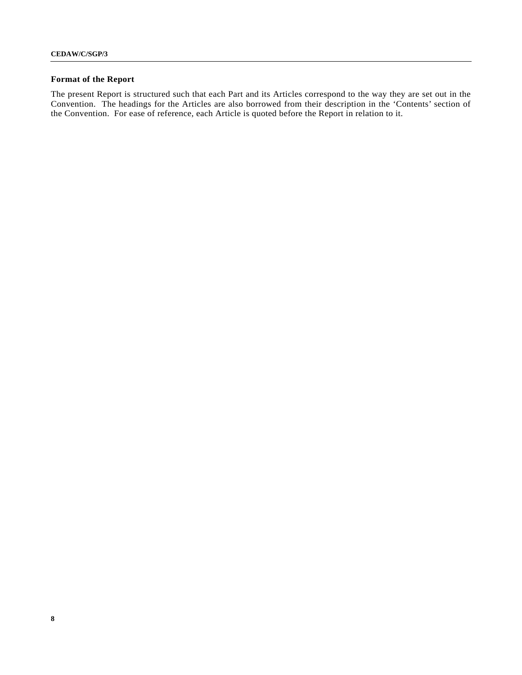## **Format of the Report**

The present Report is structured such that each Part and its Articles correspond to the way they are set out in the Convention. The headings for the Articles are also borrowed from their description in the 'Contents' section of the Convention. For ease of reference, each Article is quoted before the Report in relation to it.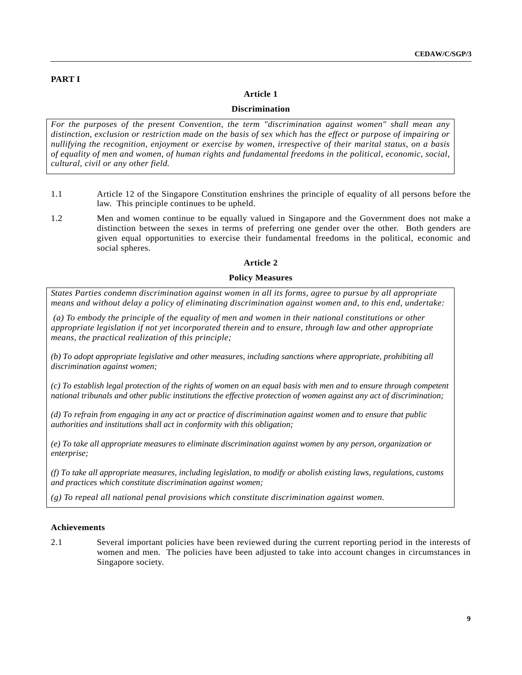## **PART I**

## **Article 1**

## **Discrimination**

*For the purposes of the present Convention, the term "discrimination against women" shall mean any distinction, exclusion or restriction made on the basis of sex which has the effect or purpose of impairing or nullifying the recognition, enjoyment or exercise by women, irrespective of their marital status, on a basis of equality of men and women, of human rights and fundamental freedoms in the political, economic, social, cultural, civil or any other field.*

- 1.1 Article 12 of the Singapore Constitution enshrines the principle of equality of all persons before the law. This principle continues to be upheld.
- 1.2 Men and women continue to be equally valued in Singapore and the Government does not make a distinction between the sexes in terms of preferring one gender over the other. Both genders are given equal opportunities to exercise their fundamental freedoms in the political, economic and social spheres.

#### **Article 2**

## **Policy Measures**

*States Parties condemn discrimination against women in all its forms, agree to pursue by all appropriate means and without delay a policy of eliminating discrimination against women and, to this end, undertake:*

 *(a) To embody the principle of the equality of men and women in their national constitutions or other appropriate legislation if not yet incorporated therein and to ensure, through law and other appropriate means, the practical realization of this principle;*

*(b) To adopt appropriate legislative and other measures, including sanctions where appropriate, prohibiting all discrimination against women;*

*(c) To establish legal protection of the rights of women on an equal basis with men and to ensure through competent national tribunals and other public institutions the effective protection of women against any act of discrimination;*

*(d) To refrain from engaging in any act or practice of discrimination against women and to ensure that public authorities and institutions shall act in conformity with this obligation;*

*(e) To take all appropriate measures to eliminate discrimination against women by any person, organization or enterprise;*

*(f) To take all appropriate measures, including legislation, to modify or abolish existing laws, regulations, customs and practices which constitute discrimination against women;*

*(g) To repeal all national penal provisions which constitute discrimination against women.*

### **Achievements**

2.1 Several important policies have been reviewed during the current reporting period in the interests of women and men. The policies have been adjusted to take into account changes in circumstances in Singapore society.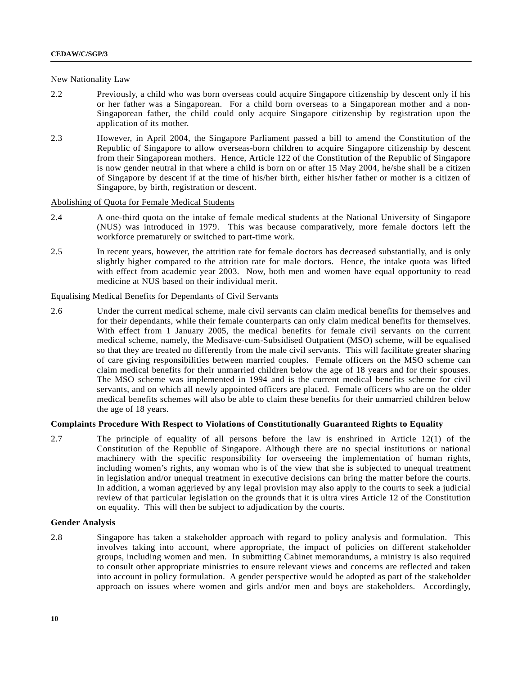## New Nationality Law

- 2.2 Previously, a child who was born overseas could acquire Singapore citizenship by descent only if his or her father was a Singaporean. For a child born overseas to a Singaporean mother and a non-Singaporean father, the child could only acquire Singapore citizenship by registration upon the application of its mother.
- 2.3 However, in April 2004, the Singapore Parliament passed a bill to amend the Constitution of the Republic of Singapore to allow overseas-born children to acquire Singapore citizenship by descent from their Singaporean mothers. Hence, Article 122 of the Constitution of the Republic of Singapore is now gender neutral in that where a child is born on or after 15 May 2004, he/she shall be a citizen of Singapore by descent if at the time of his/her birth, either his/her father or mother is a citizen of Singapore, by birth, registration or descent.

#### Abolishing of Quota for Female Medical Students

- 2.4 A one-third quota on the intake of female medical students at the National University of Singapore (NUS) was introduced in 1979. This was because comparatively, more female doctors left the workforce prematurely or switched to part-time work.
- 2.5 In recent years, however, the attrition rate for female doctors has decreased substantially, and is only slightly higher compared to the attrition rate for male doctors. Hence, the intake quota was lifted with effect from academic year 2003. Now, both men and women have equal opportunity to read medicine at NUS based on their individual merit.

## Equalising Medical Benefits for Dependants of Civil Servants

2.6 Under the current medical scheme, male civil servants can claim medical benefits for themselves and for their dependants, while their female counterparts can only claim medical benefits for themselves. With effect from 1 January 2005, the medical benefits for female civil servants on the current medical scheme, namely, the Medisave-cum-Subsidised Outpatient (MSO) scheme, will be equalised so that they are treated no differently from the male civil servants. This will facilitate greater sharing of care giving responsibilities between married couples. Female officers on the MSO scheme can claim medical benefits for their unmarried children below the age of 18 years and for their spouses. The MSO scheme was implemented in 1994 and is the current medical benefits scheme for civil servants, and on which all newly appointed officers are placed. Female officers who are on the older medical benefits schemes will also be able to claim these benefits for their unmarried children below the age of 18 years.

### **Complaints Procedure With Respect to Violations of Constitutionally Guaranteed Rights to Equality**

2.7 The principle of equality of all persons before the law is enshrined in Article 12(1) of the Constitution of the Republic of Singapore. Although there are no special institutions or national machinery with the specific responsibility for overseeing the implementation of human rights, including women's rights, any woman who is of the view that she is subjected to unequal treatment in legislation and/or unequal treatment in executive decisions can bring the matter before the courts. In addition, a woman aggrieved by any legal provision may also apply to the courts to seek a judicial review of that particular legislation on the grounds that it is ultra vires Article 12 of the Constitution on equality. This will then be subject to adjudication by the courts.

#### **Gender Analysis**

2.8 Singapore has taken a stakeholder approach with regard to policy analysis and formulation. This involves taking into account, where appropriate, the impact of policies on different stakeholder groups, including women and men. In submitting Cabinet memorandums, a ministry is also required to consult other appropriate ministries to ensure relevant views and concerns are reflected and taken into account in policy formulation. A gender perspective would be adopted as part of the stakeholder approach on issues where women and girls and/or men and boys are stakeholders. Accordingly,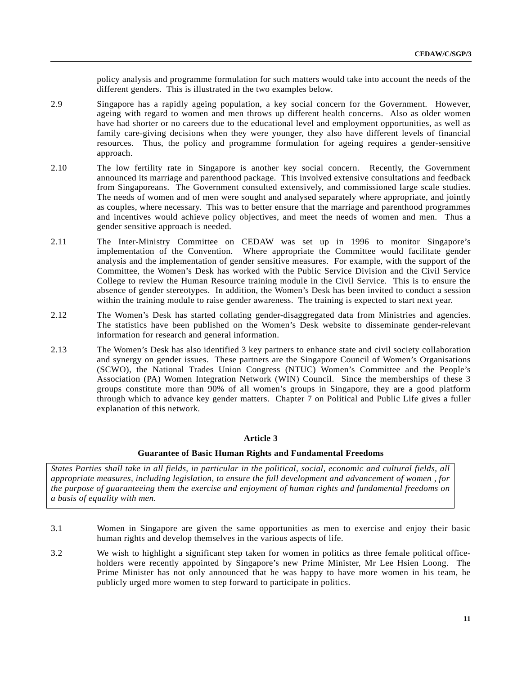policy analysis and programme formulation for such matters would take into account the needs of the different genders. This is illustrated in the two examples below.

- 2.9 Singapore has a rapidly ageing population, a key social concern for the Government. However, ageing with regard to women and men throws up different health concerns. Also as older women have had shorter or no careers due to the educational level and employment opportunities, as well as family care-giving decisions when they were younger, they also have different levels of financial resources. Thus, the policy and programme formulation for ageing requires a gender-sensitive approach.
- 2.10 The low fertility rate in Singapore is another key social concern. Recently, the Government announced its marriage and parenthood package. This involved extensive consultations and feedback from Singaporeans. The Government consulted extensively, and commissioned large scale studies. The needs of women and of men were sought and analysed separately where appropriate, and jointly as couples, where necessary. This was to better ensure that the marriage and parenthood programmes and incentives would achieve policy objectives, and meet the needs of women and men. Thus a gender sensitive approach is needed.
- 2.11 The Inter-Ministry Committee on CEDAW was set up in 1996 to monitor Singapore's implementation of the Convention. Where appropriate the Committee would facilitate gender analysis and the implementation of gender sensitive measures. For example, with the support of the Committee, the Women's Desk has worked with the Public Service Division and the Civil Service College to review the Human Resource training module in the Civil Service. This is to ensure the absence of gender stereotypes. In addition, the Women's Desk has been invited to conduct a session within the training module to raise gender awareness. The training is expected to start next year.
- 2.12 The Women's Desk has started collating gender-disaggregated data from Ministries and agencies. The statistics have been published on the Women's Desk website to disseminate gender-relevant information for research and general information.
- 2.13 The Women's Desk has also identified 3 key partners to enhance state and civil society collaboration and synergy on gender issues. These partners are the Singapore Council of Women's Organisations (SCWO), the National Trades Union Congress (NTUC) Women's Committee and the People's Association (PA) Women Integration Network (WIN) Council. Since the memberships of these 3 groups constitute more than 90% of all women's groups in Singapore, they are a good platform through which to advance key gender matters. Chapter 7 on Political and Public Life gives a fuller explanation of this network.

#### **Article 3**

## **Guarantee of Basic Human Rights and Fundamental Freedoms**

*States Parties shall take in all fields, in particular in the political, social, economic and cultural fields, all appropriate measures, including legislation, to ensure the full development and advancement of women , for the purpose of guaranteeing them the exercise and enjoyment of human rights and fundamental freedoms on a basis of equality with men.*

- 3.1 Women in Singapore are given the same opportunities as men to exercise and enjoy their basic human rights and develop themselves in the various aspects of life.
- 3.2 We wish to highlight a significant step taken for women in politics as three female political officeholders were recently appointed by Singapore's new Prime Minister, Mr Lee Hsien Loong. The Prime Minister has not only announced that he was happy to have more women in his team, he publicly urged more women to step forward to participate in politics.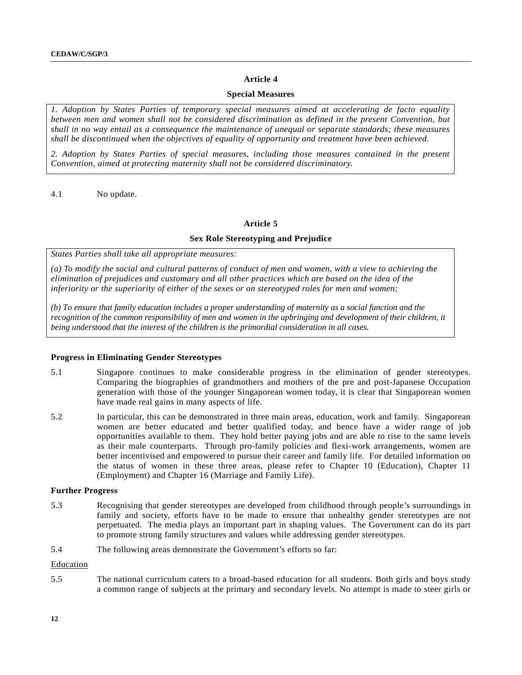### **Article 4**

#### **Special Measures**

*1. Adoption by States Parties of temporary special measures aimed at accelerating de facto equality between men and women shall not be considered discrimination as defined in the present Convention, but shall in no way entail as a consequence the maintenance of unequal or separate standards; these measures shall be discontinued when the objectives of equality of opportunity and treatment have been achieved.*

*2. Adoption by States Parties of special measures, including those measures contained in the present Convention, aimed at protecting maternity shall not be considered discriminatory.*

4.1 No update.

#### **Article 5**

## **Sex Role Stereotyping and Prejudice**

*States Parties shall take all appropriate measures:*

*(a) To modify the social and cultural patterns of conduct of men and women, with a view to achieving the elimination of prejudices and customary and all other practices which are based on the idea of the inferiority or the superiority of either of the sexes or on stereotyped roles for men and women;*

*(b) To ensure that family education includes a proper understanding of maternity as a social function and the recognition of the common responsibility of men and women in the upbringing and development of their children, it being understood that the interest of the children is the primordial consideration in all cases.*

#### **Progress in Eliminating Gender Stereotypes**

- 5.1 Singapore continues to make considerable progress in the elimination of gender stereotypes. Comparing the biographies of grandmothers and mothers of the pre and post-Japanese Occupation generation with those of the younger Singaporean women today, it is clear that Singaporean women have made real gains in many aspects of life.
- 5.2 In particular, this can be demonstrated in three main areas, education, work and family. Singaporean women are better educated and better qualified today, and hence have a wider range of job opportunities available to them. They hold better paying jobs and are able to rise to the same levels as their male counterparts. Through pro-family policies and flexi-work arrangements, women are better incentivised and empowered to pursue their career and family life. For detailed information on the status of women in these three areas, please refer to Chapter 10 (Education), Chapter 11 (Employment) and Chapter 16 (Marriage and Family Life).

#### **Further Progress**

- 5.3 Recognising that gender stereotypes are developed from childhood through people's surroundings in family and society, efforts have to be made to ensure that unhealthy gender stereotypes are not perpetuated. The media plays an important part in shaping values. The Government can do its part to promote strong family structures and values while addressing gender stereotypes.
- 5.4 The following areas demonstrate the Government's efforts so far:

Education

5.5 The national curriculum caters to a broad-based education for all students. Both girls and boys study a common range of subjects at the primary and secondary levels. No attempt is made to steer girls or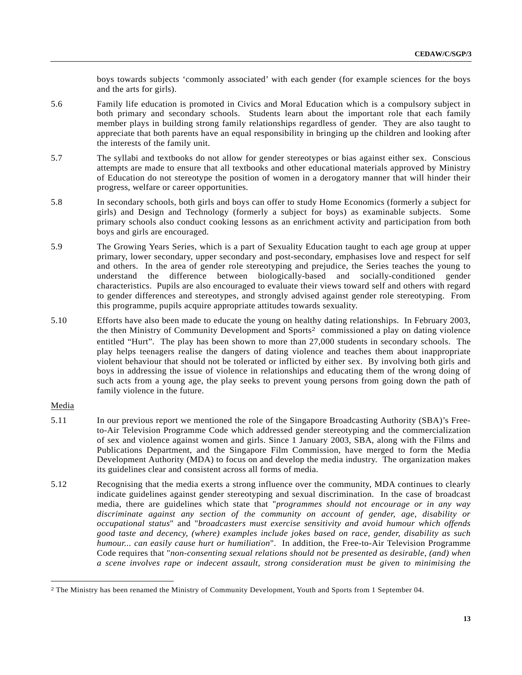boys towards subjects 'commonly associated' with each gender (for example sciences for the boys and the arts for girls).

- 5.6 Family life education is promoted in Civics and Moral Education which is a compulsory subject in both primary and secondary schools. Students learn about the important role that each family member plays in building strong family relationships regardless of gender. They are also taught to appreciate that both parents have an equal responsibility in bringing up the children and looking after the interests of the family unit.
- 5.7 The syllabi and textbooks do not allow for gender stereotypes or bias against either sex. Conscious attempts are made to ensure that all textbooks and other educational materials approved by Ministry of Education do not stereotype the position of women in a derogatory manner that will hinder their progress, welfare or career opportunities.
- 5.8 In secondary schools, both girls and boys can offer to study Home Economics (formerly a subject for girls) and Design and Technology (formerly a subject for boys) as examinable subjects. Some primary schools also conduct cooking lessons as an enrichment activity and participation from both boys and girls are encouraged.
- 5.9 The Growing Years Series, which is a part of Sexuality Education taught to each age group at upper primary, lower secondary, upper secondary and post-secondary, emphasises love and respect for self and others. In the area of gender role stereotyping and prejudice, the Series teaches the young to understand the difference between biologically-based and socially-conditioned gender characteristics. Pupils are also encouraged to evaluate their views toward self and others with regard to gender differences and stereotypes, and strongly advised against gender role stereotyping. From this programme, pupils acquire appropriate attitudes towards sexuality.
- 5.10 Efforts have also been made to educate the young on healthy dating relationships. In February 2003, the then Ministry of Community Development and Sports2 commissioned a play on dating violence entitled "Hurt". The play has been shown to more than 27,000 students in secondary schools. The play helps teenagers realise the dangers of dating violence and teaches them about inappropriate violent behaviour that should not be tolerated or inflicted by either sex. By involving both girls and boys in addressing the issue of violence in relationships and educating them of the wrong doing of such acts from a young age, the play seeks to prevent young persons from going down the path of family violence in the future.

## Media

l

- 5.11 In our previous report we mentioned the role of the Singapore Broadcasting Authority (SBA)'s Freeto-Air Television Programme Code which addressed gender stereotyping and the commercialization of sex and violence against women and girls. Since 1 January 2003, SBA, along with the Films and Publications Department, and the Singapore Film Commission, have merged to form the Media Development Authority (MDA) to focus on and develop the media industry. The organization makes its guidelines clear and consistent across all forms of media.
- 5.12 Recognising that the media exerts a strong influence over the community, MDA continues to clearly indicate guidelines against gender stereotyping and sexual discrimination. In the case of broadcast media, there are guidelines which state that "*programmes should not encourage or in any way discriminate against any section of the community on account of gender, age, disability or occupational status*" and "*broadcasters must exercise sensitivity and avoid humour which offends good taste and decency, (where) examples include jokes based on race, gender, disability as such humour... can easily cause hurt or humiliation*". In addition, the Free-to-Air Television Programme Code requires that "*non-consenting sexual relations should not be presented as desirable, (and) when a scene involves rape or indecent assault, strong consideration must be given to minimising the*

<sup>2</sup> The Ministry has been renamed the Ministry of Community Development, Youth and Sports from 1 September 04.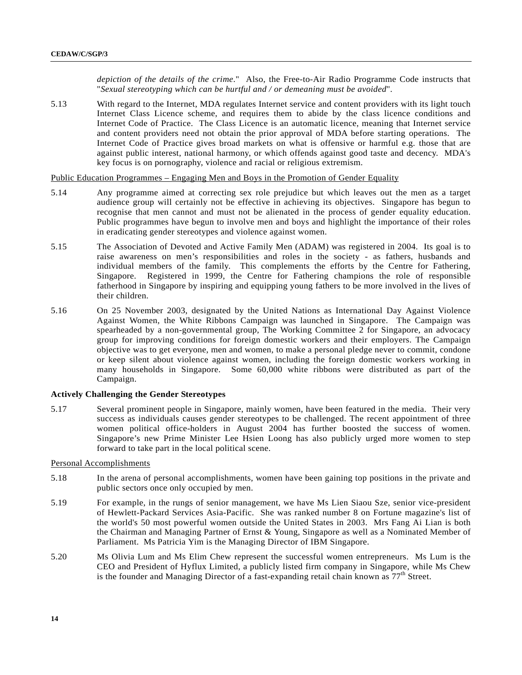*depiction of the details of the crime*." Also, the Free-to-Air Radio Programme Code instructs that "*Sexual stereotyping which can be hurtful and / or demeaning must be avoided*".

5.13 With regard to the Internet, MDA regulates Internet service and content providers with its light touch Internet Class Licence scheme, and requires them to abide by the class licence conditions and Internet Code of Practice. The Class Licence is an automatic licence, meaning that Internet service and content providers need not obtain the prior approval of MDA before starting operations. The Internet Code of Practice gives broad markets on what is offensive or harmful e.g. those that are against public interest, national harmony, or which offends against good taste and decency. MDA's key focus is on pornography, violence and racial or religious extremism.

Public Education Programmes – Engaging Men and Boys in the Promotion of Gender Equality

- 5.14 Any programme aimed at correcting sex role prejudice but which leaves out the men as a target audience group will certainly not be effective in achieving its objectives. Singapore has begun to recognise that men cannot and must not be alienated in the process of gender equality education. Public programmes have begun to involve men and boys and highlight the importance of their roles in eradicating gender stereotypes and violence against women.
- 5.15 The Association of Devoted and Active Family Men (ADAM) was registered in 2004. Its goal is to raise awareness on men's responsibilities and roles in the society - as fathers, husbands and individual members of the family. This complements the efforts by the Centre for Fathering, Singapore. Registered in 1999, the Centre for Fathering champions the role of responsible fatherhood in Singapore by inspiring and equipping young fathers to be more involved in the lives of their children.
- 5.16 On 25 November 2003, designated by the United Nations as International Day Against Violence Against Women, the White Ribbons Campaign was launched in Singapore. The Campaign was spearheaded by a non-governmental group, The Working Committee 2 for Singapore, an advocacy group for improving conditions for foreign domestic workers and their employers. The Campaign objective was to get everyone, men and women, to make a personal pledge never to commit, condone or keep silent about violence against women, including the foreign domestic workers working in many households in Singapore. Some 60,000 white ribbons were distributed as part of the Campaign.

#### **Actively Challenging the Gender Stereotypes**

5.17 Several prominent people in Singapore, mainly women, have been featured in the media. Their very success as individuals causes gender stereotypes to be challenged. The recent appointment of three women political office-holders in August 2004 has further boosted the success of women. Singapore's new Prime Minister Lee Hsien Loong has also publicly urged more women to step forward to take part in the local political scene.

#### Personal Accomplishments

- 5.18 In the arena of personal accomplishments, women have been gaining top positions in the private and public sectors once only occupied by men.
- 5.19 For example, in the rungs of senior management, we have Ms Lien Siaou Sze, senior vice-president of Hewlett-Packard Services Asia-Pacific. She was ranked number 8 on Fortune magazine's list of the world's 50 most powerful women outside the United States in 2003. Mrs Fang Ai Lian is both the Chairman and Managing Partner of Ernst & Young, Singapore as well as a Nominated Member of Parliament. Ms Patricia Yim is the Managing Director of IBM Singapore.
- 5.20 Ms Olivia Lum and Ms Elim Chew represent the successful women entrepreneurs. Ms Lum is the CEO and President of Hyflux Limited, a publicly listed firm company in Singapore, while Ms Chew is the founder and Managing Director of a fast-expanding retail chain known as  $77<sup>th</sup>$  Street.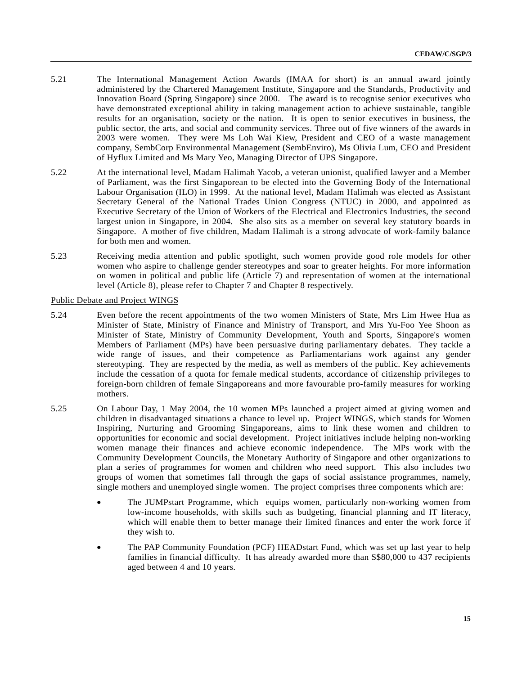- 5.21 The International Management Action Awards (IMAA for short) is an annual award jointly administered by the Chartered Management Institute, Singapore and the Standards, Productivity and Innovation Board (Spring Singapore) since 2000. The award is to recognise senior executives who have demonstrated exceptional ability in taking management action to achieve sustainable, tangible results for an organisation, society or the nation. It is open to senior executives in business, the public sector, the arts, and social and community services. Three out of five winners of the awards in 2003 were women. They were Ms Loh Wai Kiew, President and CEO of a waste management company, SembCorp Environmental Management (SembEnviro), Ms Olivia Lum, CEO and President of Hyflux Limited and Ms Mary Yeo, Managing Director of UPS Singapore.
- 5.22 At the international level, Madam Halimah Yacob, a veteran unionist, qualified lawyer and a Member of Parliament, was the first Singaporean to be elected into the Governing Body of the International Labour Organisation (ILO) in 1999. At the national level, Madam Halimah was elected as Assistant Secretary General of the National Trades Union Congress (NTUC) in 2000, and appointed as Executive Secretary of the Union of Workers of the Electrical and Electronics Industries, the second largest union in Singapore, in 2004. She also sits as a member on several key statutory boards in Singapore. A mother of five children, Madam Halimah is a strong advocate of work-family balance for both men and women.
- 5.23 Receiving media attention and public spotlight, such women provide good role models for other women who aspire to challenge gender stereotypes and soar to greater heights. For more information on women in political and public life (Article 7) and representation of women at the international level (Article 8), please refer to Chapter 7 and Chapter 8 respectively.

## Public Debate and Project WINGS

- 5.24 Even before the recent appointments of the two women Ministers of State, Mrs Lim Hwee Hua as Minister of State, Ministry of Finance and Ministry of Transport, and Mrs Yu-Foo Yee Shoon as Minister of State, Ministry of Community Development, Youth and Sports, Singapore's women Members of Parliament (MPs) have been persuasive during parliamentary debates. They tackle a wide range of issues, and their competence as Parliamentarians work against any gender stereotyping. They are respected by the media, as well as members of the public. Key achievements include the cessation of a quota for female medical students, accordance of citizenship privileges to foreign-born children of female Singaporeans and more favourable pro-family measures for working mothers.
- 5.25 On Labour Day, 1 May 2004, the 10 women MPs launched a project aimed at giving women and children in disadvantaged situations a chance to level up. Project WINGS, which stands for Women Inspiring, Nurturing and Grooming Singaporeans, aims to link these women and children to opportunities for economic and social development. Project initiatives include helping non-working women manage their finances and achieve economic independence. The MPs work with the Community Development Councils, the Monetary Authority of Singapore and other organizations to plan a series of programmes for women and children who need support. This also includes two groups of women that sometimes fall through the gaps of social assistance programmes, namely, single mothers and unemployed single women. The project comprises three components which are:
	- The JUMPstart Programme, which equips women, particularly non-working women from low-income households, with skills such as budgeting, financial planning and IT literacy, which will enable them to better manage their limited finances and enter the work force if they wish to.
	- The PAP Community Foundation (PCF) HEADstart Fund, which was set up last year to help families in financial difficulty. It has already awarded more than S\$80,000 to 437 recipients aged between 4 and 10 years.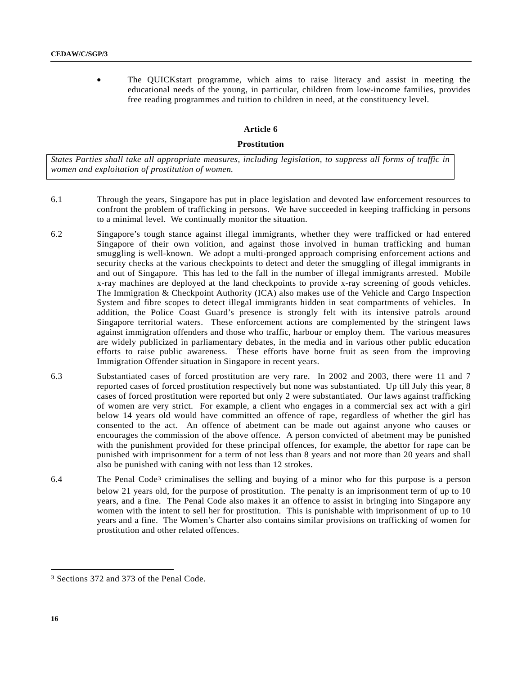• The QUICKstart programme, which aims to raise literacy and assist in meeting the educational needs of the young, in particular, children from low-income families, provides free reading programmes and tuition to children in need, at the constituency level.

### **Article 6**

#### **Prostitution**

*States Parties shall take all appropriate measures, including legislation, to suppress all forms of traffic in women and exploitation of prostitution of women.*

- 6.1 Through the years, Singapore has put in place legislation and devoted law enforcement resources to confront the problem of trafficking in persons. We have succeeded in keeping trafficking in persons to a minimal level. We continually monitor the situation.
- 6.2 Singapore's tough stance against illegal immigrants, whether they were trafficked or had entered Singapore of their own volition, and against those involved in human trafficking and human smuggling is well-known. We adopt a multi-pronged approach comprising enforcement actions and security checks at the various checkpoints to detect and deter the smuggling of illegal immigrants in and out of Singapore. This has led to the fall in the number of illegal immigrants arrested. Mobile x-ray machines are deployed at the land checkpoints to provide x-ray screening of goods vehicles. The Immigration & Checkpoint Authority (ICA) also makes use of the Vehicle and Cargo Inspection System and fibre scopes to detect illegal immigrants hidden in seat compartments of vehicles. In addition, the Police Coast Guard's presence is strongly felt with its intensive patrols around Singapore territorial waters. These enforcement actions are complemented by the stringent laws against immigration offenders and those who traffic, harbour or employ them. The various measures are widely publicized in parliamentary debates, in the media and in various other public education efforts to raise public awareness. These efforts have borne fruit as seen from the improving Immigration Offender situation in Singapore in recent years.
- 6.3 Substantiated cases of forced prostitution are very rare. In 2002 and 2003, there were 11 and 7 reported cases of forced prostitution respectively but none was substantiated. Up till July this year, 8 cases of forced prostitution were reported but only 2 were substantiated. Our laws against trafficking of women are very strict. For example, a client who engages in a commercial sex act with a girl below 14 years old would have committed an offence of rape, regardless of whether the girl has consented to the act. An offence of abetment can be made out against anyone who causes or encourages the commission of the above offence. A person convicted of abetment may be punished with the punishment provided for these principal offences, for example, the abettor for rape can be punished with imprisonment for a term of not less than 8 years and not more than 20 years and shall also be punished with caning with not less than 12 strokes.
- 6.4 The Penal Code3 criminalises the selling and buying of a minor who for this purpose is a person below 21 years old, for the purpose of prostitution. The penalty is an imprisonment term of up to 10 years, and a fine. The Penal Code also makes it an offence to assist in bringing into Singapore any women with the intent to sell her for prostitution. This is punishable with imprisonment of up to 10 years and a fine. The Women's Charter also contains similar provisions on trafficking of women for prostitution and other related offences.

l

<sup>3</sup> Sections 372 and 373 of the Penal Code.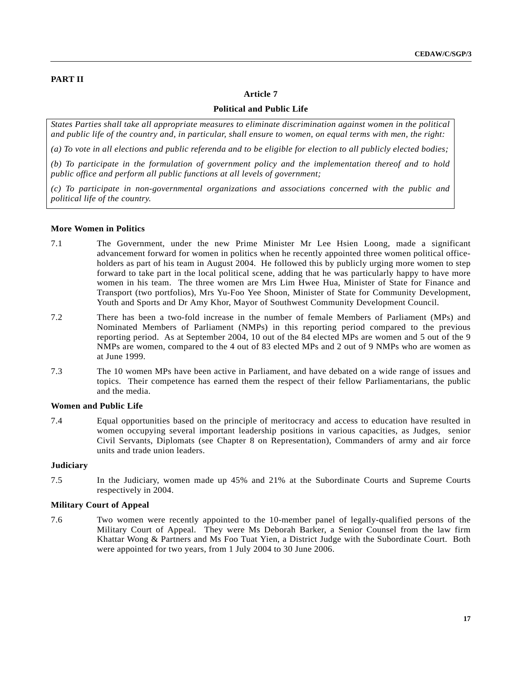## **PART II**

#### **Article 7**

## **Political and Public Life**

*States Parties shall take all appropriate measures to eliminate discrimination against women in the political and public life of the country and, in particular, shall ensure to women, on equal terms with men, the right:*

*(a) To vote in all elections and public referenda and to be eligible for election to all publicly elected bodies;*

*(b) To participate in the formulation of government policy and the implementation thereof and to hold public office and perform all public functions at all levels of government;*

*(c) To participate in non-governmental organizations and associations concerned with the public and political life of the country.*

#### **More Women in Politics**

- 7.1 The Government, under the new Prime Minister Mr Lee Hsien Loong, made a significant advancement forward for women in politics when he recently appointed three women political officeholders as part of his team in August 2004.He followed this by publicly urging more women to step forward to take part in the local political scene, adding that he was particularly happy to have more women in his team. The three women are Mrs Lim Hwee Hua, Minister of State for Finance and Transport (two portfolios), Mrs Yu-Foo Yee Shoon, Minister of State for Community Development, Youth and Sports and Dr Amy Khor, Mayor of Southwest Community Development Council.
- 7.2 There has been a two-fold increase in the number of female Members of Parliament (MPs) and Nominated Members of Parliament (NMPs) in this reporting period compared to the previous reporting period. As at September 2004, 10 out of the 84 elected MPs are women and 5 out of the 9 NMPs are women, compared to the 4 out of 83 elected MPs and 2 out of 9 NMPs who are women as at June 1999.
- 7.3 The 10 women MPs have been active in Parliament, and have debated on a wide range of issues and topics. Their competence has earned them the respect of their fellow Parliamentarians, the public and the media.

#### **Women and Public Life**

7.4 Equal opportunities based on the principle of meritocracy and access to education have resulted in women occupying several important leadership positions in various capacities, as Judges, senior Civil Servants, Diplomats (see Chapter 8 on Representation), Commanders of army and air force units and trade union leaders.

#### **Judiciary**

7.5 In the Judiciary, women made up 45% and 21% at the Subordinate Courts and Supreme Courts respectively in 2004.

#### **Military Court of Appeal**

7.6 Two women were recently appointed to the 10-member panel of legally-qualified persons of the Military Court of Appeal. They were Ms Deborah Barker, a Senior Counsel from the law firm Khattar Wong & Partners and Ms Foo Tuat Yien, a District Judge with the Subordinate Court. Both were appointed for two years, from 1 July 2004 to 30 June 2006.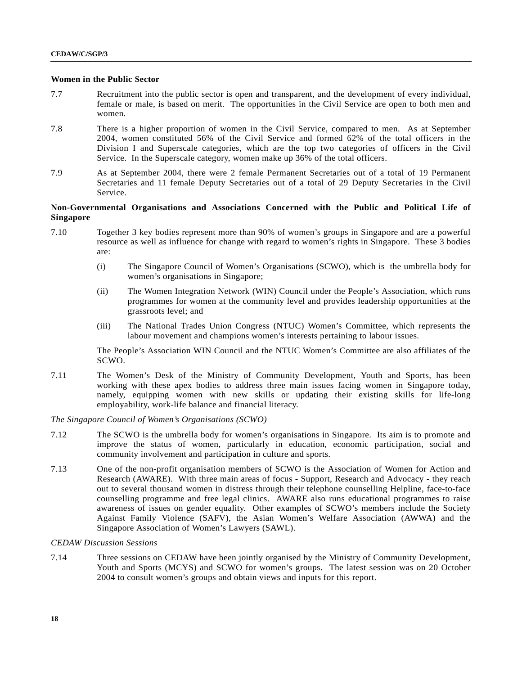### **Women in the Public Sector**

- 7.7 Recruitment into the public sector is open and transparent, and the development of every individual, female or male, is based on merit. The opportunities in the Civil Service are open to both men and women.
- 7.8 There is a higher proportion of women in the Civil Service, compared to men. As at September 2004, women constituted 56% of the Civil Service and formed 62% of the total officers in the Division I and Superscale categories, which are the top two categories of officers in the Civil Service. In the Superscale category, women make up 36% of the total officers.
- 7.9 As at September 2004, there were 2 female Permanent Secretaries out of a total of 19 Permanent Secretaries and 11 female Deputy Secretaries out of a total of 29 Deputy Secretaries in the Civil Service.

### **Non-Governmental Organisations and Associations Concerned with the Public and Political Life of Singapore**

- 7.10 Together 3 key bodies represent more than 90% of women's groups in Singapore and are a powerful resource as well as influence for change with regard to women's rights in Singapore. These 3 bodies are:
	- (i) The Singapore Council of Women's Organisations (SCWO), which is the umbrella body for women's organisations in Singapore;
	- (ii) The Women Integration Network (WIN) Council under the People's Association, which runs programmes for women at the community level and provides leadership opportunities at the grassroots level; and
	- (iii) The National Trades Union Congress (NTUC) Women's Committee, which represents the labour movement and champions women's interests pertaining to labour issues.

The People's Association WIN Council and the NTUC Women's Committee are also affiliates of the SCWO.

7.11 The Women's Desk of the Ministry of Community Development, Youth and Sports, has been working with these apex bodies to address three main issues facing women in Singapore today, namely, equipping women with new skills or updating their existing skills for life-long employability, work-life balance and financial literacy.

#### *The Singapore Council of Women's Organisations (SCWO)*

- 7.12 The SCWO is the umbrella body for women's organisations in Singapore. Its aim is to promote and improve the status of women, particularly in education, economic participation, social and community involvement and participation in culture and sports.
- 7.13 One of the non-profit organisation members of SCWO is the Association of Women for Action and Research (AWARE). With three main areas of focus - Support, Research and Advocacy - they reach out to several thousand women in distress through their telephone counselling Helpline, face-to-face counselling programme and free legal clinics. AWARE also runs educational programmes to raise awareness of issues on gender equality. Other examples of SCWO's members include the Society Against Family Violence (SAFV), the Asian Women's Welfare Association (AWWA) and the Singapore Association of Women's Lawyers (SAWL).

### *CEDAW Discussion Sessions*

7.14 Three sessions on CEDAW have been jointly organised by the Ministry of Community Development, Youth and Sports (MCYS) and SCWO for women's groups. The latest session was on 20 October 2004 to consult women's groups and obtain views and inputs for this report.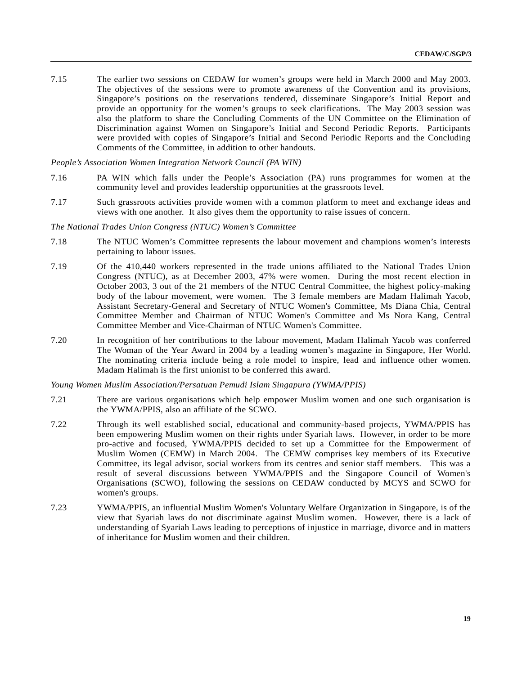7.15 The earlier two sessions on CEDAW for women's groups were held in March 2000 and May 2003. The objectives of the sessions were to promote awareness of the Convention and its provisions, Singapore's positions on the reservations tendered, disseminate Singapore's Initial Report and provide an opportunity for the women's groups to seek clarifications. The May 2003 session was also the platform to share the Concluding Comments of the UN Committee on the Elimination of Discrimination against Women on Singapore's Initial and Second Periodic Reports. Participants were provided with copies of Singapore's Initial and Second Periodic Reports and the Concluding Comments of the Committee, in addition to other handouts.

*People's Association Women Integration Network Council (PA WIN)*

- 7.16 PA WIN which falls under the People's Association (PA) runs programmes for women at the community level and provides leadership opportunities at the grassroots level.
- 7.17 Such grassroots activities provide women with a common platform to meet and exchange ideas and views with one another. It also gives them the opportunity to raise issues of concern.

*The National Trades Union Congress (NTUC) Women's Committee*

- 7.18 The NTUC Women's Committee represents the labour movement and champions women's interests pertaining to labour issues.
- 7.19 Of the 410,440 workers represented in the trade unions affiliated to the National Trades Union Congress (NTUC), as at December 2003, 47% were women. During the most recent election in October 2003, 3 out of the 21 members of the NTUC Central Committee, the highest policy-making body of the labour movement, were women. The 3 female members are Madam Halimah Yacob, Assistant Secretary-General and Secretary of NTUC Women's Committee, Ms Diana Chia, Central Committee Member and Chairman of NTUC Women's Committee and Ms Nora Kang, Central Committee Member and Vice-Chairman of NTUC Women's Committee.
- 7.20 In recognition of her contributions to the labour movement, Madam Halimah Yacob was conferred The Woman of the Year Award in 2004 by a leading women's magazine in Singapore, Her World. The nominating criteria include being a role model to inspire, lead and influence other women. Madam Halimah is the first unionist to be conferred this award.

*Young Women Muslim Association/Persatuan Pemudi Islam Singapura (YWMA/PPIS)*

- 7.21 There are various organisations which help empower Muslim women and one such organisation is the YWMA/PPIS, also an affiliate of the SCWO.
- 7.22 Through its well established social, educational and community-based projects, YWMA/PPIS has been empowering Muslim women on their rights under Syariah laws. However, in order to be more pro-active and focused, YWMA/PPIS decided to set up a Committee for the Empowerment of Muslim Women (CEMW) in March 2004. The CEMW comprises key members of its Executive Committee, its legal advisor, social workers from its centres and senior staff members. This was a result of several discussions between YWMA/PPIS and the Singapore Council of Women's Organisations (SCWO), following the sessions on CEDAW conducted by MCYS and SCWO for women's groups.
- 7.23 YWMA/PPIS, an influential Muslim Women's Voluntary Welfare Organization in Singapore, is of the view that Syariah laws do not discriminate against Muslim women. However, there is a lack of understanding of Syariah Laws leading to perceptions of injustice in marriage, divorce and in matters of inheritance for Muslim women and their children.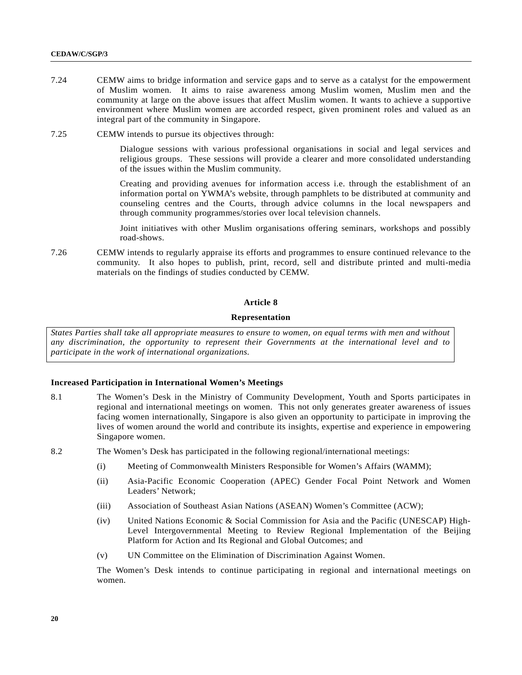- 7.24 CEMW aims to bridge information and service gaps and to serve as a catalyst for the empowerment of Muslim women. It aims to raise awareness among Muslim women, Muslim men and the community at large on the above issues that affect Muslim women. It wants to achieve a supportive environment where Muslim women are accorded respect, given prominent roles and valued as an integral part of the community in Singapore.
- 7.25 CEMW intends to pursue its objectives through:

Dialogue sessions with various professional organisations in social and legal services and religious groups. These sessions will provide a clearer and more consolidated understanding of the issues within the Muslim community.

Creating and providing avenues for information access i.e. through the establishment of an information portal on YWMA's website, through pamphlets to be distributed at community and counseling centres and the Courts, through advice columns in the local newspapers and through community programmes/stories over local television channels.

Joint initiatives with other Muslim organisations offering seminars, workshops and possibly road-shows.

7.26 CEMW intends to regularly appraise its efforts and programmes to ensure continued relevance to the community. It also hopes to publish, print, record, sell and distribute printed and multi-media materials on the findings of studies conducted by CEMW.

### **Article 8**

#### **Representation**

*States Parties shall take all appropriate measures to ensure to women, on equal terms with men and without any discrimination, the opportunity to represent their Governments at the international level and to participate in the work of international organizations.*

#### **Increased Participation in International Women's Meetings**

8.1 The Women's Desk in the Ministry of Community Development, Youth and Sports participates in regional and international meetings on women. This not only generates greater awareness of issues facing women internationally, Singapore is also given an opportunity to participate in improving the lives of women around the world and contribute its insights, expertise and experience in empowering Singapore women.

8.2 The Women's Desk has participated in the following regional/international meetings:

- (i) Meeting of Commonwealth Ministers Responsible for Women's Affairs (WAMM);
- (ii) Asia-Pacific Economic Cooperation (APEC) Gender Focal Point Network and Women Leaders' Network;
- (iii) Association of Southeast Asian Nations (ASEAN) Women's Committee (ACW);
- (iv) United Nations Economic & Social Commission for Asia and the Pacific (UNESCAP) High-Level Intergovernmental Meeting to Review Regional Implementation of the Beijing Platform for Action and Its Regional and Global Outcomes; and
- (v) UN Committee on the Elimination of Discrimination Against Women.

The Women's Desk intends to continue participating in regional and international meetings on women.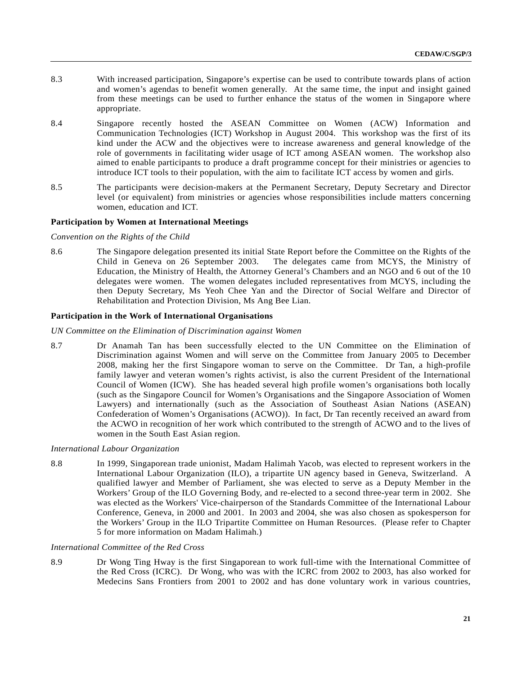- 8.3 With increased participation, Singapore's expertise can be used to contribute towards plans of action and women's agendas to benefit women generally. At the same time, the input and insight gained from these meetings can be used to further enhance the status of the women in Singapore where appropriate.
- 8.4 Singapore recently hosted the ASEAN Committee on Women (ACW) Information and Communication Technologies (ICT) Workshop in August 2004. This workshop was the first of its kind under the ACW and the objectives were to increase awareness and general knowledge of the role of governments in facilitating wider usage of ICT among ASEAN women. The workshop also aimed to enable participants to produce a draft programme concept for their ministries or agencies to introduce ICT tools to their population, with the aim to facilitate ICT access by women and girls.
- 8.5 The participants were decision-makers at the Permanent Secretary, Deputy Secretary and Director level (or equivalent) from ministries or agencies whose responsibilities include matters concerning women, education and ICT.

#### **Participation by Women at International Meetings**

#### *Convention on the Rights of the Child*

8.6 The Singapore delegation presented its initial State Report before the Committee on the Rights of the Child in Geneva on 26 September 2003. The delegates came from MCYS, the Ministry of Education, the Ministry of Health, the Attorney General's Chambers and an NGO and 6 out of the 10 delegates were women. The women delegates included representatives from MCYS, including the then Deputy Secretary, Ms Yeoh Chee Yan and the Director of Social Welfare and Director of Rehabilitation and Protection Division, Ms Ang Bee Lian.

#### **Participation in the Work of International Organisations**

#### *UN Committee on the Elimination of Discrimination against Women*

8.7 Dr Anamah Tan has been successfully elected to the UN Committee on the Elimination of Discrimination against Women and will serve on the Committee from January 2005 to December 2008, making her the first Singapore woman to serve on the Committee. Dr Tan, a high-profile family lawyer and veteran women's rights activist, is also the current President of the International Council of Women (ICW). She has headed several high profile women's organisations both locally (such as the Singapore Council for Women's Organisations and the Singapore Association of Women Lawyers) and internationally (such as the Association of Southeast Asian Nations (ASEAN) Confederation of Women's Organisations (ACWO)). In fact, Dr Tan recently received an award from the ACWO in recognition of her work which contributed to the strength of ACWO and to the lives of women in the South East Asian region.

#### *International Labour Organization*

8.8 In 1999, Singaporean trade unionist, Madam Halimah Yacob, was elected to represent workers in the International Labour Organization (ILO), a tripartite UN agency based in Geneva, Switzerland. A qualified lawyer and Member of Parliament, she was elected to serve as a Deputy Member in the Workers' Group of the ILO Governing Body, and re-elected to a second three-year term in 2002. She was elected as the Workers' Vice-chairperson of the Standards Committee of the International Labour Conference, Geneva, in 2000 and 2001. In 2003 and 2004, she was also chosen as spokesperson for the Workers' Group in the ILO Tripartite Committee on Human Resources. (Please refer to Chapter 5 for more information on Madam Halimah.)

#### *International Committee of the Red Cross*

8.9 Dr Wong Ting Hway is the first Singaporean to work full-time with the International Committee of the Red Cross (ICRC). Dr Wong, who was with the ICRC from 2002 to 2003, has also worked for Medecins Sans Frontiers from 2001 to 2002 and has done voluntary work in various countries,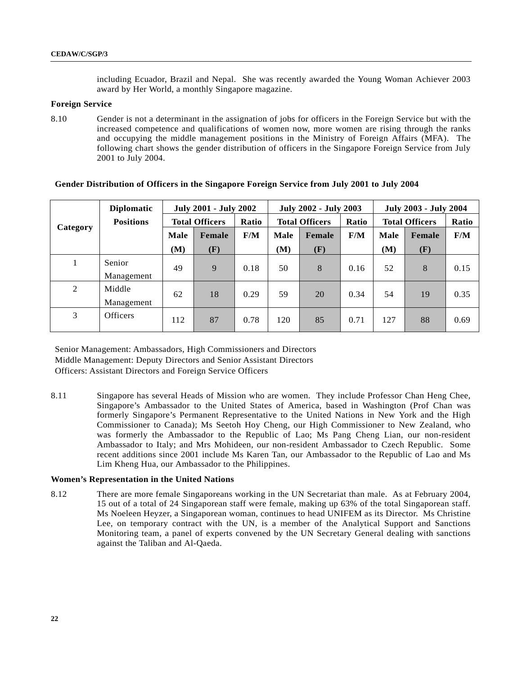including Ecuador, Brazil and Nepal. She was recently awarded the Young Woman Achiever 2003 award by Her World, a monthly Singapore magazine.

#### **Foreign Service**

8.10 Gender is not a determinant in the assignation of jobs for officers in the Foreign Service but with the increased competence and qualifications of women now, more women are rising through the ranks and occupying the middle management positions in the Ministry of Foreign Affairs (MFA). The following chart shows the gender distribution of officers in the Singapore Foreign Service from July 2001 to July 2004.

|                | <b>Diplomatic</b>    |             | <b>July 2001 - July 2002</b> |       |             | <b>July 2002 - July 2003</b> |       |             | <b>July 2003 - July 2004</b> |       |
|----------------|----------------------|-------------|------------------------------|-------|-------------|------------------------------|-------|-------------|------------------------------|-------|
|                | <b>Positions</b>     |             | <b>Total Officers</b>        | Ratio |             | <b>Total Officers</b>        | Ratio |             | <b>Total Officers</b>        | Ratio |
| Category       |                      | <b>Male</b> | Female                       | F/M   | <b>Male</b> | Female                       | F/M   | <b>Male</b> | Female                       | F/M   |
|                |                      | (M)         | (F)                          |       | (M)         | (F)                          |       | (M)         | (F)                          |       |
| T              | Senior<br>Management | 49          | 9                            | 0.18  | 50          | 8                            | 0.16  | 52          | 8                            | 0.15  |
| $\overline{2}$ | Middle<br>Management | 62          | 18                           | 0.29  | 59          | 20                           | 0.34  | 54          | 19                           | 0.35  |
| 3              | <b>Officers</b>      | 112         | 87                           | 0.78  | 120         | 85                           | 0.71  | 127         | 88                           | 0.69  |

#### **Gender Distribution of Officers in the Singapore Foreign Service from July 2001 to July 2004**

Senior Management: Ambassadors, High Commissioners and Directors Middle Management: Deputy Directors and Senior Assistant Directors Officers: Assistant Directors and Foreign Service Officers

8.11 Singapore has several Heads of Mission who are women. They include Professor Chan Heng Chee, Singapore's Ambassador to the United States of America, based in Washington (Prof Chan was formerly Singapore's Permanent Representative to the United Nations in New York and the High Commissioner to Canada); Ms Seetoh Hoy Cheng, our High Commissioner to New Zealand, who was formerly the Ambassador to the Republic of Lao; Ms Pang Cheng Lian, our non-resident Ambassador to Italy; and Mrs Mohideen, our non-resident Ambassador to Czech Republic. Some recent additions since 2001 include Ms Karen Tan, our Ambassador to the Republic of Lao and Ms Lim Kheng Hua, our Ambassador to the Philippines.

#### **Women's Representation in the United Nations**

8.12 There are more female Singaporeans working in the UN Secretariat than male. As at February 2004, 15 out of a total of 24 Singaporean staff were female, making up 63% of the total Singaporean staff. Ms Noeleen Heyzer, a Singaporean woman, continues to head UNIFEM as its Director. Ms Christine Lee, on temporary contract with the UN, is a member of the Analytical Support and Sanctions Monitoring team, a panel of experts convened by the UN Secretary General dealing with sanctions against the Taliban and Al-Qaeda.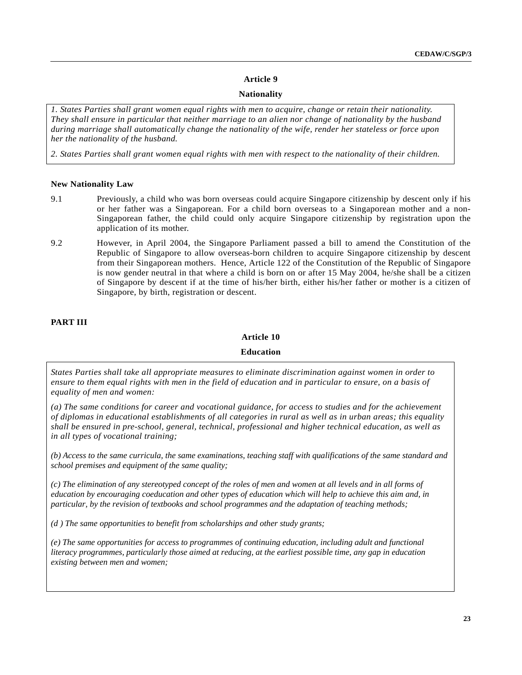## **Article 9**

### **Nationality**

*1. States Parties shall grant women equal rights with men to acquire, change or retain their nationality. They shall ensure in particular that neither marriage to an alien nor change of nationality by the husband during marriage shall automatically change the nationality of the wife, render her stateless or force upon her the nationality of the husband.*

*2. States Parties shall grant women equal rights with men with respect to the nationality of their children.*

#### **New Nationality Law**

- 9.1 Previously, a child who was born overseas could acquire Singapore citizenship by descent only if his or her father was a Singaporean. For a child born overseas to a Singaporean mother and a non-Singaporean father, the child could only acquire Singapore citizenship by registration upon the application of its mother.
- 9.2 However, in April 2004, the Singapore Parliament passed a bill to amend the Constitution of the Republic of Singapore to allow overseas-born children to acquire Singapore citizenship by descent from their Singaporean mothers. Hence, Article 122 of the Constitution of the Republic of Singapore is now gender neutral in that where a child is born on or after 15 May 2004, he/she shall be a citizen of Singapore by descent if at the time of his/her birth, either his/her father or mother is a citizen of Singapore, by birth, registration or descent.

#### **PART III**

### **Article 10**

### **Education**

*States Parties shall take all appropriate measures to eliminate discrimination against women in order to ensure to them equal rights with men in the field of education and in particular to ensure, on a basis of equality of men and women:*

*(a) The same conditions for career and vocational guidance, for access to studies and for the achievement of diplomas in educational establishments of all categories in rural as well as in urban areas; this equality shall be ensured in pre-school, general, technical, professional and higher technical education, as well as in all types of vocational training;*

*(b) Access to the same curricula, the same examinations, teaching staff with qualifications of the same standard and school premises and equipment of the same quality;*

*(c) The elimination of any stereotyped concept of the roles of men and women at all levels and in all forms of education by encouraging coeducation and other types of education which will help to achieve this aim and, in particular, by the revision of textbooks and school programmes and the adaptation of teaching methods;*

*(d ) The same opportunities to benefit from scholarships and other study grants;*

*(e) The same opportunities for access to programmes of continuing education, including adult and functional literacy programmes, particularly those aimed at reducing, at the earliest possible time, any gap in education existing between men and women;*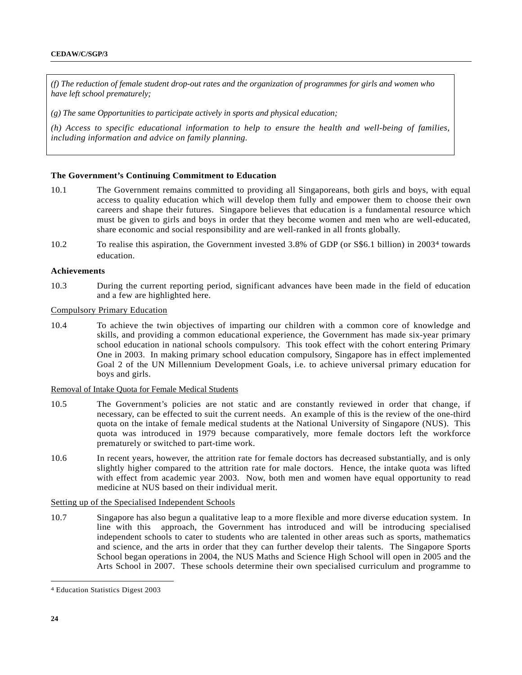*(f) The reduction of female student drop-out rates and the organization of programmes for girls and women who have left school prematurely;*

*(g) The same Opportunities to participate actively in sports and physical education;*

*(h) Access to specific educational information to help to ensure the health and well-being of families, including information and advice on family planning.*

### **The Government's Continuing Commitment to Education**

- 10.1 The Government remains committed to providing all Singaporeans, both girls and boys, with equal access to quality education which will develop them fully and empower them to choose their own careers and shape their futures. Singapore believes that education is a fundamental resource which must be given to girls and boys in order that they become women and men who are well-educated, share economic and social responsibility and are well-ranked in all fronts globally.
- 10.2 To realise this aspiration, the Government invested 3.8% of GDP (or S\$6.1 billion) in 20034 towards education.

#### **Achievements**

10.3 During the current reporting period, significant advances have been made in the field of education and a few are highlighted here.

### Compulsory Primary Education

10.4 To achieve the twin objectives of imparting our children with a common core of knowledge and skills, and providing a common educational experience, the Government has made six-year primary school education in national schools compulsory. This took effect with the cohort entering Primary One in 2003. In making primary school education compulsory, Singapore has in effect implemented Goal 2 of the UN Millennium Development Goals, i.e. to achieve universal primary education for boys and girls.

#### Removal of Intake Quota for Female Medical Students

- 10.5 The Government's policies are not static and are constantly reviewed in order that change, if necessary, can be effected to suit the current needs. An example of this is the review of the one-third quota on the intake of female medical students at the National University of Singapore (NUS). This quota was introduced in 1979 because comparatively, more female doctors left the workforce prematurely or switched to part-time work.
- 10.6 In recent years, however, the attrition rate for female doctors has decreased substantially, and is only slightly higher compared to the attrition rate for male doctors. Hence, the intake quota was lifted with effect from academic year 2003. Now, both men and women have equal opportunity to read medicine at NUS based on their individual merit.

#### Setting up of the Specialised Independent Schools

10.7 Singapore has also begun a qualitative leap to a more flexible and more diverse education system. In line with this approach, the Government has introduced and will be introducing specialised independent schools to cater to students who are talented in other areas such as sports, mathematics and science, and the arts in order that they can further develop their talents. The Singapore Sports School began operations in 2004, the NUS Maths and Science High School will open in 2005 and the Arts School in 2007. These schools determine their own specialised curriculum and programme to

l

<sup>4</sup> Education Statistics Digest 2003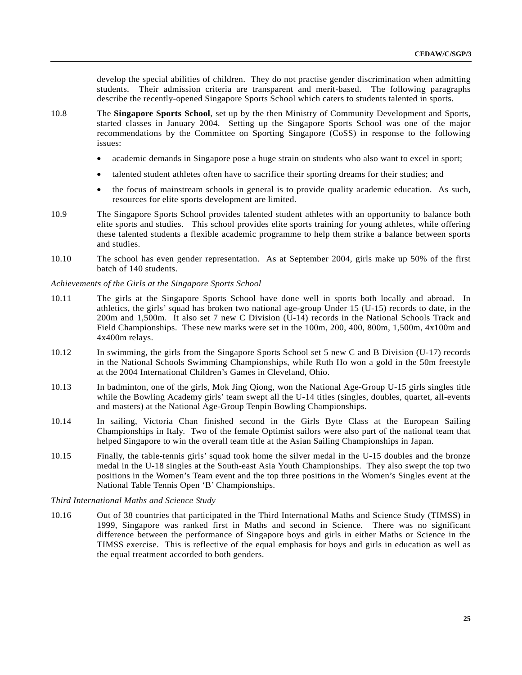develop the special abilities of children. They do not practise gender discrimination when admitting students. Their admission criteria are transparent and merit-based. The following paragraphs describe the recently-opened Singapore Sports School which caters to students talented in sports.

- 10.8 The **Singapore Sports School**, set up by the then Ministry of Community Development and Sports, started classes in January 2004. Setting up the Singapore Sports School was one of the major recommendations by the Committee on Sporting Singapore (CoSS) in response to the following issues:
	- academic demands in Singapore pose a huge strain on students who also want to excel in sport;
	- talented student athletes often have to sacrifice their sporting dreams for their studies; and
	- the focus of mainstream schools in general is to provide quality academic education. As such, resources for elite sports development are limited.
- 10.9 The Singapore Sports School provides talented student athletes with an opportunity to balance both elite sports and studies. This school provides elite sports training for young athletes, while offering these talented students a flexible academic programme to help them strike a balance between sports and studies.
- 10.10 The school has even gender representation. As at September 2004, girls make up 50% of the first batch of 140 students.

*Achievements of the Girls at the Singapore Sports School*

- 10.11 The girls at the Singapore Sports School have done well in sports both locally and abroad. In athletics, the girls' squad has broken two national age-group Under 15 (U-15) records to date, in the 200m and 1,500m. It also set 7 new C Division (U-14) records in the National Schools Track and Field Championships. These new marks were set in the 100m, 200, 400, 800m, 1,500m, 4x100m and 4x400m relays.
- 10.12 In swimming, the girls from the Singapore Sports School set 5 new C and B Division (U-17) records in the National Schools Swimming Championships, while Ruth Ho won a gold in the 50m freestyle at the 2004 International Children's Games in Cleveland, Ohio.
- 10.13 In badminton, one of the girls, Mok Jing Qiong, won the National Age-Group U-15 girls singles title while the Bowling Academy girls' team swept all the U-14 titles (singles, doubles, quartet, all-events and masters) at the National Age-Group Tenpin Bowling Championships.
- 10.14 In sailing, Victoria Chan finished second in the Girls Byte Class at the European Sailing Championships in Italy. Two of the female Optimist sailors were also part of the national team that helped Singapore to win the overall team title at the Asian Sailing Championships in Japan.
- 10.15 Finally, the table-tennis girls' squad took home the silver medal in the U-15 doubles and the bronze medal in the U-18 singles at the South-east Asia Youth Championships. They also swept the top two positions in the Women's Team event and the top three positions in the Women's Singles event at the National Table Tennis Open 'B' Championships.

*Third International Maths and Science Study*

10.16 Out of 38 countries that participated in the Third International Maths and Science Study (TIMSS) in 1999, Singapore was ranked first in Maths and second in Science. There was no significant difference between the performance of Singapore boys and girls in either Maths or Science in the TIMSS exercise. This is reflective of the equal emphasis for boys and girls in education as well as the equal treatment accorded to both genders.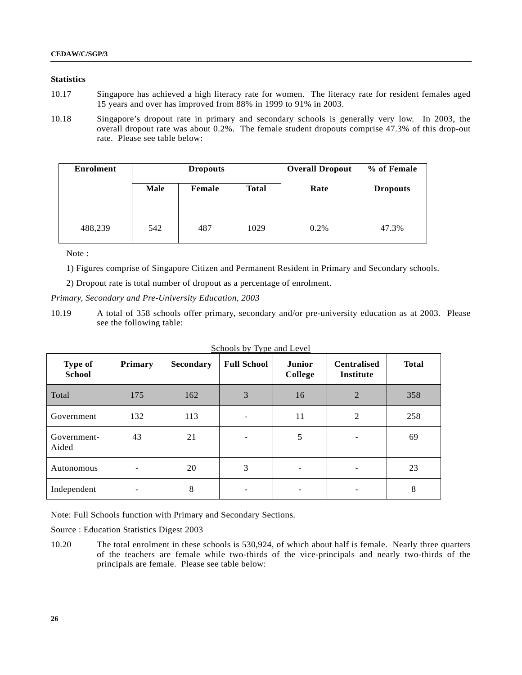### **Statistics**

- 10.17 Singapore has achieved a high literacy rate for women. The literacy rate for resident females aged 15 years and over has improved from 88% in 1999 to 91% in 2003.
- 10.18 Singapore's dropout rate in primary and secondary schools is generally very low. In 2003, the overall dropout rate was about 0.2%. The female student dropouts comprise 47.3% of this drop-out rate. Please see table below:

| Enrolment |      | <b>Dropouts</b> |              | <b>Overall Dropout</b> | % of Female     |
|-----------|------|-----------------|--------------|------------------------|-----------------|
|           | Male | Female          | <b>Total</b> | Rate                   | <b>Dropouts</b> |
|           |      |                 |              |                        |                 |
| 488,239   | 542  | 487             | 1029         | $0.2\%$                | 47.3%           |

Note :

1) Figures comprise of Singapore Citizen and Permanent Resident in Primary and Secondary schools.

2) Dropout rate is total number of dropout as a percentage of enrolment.

*Primary, Secondary and Pre-University Education, 2003*

10.19 A total of 358 schools offer primary, secondary and/or pre-university education as at 2003. Please see the following table:

| Type of<br><b>School</b> | Primary | <b>Secondary</b> | <b>Full School</b> | <b>Junior</b><br>College | <b>Centralised</b><br><b>Institute</b> | <b>Total</b> |
|--------------------------|---------|------------------|--------------------|--------------------------|----------------------------------------|--------------|
| Total                    | 175     | 162              | 3                  | 16                       | 2                                      | 358          |
| Government               | 132     | 113              |                    | 11                       | 2                                      | 258          |
| Government-<br>Aided     | 43      | 21               |                    | 5                        |                                        | 69           |
| Autonomous               | ٠       | 20               | 3                  | -                        |                                        | 23           |
| Independent              |         | 8                |                    |                          |                                        | 8            |

Schools by Type and Level

Note: Full Schools function with Primary and Secondary Sections.

Source : Education Statistics Digest 2003

10.20 The total enrolment in these schools is 530,924, of which about half is female. Nearly three quarters of the teachers are female while two-thirds of the vice-principals and nearly two-thirds of the principals are female. Please see table below: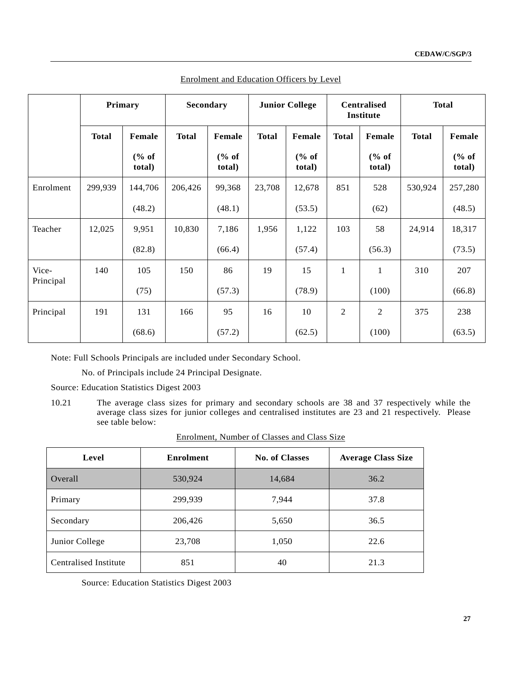|           |              | <b>Primary</b> | Secondary    |                |              | <b>Junior College</b> |                | <b>Centralised</b><br>Institute |              | <b>Total</b>   |
|-----------|--------------|----------------|--------------|----------------|--------------|-----------------------|----------------|---------------------------------|--------------|----------------|
|           | <b>Total</b> | Female         | <b>Total</b> | Female         | <b>Total</b> | Female                | <b>Total</b>   | Female                          | <b>Total</b> | Female         |
|           |              | % of<br>total) |              | % of<br>total) |              | % of<br>total)        |                | % of<br>total)                  |              | % of<br>total) |
| Enrolment | 299,939      | 144,706        | 206,426      | 99,368         | 23,708       | 12,678                | 851            | 528                             | 530,924      | 257,280        |
|           |              | (48.2)         |              | (48.1)         |              | (53.5)                |                | (62)                            |              | (48.5)         |
| Teacher   | 12,025       | 9,951          | 10,830       | 7,186          | 1,956        | 1,122                 | 103            | 58                              | 24,914       | 18,317         |
|           |              | (82.8)         |              | (66.4)         |              | (57.4)                |                | (56.3)                          |              | (73.5)         |
| Vice-     | 140          | 105            | 150          | 86             | 19           | 15                    | $\mathbf{1}$   | $\mathbf{1}$                    | 310          | 207            |
| Principal |              | (75)           |              | (57.3)         |              | (78.9)                |                | (100)                           |              | (66.8)         |
| Principal | 191          | 131            | 166          | 95             | 16           | 10                    | $\overline{2}$ | 2                               | 375          | 238            |
|           |              | (68.6)         |              | (57.2)         |              | (62.5)                |                | (100)                           |              | (63.5)         |

Enrolment and Education Officers by Level

Note: Full Schools Principals are included under Secondary School.

No. of Principals include 24 Principal Designate.

Source: Education Statistics Digest 2003

10.21 The average class sizes for primary and secondary schools are 38 and 37 respectively while the average class sizes for junior colleges and centralised institutes are 23 and 21 respectively. Please see table below:

|  | Enrolment, Number of Classes and Class Size |  |  |  |  |  |
|--|---------------------------------------------|--|--|--|--|--|
|--|---------------------------------------------|--|--|--|--|--|

| Level                 | <b>Enrolment</b> | <b>No. of Classes</b> | <b>Average Class Size</b> |
|-----------------------|------------------|-----------------------|---------------------------|
| <b>Overall</b>        | 530,924          | 14,684                | 36.2                      |
| Primary               | 299,939          | 7,944                 | 37.8                      |
| Secondary             | 206,426          | 5,650                 | 36.5                      |
| Junior College        | 23,708           | 1,050                 | 22.6                      |
| Centralised Institute | 851              | 40                    | 21.3                      |

Source: Education Statistics Digest 2003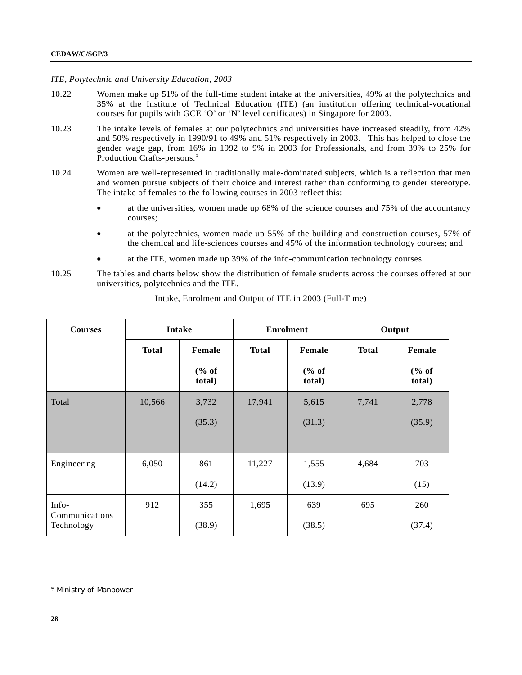- *ITE, Polytechnic and University Education, 2003*
- 10.22 Women make up 51% of the full-time student intake at the universities, 49% at the polytechnics and 35% at the Institute of Technical Education (ITE) (an institution offering technical-vocational courses for pupils with GCE 'O' or 'N' level certificates) in Singapore for 2003.
- 10.23 The intake levels of females at our polytechnics and universities have increased steadily, from 42% and 50% respectively in 1990/91 to 49% and 51% respectively in 2003. This has helped to close the gender wage gap, from 16% in 1992 to 9% in 2003 for Professionals, and from 39% to 25% for Production Crafts-persons.<sup>5</sup>
- 10.24 Women are well-represented in traditionally male-dominated subjects, which is a reflection that men and women pursue subjects of their choice and interest rather than conforming to gender stereotype. The intake of females to the following courses in 2003 reflect this:
	- at the universities, women made up 68% of the science courses and 75% of the accountancy courses;
	- at the polytechnics, women made up 55% of the building and construction courses, 57% of the chemical and life-sciences courses and 45% of the information technology courses; and
	- at the ITE, women made up 39% of the info-communication technology courses.
- 10.25 The tables and charts below show the distribution of female students across the courses offered at our universities, polytechnics and the ITE.

| <b>Courses</b>               |              | <b>Intake</b>  |              | <b>Enrolment</b> |              | Output         |
|------------------------------|--------------|----------------|--------------|------------------|--------------|----------------|
|                              | <b>Total</b> | Female         | <b>Total</b> | Female           | <b>Total</b> | Female         |
|                              |              | % of<br>total) |              | % of<br>total)   |              | % of<br>total) |
| Total                        | 10,566       | 3,732          | 17,941       | 5,615            | 7,741        | 2,778          |
|                              |              | (35.3)         |              | (31.3)           |              | (35.9)         |
|                              |              |                |              |                  |              |                |
| Engineering                  | 6,050        | 861            | 11,227       | 1,555            | 4,684        | 703            |
|                              |              | (14.2)         |              | (13.9)           |              | (15)           |
| Info-                        | 912          | 355            | 1,695        | 639              | 695          | 260            |
| Communications<br>Technology |              | (38.9)         |              | (38.5)           |              | (37.4)         |

Intake, Enrolment and Output of ITE in 2003 (Full-Time)

l

<sup>5</sup> Ministry of Manpower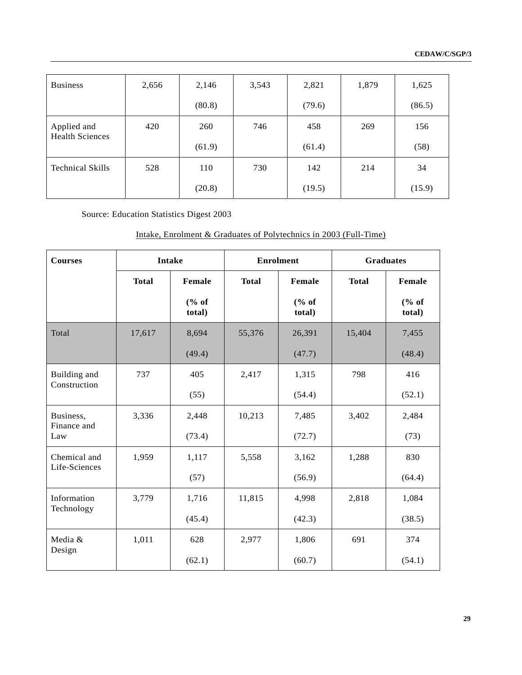| <b>Business</b>         | 2,656 | 2,146  | 3,543 | 2,821  | 1,879 | 1,625  |
|-------------------------|-------|--------|-------|--------|-------|--------|
|                         |       | (80.8) |       | (79.6) |       | (86.5) |
| Applied and             | 420   | 260    | 746   | 458    | 269   | 156    |
| <b>Health Sciences</b>  |       | (61.9) |       | (61.4) |       | (58)   |
| <b>Technical Skills</b> | 528   | 110    | 730   | 142    | 214   | 34     |
|                         |       | (20.8) |       | (19.5) |       | (15.9) |

Source: Education Statistics Digest 2003

# Intake, Enrolment & Graduates of Polytechnics in 2003 (Full-Time)

| <b>Courses</b>               | <b>Intake</b> |                | <b>Enrolment</b> |                | <b>Graduates</b> |                |
|------------------------------|---------------|----------------|------------------|----------------|------------------|----------------|
|                              | <b>Total</b>  | <b>Female</b>  | <b>Total</b>     | Female         | <b>Total</b>     | Female         |
|                              |               | % of<br>total) |                  | % of<br>total) |                  | % of<br>total) |
| Total                        | 17,617        | 8,694          | 55,376           | 26,391         | 15,404           | 7,455          |
|                              |               | (49.4)         |                  | (47.7)         |                  | (48.4)         |
| Building and<br>Construction | 737           | 405            | 2,417            | 1,315          | 798              | 416            |
|                              |               | (55)           |                  | (54.4)         |                  | (52.1)         |
| Business,<br>Finance and     | 3,336         | 2,448          | 10,213           | 7,485          | 3,402            | 2,484          |
| Law                          |               | (73.4)         |                  | (72.7)         |                  | (73)           |
| Chemical and                 | 1,959         | 1,117          | 5,558            | 3,162          | 1,288            | 830            |
| Life-Sciences                |               | (57)           |                  | (56.9)         |                  | (64.4)         |
| Information                  | 3,779         | 1,716          | 11,815           | 4,998          | 2,818            | 1,084          |
| Technology                   |               | (45.4)         |                  | (42.3)         |                  | (38.5)         |
| Media &                      | 1,011         | 628            | 2,977            | 1,806          | 691              | 374            |
| Design                       |               | (62.1)         |                  | (60.7)         |                  | (54.1)         |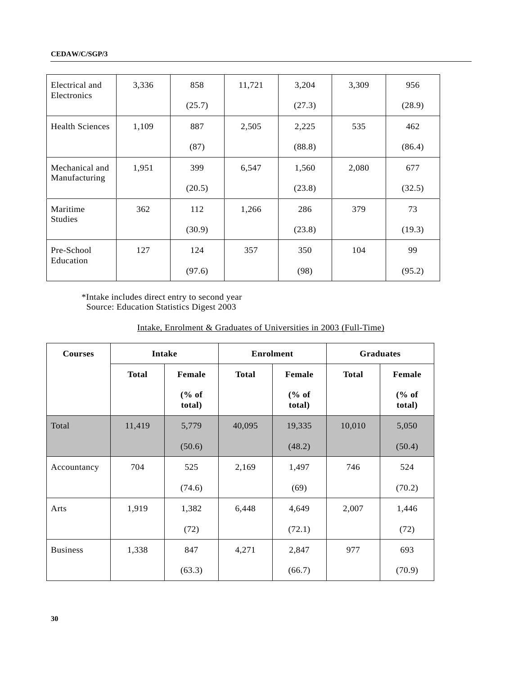| Electrical and<br>Electronics | 3,336 | 858    | 11,721 | 3,204  | 3,309 | 956    |
|-------------------------------|-------|--------|--------|--------|-------|--------|
|                               |       | (25.7) |        | (27.3) |       | (28.9) |
| <b>Health Sciences</b>        | 1,109 | 887    | 2,505  | 2,225  | 535   | 462    |
|                               |       | (87)   |        | (88.8) |       | (86.4) |
| Mechanical and                | 1,951 | 399    | 6,547  | 1,560  | 2,080 | 677    |
| Manufacturing                 |       | (20.5) |        | (23.8) |       | (32.5) |
| Maritime                      | 362   | 112    | 1,266  | 286    | 379   | 73     |
| <b>Studies</b>                |       | (30.9) |        | (23.8) |       | (19.3) |
| Pre-School                    | 127   | 124    | 357    | 350    | 104   | 99     |
| Education                     |       | (97.6) |        | (98)   |       | (95.2) |

\*Intake includes direct entry to second year Source: Education Statistics Digest 2003

|--|

| <b>Courses</b>  | Intake       |                | <b>Enrolment</b> |                | <b>Graduates</b> |                |
|-----------------|--------------|----------------|------------------|----------------|------------------|----------------|
|                 | <b>Total</b> | Female         | <b>Total</b>     | Female         | <b>Total</b>     | Female         |
|                 |              | % of<br>total) |                  | % of<br>total) |                  | % of<br>total) |
| Total           | 11,419       | 5,779          | 40,095           | 19,335         | 10,010           | 5,050          |
|                 |              | (50.6)         |                  | (48.2)         |                  | (50.4)         |
| Accountancy     | 704          | 525            | 2,169            | 1,497          | 746              | 524            |
|                 |              | (74.6)         |                  | (69)           |                  | (70.2)         |
| Arts            | 1,919        | 1,382          | 6,448            | 4,649          | 2,007            | 1,446          |
|                 |              | (72)           |                  | (72.1)         |                  | (72)           |
| <b>Business</b> | 1,338        | 847            | 4,271            | 2,847          | 977              | 693            |
|                 |              | (63.3)         |                  | (66.7)         |                  | (70.9)         |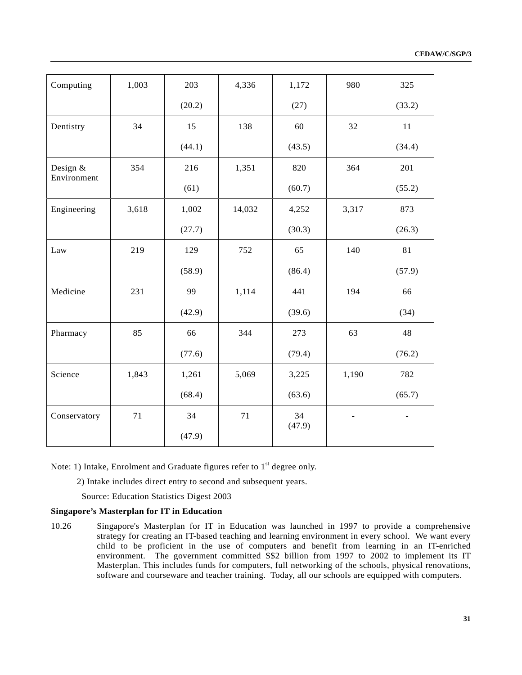| 1,003  | 203    | 4,336  | 1,172  | 980    | 325    |
|--------|--------|--------|--------|--------|--------|
|        | (20.2) |        | (27)   |        | (33.2) |
| 34     | 15     | 138    | 60     | 32     | 11     |
|        | (44.1) |        | (43.5) |        | (34.4) |
| 354    | 216    | 1,351  | 820    | 364    | 201    |
|        | (61)   |        | (60.7) |        | (55.2) |
| 3,618  | 1,002  | 14,032 | 4,252  | 3,317  | 873    |
|        | (27.7) |        | (30.3) |        | (26.3) |
| 219    | 129    | 752    | 65     | 140    | 81     |
|        | (58.9) |        | (86.4) |        | (57.9) |
| 231    | 99     | 1,114  | 441    | 194    | 66     |
|        | (42.9) |        | (39.6) |        | (34)   |
| 85     | 66     | 344    | 273    | 63     | 48     |
|        | (77.6) |        | (79.4) |        | (76.2) |
| 1,843  | 1,261  | 5,069  | 3,225  | 1,190  | 782    |
|        | (68.4) |        | (63.6) |        | (65.7) |
| $71\,$ | 34     | 71     | 34     |        |        |
|        | (47.9) |        |        |        |        |
|        |        |        |        | (47.9) |        |

Note: 1) Intake, Enrolment and Graduate figures refer to  $1<sup>st</sup>$  degree only.

2) Intake includes direct entry to second and subsequent years.

Source: Education Statistics Digest 2003

## **Singapore's Masterplan for IT in Education**

10.26 Singapore's Masterplan for IT in Education was launched in 1997 to provide a comprehensive strategy for creating an IT-based teaching and learning environment in every school. We want every child to be proficient in the use of computers and benefit from learning in an IT-enriched environment. The government committed S\$2 billion from 1997 to 2002 to implement its IT Masterplan. This includes funds for computers, full networking of the schools, physical renovations, software and courseware and teacher training. Today, all our schools are equipped with computers.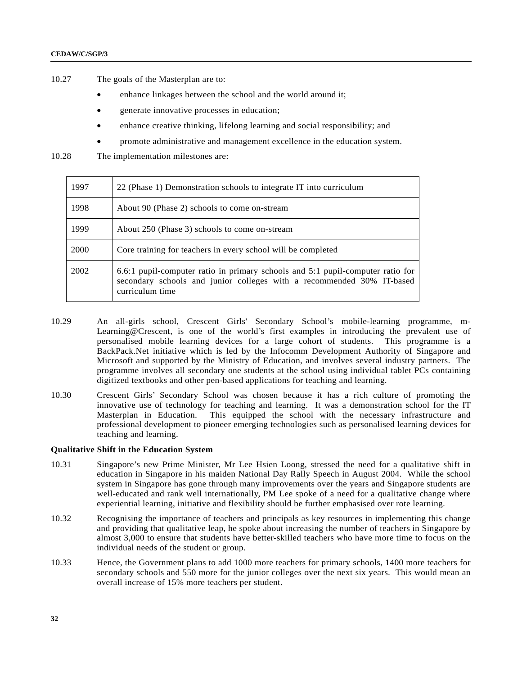- 10.27 The goals of the Masterplan are to:
	- enhance linkages between the school and the world around it;
	- generate innovative processes in education;
	- enhance creative thinking, lifelong learning and social responsibility; and
	- promote administrative and management excellence in the education system.
- 10.28 The implementation milestones are:

| 1997 | 22 (Phase 1) Demonstration schools to integrate IT into curriculum                                                                                                         |
|------|----------------------------------------------------------------------------------------------------------------------------------------------------------------------------|
| 1998 | About 90 (Phase 2) schools to come on-stream                                                                                                                               |
| 1999 | About 250 (Phase 3) schools to come on-stream                                                                                                                              |
| 2000 | Core training for teachers in every school will be completed                                                                                                               |
| 2002 | 6.6:1 pupil-computer ratio in primary schools and 5:1 pupil-computer ratio for<br>secondary schools and junior colleges with a recommended 30% IT-based<br>curriculum time |

- 10.29 An all-girls school, Crescent Girls' Secondary School's mobile-learning programme, m-Learning@Crescent, is one of the world's first examples in introducing the prevalent use of personalised mobile learning devices for a large cohort of students. This programme is a BackPack.Net initiative which is led by the Infocomm Development Authority of Singapore and Microsoft and supported by the Ministry of Education, and involves several industry partners. The programme involves all secondary one students at the school using individual tablet PCs containing digitized textbooks and other pen-based applications for teaching and learning.
- 10.30 Crescent Girls' Secondary School was chosen because it has a rich culture of promoting the innovative use of technology for teaching and learning. It was a demonstration school for the IT Masterplan in Education. This equipped the school with the necessary infrastructure and professional development to pioneer emerging technologies such as personalised learning devices for teaching and learning.

#### **Qualitative Shift in the Education System**

- 10.31 Singapore's new Prime Minister, Mr Lee Hsien Loong, stressed the need for a qualitative shift in education in Singapore in his maiden National Day Rally Speech in August 2004. While the school system in Singapore has gone through many improvements over the years and Singapore students are well-educated and rank well internationally, PM Lee spoke of a need for a qualitative change where experiential learning, initiative and flexibility should be further emphasised over rote learning.
- 10.32 Recognising the importance of teachers and principals as key resources in implementing this change and providing that qualitative leap, he spoke about increasing the number of teachers in Singapore by almost 3,000 to ensure that students have better-skilled teachers who have more time to focus on the individual needs of the student or group.
- 10.33 Hence, the Government plans to add 1000 more teachers for primary schools, 1400 more teachers for secondary schools and 550 more for the junior colleges over the next six years. This would mean an overall increase of 15% more teachers per student.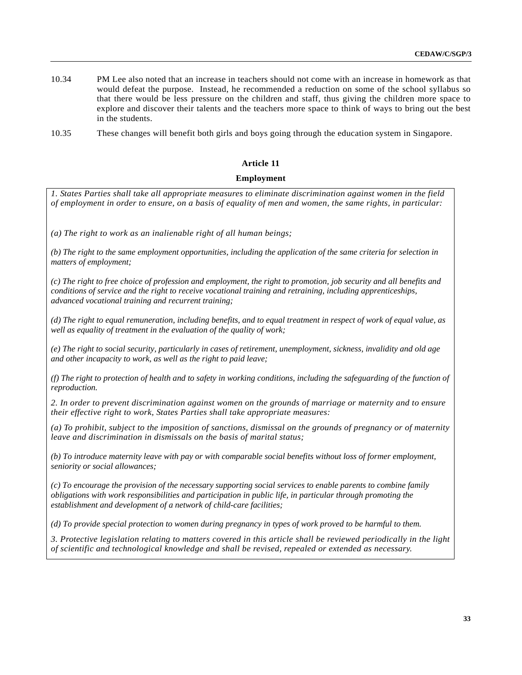- 10.34 PM Lee also noted that an increase in teachers should not come with an increase in homework as that would defeat the purpose. Instead, he recommended a reduction on some of the school syllabus so that there would be less pressure on the children and staff, thus giving the children more space to explore and discover their talents and the teachers more space to think of ways to bring out the best in the students.
- 10.35 These changes will benefit both girls and boys going through the education system in Singapore.

## **Article 11**

## **Employment**

*1. States Parties shall take all appropriate measures to eliminate discrimination against women in the field of employment in order to ensure, on a basis of equality of men and women, the same rights, in particular:*

*(a) The right to work as an inalienable right of all human beings;*

*(b) The right to the same employment opportunities, including the application of the same criteria for selection in matters of employment;*

*(c) The right to free choice of profession and employment, the right to promotion, job security and all benefits and conditions of service and the right to receive vocational training and retraining, including apprenticeships, advanced vocational training and recurrent training;*

*(d) The right to equal remuneration, including benefits, and to equal treatment in respect of work of equal value, as well as equality of treatment in the evaluation of the quality of work;*

*(e) The right to social security, particularly in cases of retirement, unemployment, sickness, invalidity and old age and other incapacity to work, as well as the right to paid leave;*

*(f) The right to protection of health and to safety in working conditions, including the safeguarding of the function of reproduction.*

*2. In order to prevent discrimination against women on the grounds of marriage or maternity and to ensure their effective right to work, States Parties shall take appropriate measures:*

*(a) To prohibit, subject to the imposition of sanctions, dismissal on the grounds of pregnancy or of maternity leave and discrimination in dismissals on the basis of marital status;*

*(b) To introduce maternity leave with pay or with comparable social benefits without loss of former employment, seniority or social allowances;*

*(c) To encourage the provision of the necessary supporting social services to enable parents to combine family obligations with work responsibilities and participation in public life, in particular through promoting the establishment and development of a network of child-care facilities;*

*(d) To provide special protection to women during pregnancy in types of work proved to be harmful to them.*

*3. Protective legislation relating to matters covered in this article shall be reviewed periodically in the light of scientific and technological knowledge and shall be revised, repealed or extended as necessary.*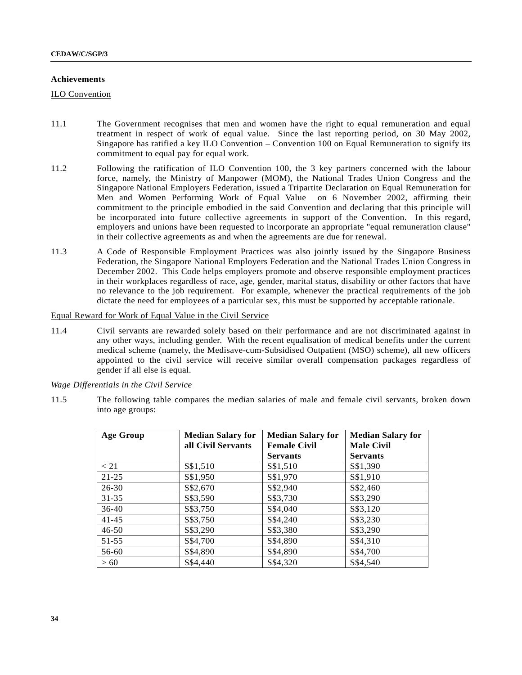### **Achievements**

## ILO Convention

- 11.1 The Government recognises that men and women have the right to equal remuneration and equal treatment in respect of work of equal value. Since the last reporting period, on 30 May 2002, Singapore has ratified a key ILO Convention – Convention 100 on Equal Remuneration to signify its commitment to equal pay for equal work.
- 11.2 Following the ratification of ILO Convention 100, the 3 key partners concerned with the labour force, namely, the Ministry of Manpower (MOM), the National Trades Union Congress and the Singapore National Employers Federation, issued a Tripartite Declaration on Equal Remuneration for Men and Women Performing Work of Equal Value on 6 November 2002, affirming their commitment to the principle embodied in the said Convention and declaring that this principle will be incorporated into future collective agreements in support of the Convention. In this regard, employers and unions have been requested to incorporate an appropriate "equal remuneration clause" in their collective agreements as and when the agreements are due for renewal.
- 11.3 A Code of Responsible Employment Practices was also jointly issued by the Singapore Business Federation, the Singapore National Employers Federation and the National Trades Union Congress in December 2002. This Code helps employers promote and observe responsible employment practices in their workplaces regardless of race, age, gender, marital status, disability or other factors that have no relevance to the job requirement. For example, whenever the practical requirements of the job dictate the need for employees of a particular sex, this must be supported by acceptable rationale.

### Equal Reward for Work of Equal Value in the Civil Service

11.4 Civil servants are rewarded solely based on their performance and are not discriminated against in any other ways, including gender. With the recent equalisation of medical benefits under the current medical scheme (namely, the Medisave-cum-Subsidised Outpatient (MSO) scheme), all new officers appointed to the civil service will receive similar overall compensation packages regardless of gender if all else is equal.

#### *Wage Differentials in the Civil Service*

11.5 The following table compares the median salaries of male and female civil servants, broken down into age groups:

| <b>Age Group</b> | <b>Median Salary for</b> | <b>Median Salary for</b> | <b>Median Salary for</b> |
|------------------|--------------------------|--------------------------|--------------------------|
|                  | all Civil Servants       | <b>Female Civil</b>      | <b>Male Civil</b>        |
|                  |                          | <b>Servants</b>          | <b>Servants</b>          |
| < 21             | S\$1,510                 | S\$1,510                 | S\$1,390                 |
| $21 - 25$        | S\$1,950                 | S\$1,970                 | S\$1,910                 |
| $26 - 30$        | S\$2,670                 | S\$2,940                 | S\$2,460                 |
| $31 - 35$        | S\$3,590                 | S\$3,730                 | S\$3,290                 |
| $36-40$          | S\$3,750                 | S\$4,040                 | S\$3,120                 |
| $41 - 45$        | S\$3,750                 | S\$4,240                 | S\$3,230                 |
| $46 - 50$        | S\$3,290                 | S\$3,380                 | S\$3,290                 |
| $51 - 55$        | S\$4,700                 | S\$4,890                 | S\$4,310                 |
| 56-60            | S\$4,890                 | S\$4,890                 | S\$4,700                 |
| > 60             | S\$4,440                 | S\$4,320                 | S\$4,540                 |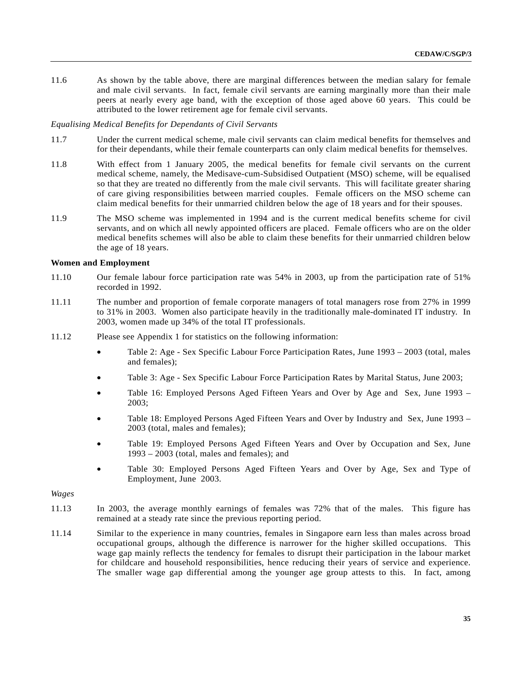11.6 As shown by the table above, there are marginal differences between the median salary for female and male civil servants. In fact, female civil servants are earning marginally more than their male peers at nearly every age band, with the exception of those aged above 60 years. This could be attributed to the lower retirement age for female civil servants.

### *Equalising Medical Benefits for Dependants of Civil Servants*

- 11.7 Under the current medical scheme, male civil servants can claim medical benefits for themselves and for their dependants, while their female counterparts can only claim medical benefits for themselves.
- 11.8 With effect from 1 January 2005, the medical benefits for female civil servants on the current medical scheme, namely, the Medisave-cum-Subsidised Outpatient (MSO) scheme, will be equalised so that they are treated no differently from the male civil servants. This will facilitate greater sharing of care giving responsibilities between married couples. Female officers on the MSO scheme can claim medical benefits for their unmarried children below the age of 18 years and for their spouses.
- 11.9 The MSO scheme was implemented in 1994 and is the current medical benefits scheme for civil servants, and on which all newly appointed officers are placed. Female officers who are on the older medical benefits schemes will also be able to claim these benefits for their unmarried children below the age of 18 years.

### **Women and Employment**

- 11.10 Our female labour force participation rate was 54% in 2003, up from the participation rate of 51% recorded in 1992.
- 11.11 The number and proportion of female corporate managers of total managers rose from 27% in 1999 to 31% in 2003. Women also participate heavily in the traditionally male-dominated IT industry. In 2003, women made up 34% of the total IT professionals.
- 11.12 Please see Appendix 1 for statistics on the following information:
	- Table 2: Age Sex Specific Labour Force Participation Rates, June 1993 2003 (total, males and females);
	- Table 3: Age Sex Specific Labour Force Participation Rates by Marital Status, June 2003;
	- Table 16: Employed Persons Aged Fifteen Years and Over by Age and Sex, June 1993 2003;
	- Table 18: Employed Persons Aged Fifteen Years and Over by Industry and Sex, June 1993 2003 (total, males and females);
	- Table 19: Employed Persons Aged Fifteen Years and Over by Occupation and Sex, June 1993 – 2003 (total, males and females); and
	- Table 30: Employed Persons Aged Fifteen Years and Over by Age, Sex and Type of Employment, June 2003.

## *Wages*

- 11.13 In 2003, the average monthly earnings of females was 72% that of the males. This figure has remained at a steady rate since the previous reporting period.
- 11.14 Similar to the experience in many countries, females in Singapore earn less than males across broad occupational groups, although the difference is narrower for the higher skilled occupations. This wage gap mainly reflects the tendency for females to disrupt their participation in the labour market for childcare and household responsibilities, hence reducing their years of service and experience. The smaller wage gap differential among the younger age group attests to this. In fact, among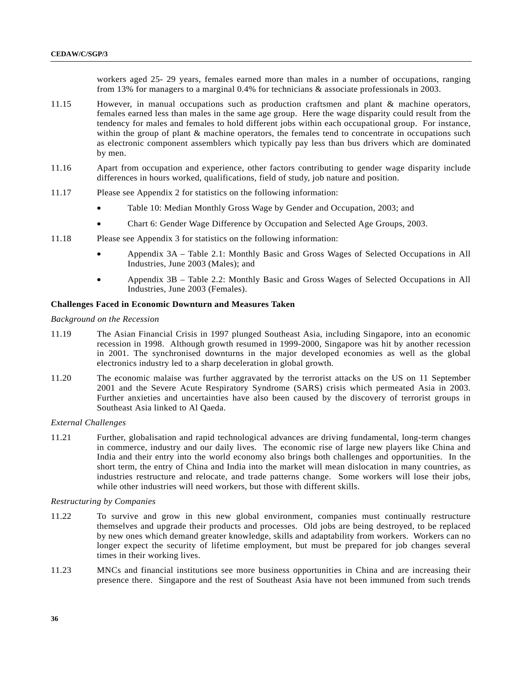workers aged 25- 29 years, females earned more than males in a number of occupations, ranging from 13% for managers to a marginal 0.4% for technicians & associate professionals in 2003.

- 11.15 However, in manual occupations such as production craftsmen and plant & machine operators, females earned less than males in the same age group. Here the wage disparity could result from the tendency for males and females to hold different jobs within each occupational group. For instance, within the group of plant & machine operators, the females tend to concentrate in occupations such as electronic component assemblers which typically pay less than bus drivers which are dominated by men.
- 11.16 Apart from occupation and experience, other factors contributing to gender wage disparity include differences in hours worked, qualifications, field of study, job nature and position.
- 11.17 Please see Appendix 2 for statistics on the following information:
	- Table 10: Median Monthly Gross Wage by Gender and Occupation, 2003; and
	- Chart 6: Gender Wage Difference by Occupation and Selected Age Groups, 2003.
- 11.18 Please see Appendix 3 for statistics on the following information:
	- Appendix 3A Table 2.1: Monthly Basic and Gross Wages of Selected Occupations in All Industries, June 2003 (Males); and
	- Appendix 3B Table 2.2: Monthly Basic and Gross Wages of Selected Occupations in All Industries, June 2003 (Females).

#### **Challenges Faced in Economic Downturn and Measures Taken**

#### *Background on the Recession*

- 11.19 The Asian Financial Crisis in 1997 plunged Southeast Asia, including Singapore, into an economic recession in 1998. Although growth resumed in 1999-2000, Singapore was hit by another recession in 2001. The synchronised downturns in the major developed economies as well as the global electronics industry led to a sharp deceleration in global growth.
- 11.20 The economic malaise was further aggravated by the terrorist attacks on the US on 11 September 2001 and the Severe Acute Respiratory Syndrome (SARS) crisis which permeated Asia in 2003. Further anxieties and uncertainties have also been caused by the discovery of terrorist groups in Southeast Asia linked to Al Qaeda.

#### *External Challenges*

11.21 Further, globalisation and rapid technological advances are driving fundamental, long-term changes in commerce, industry and our daily lives. The economic rise of large new players like China and India and their entry into the world economy also brings both challenges and opportunities. In the short term, the entry of China and India into the market will mean dislocation in many countries, as industries restructure and relocate, and trade patterns change. Some workers will lose their jobs, while other industries will need workers, but those with different skills.

#### *Restructuring by Companies*

- 11.22 To survive and grow in this new global environment, companies must continually restructure themselves and upgrade their products and processes. Old jobs are being destroyed, to be replaced by new ones which demand greater knowledge, skills and adaptability from workers. Workers can no longer expect the security of lifetime employment, but must be prepared for job changes several times in their working lives.
- 11.23 MNCs and financial institutions see more business opportunities in China and are increasing their presence there. Singapore and the rest of Southeast Asia have not been immuned from such trends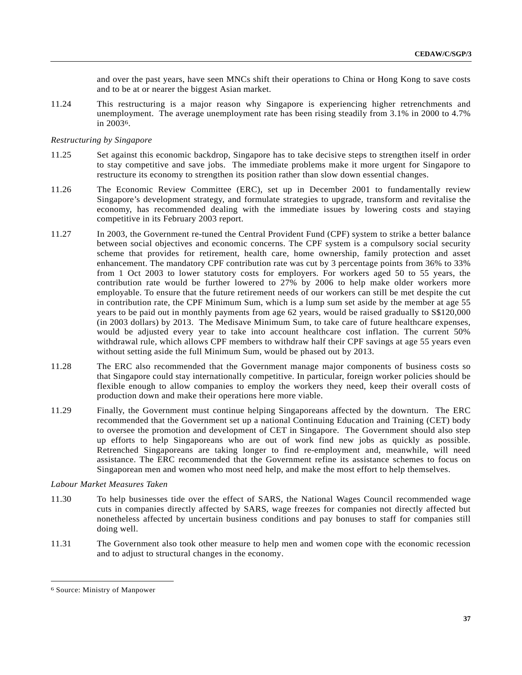and over the past years, have seen MNCs shift their operations to China or Hong Kong to save costs and to be at or nearer the biggest Asian market.

11.24 This restructuring is a major reason why Singapore is experiencing higher retrenchments and unemployment. The average unemployment rate has been rising steadily from 3.1% in 2000 to 4.7% in 20036.

# *Restructuring by Singapore*

- 11.25 Set against this economic backdrop, Singapore has to take decisive steps to strengthen itself in order to stay competitive and save jobs. The immediate problems make it more urgent for Singapore to restructure its economy to strengthen its position rather than slow down essential changes.
- 11.26 The Economic Review Committee (ERC), set up in December 2001 to fundamentally review Singapore's development strategy, and formulate strategies to upgrade, transform and revitalise the economy, has recommended dealing with the immediate issues by lowering costs and staying competitive in its February 2003 report.
- 11.27 In 2003, the Government re-tuned the Central Provident Fund (CPF) system to strike a better balance between social objectives and economic concerns. The CPF system is a compulsory social security scheme that provides for retirement, health care, home ownership, family protection and asset enhancement. The mandatory CPF contribution rate was cut by 3 percentage points from 36% to 33% from 1 Oct 2003 to lower statutory costs for employers. For workers aged 50 to 55 years, the contribution rate would be further lowered to 27% by 2006 to help make older workers more employable. To ensure that the future retirement needs of our workers can still be met despite the cut in contribution rate, the CPF Minimum Sum, which is a lump sum set aside by the member at age 55 years to be paid out in monthly payments from age 62 years, would be raised gradually to S\$120,000 (in 2003 dollars) by 2013. The Medisave Minimum Sum, to take care of future healthcare expenses, would be adjusted every year to take into account healthcare cost inflation. The current 50% withdrawal rule, which allows CPF members to withdraw half their CPF savings at age 55 years even without setting aside the full Minimum Sum, would be phased out by 2013.
- 11.28 The ERC also recommended that the Government manage major components of business costs so that Singapore could stay internationally competitive. In particular, foreign worker policies should be flexible enough to allow companies to employ the workers they need, keep their overall costs of production down and make their operations here more viable.
- 11.29 Finally, the Government must continue helping Singaporeans affected by the downturn. The ERC recommended that the Government set up a national Continuing Education and Training (CET) body to oversee the promotion and development of CET in Singapore. The Government should also step up efforts to help Singaporeans who are out of work find new jobs as quickly as possible. Retrenched Singaporeans are taking longer to find re-employment and, meanwhile, will need assistance. The ERC recommended that the Government refine its assistance schemes to focus on Singaporean men and women who most need help, and make the most effort to help themselves.

#### *Labour Market Measures Taken*

- 11.30 To help businesses tide over the effect of SARS, the National Wages Council recommended wage cuts in companies directly affected by SARS, wage freezes for companies not directly affected but nonetheless affected by uncertain business conditions and pay bonuses to staff for companies still doing well.
- 11.31 The Government also took other measure to help men and women cope with the economic recession and to adjust to structural changes in the economy.

l

<sup>6</sup> Source: Ministry of Manpower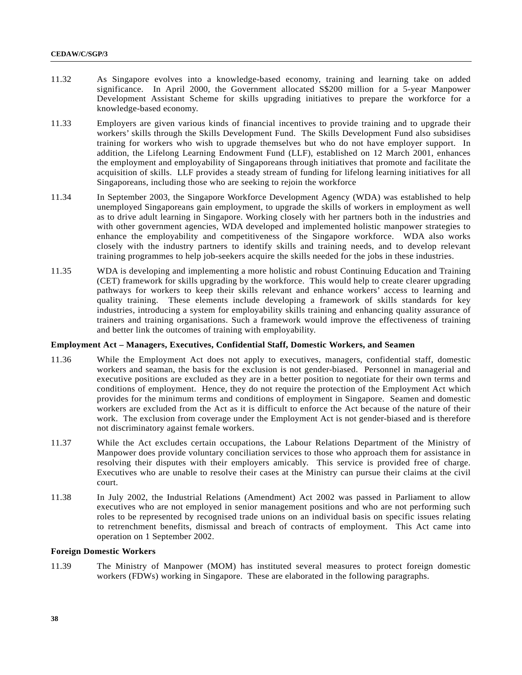- 11.32 As Singapore evolves into a knowledge-based economy, training and learning take on added significance. In April 2000, the Government allocated S\$200 million for a 5-year Manpower Development Assistant Scheme for skills upgrading initiatives to prepare the workforce for a knowledge-based economy.
- 11.33 Employers are given various kinds of financial incentives to provide training and to upgrade their workers' skills through the Skills Development Fund. The Skills Development Fund also subsidises training for workers who wish to upgrade themselves but who do not have employer support. In addition, the Lifelong Learning Endowment Fund (LLF), established on 12 March 2001, enhances the employment and employability of Singaporeans through initiatives that promote and facilitate the acquisition of skills. LLF provides a steady stream of funding for lifelong learning initiatives for all Singaporeans, including those who are seeking to rejoin the workforce
- 11.34 In September 2003, the Singapore Workforce Development Agency (WDA) was established to help unemployed Singaporeans gain employment, to upgrade the skills of workers in employment as well as to drive adult learning in Singapore. Working closely with her partners both in the industries and with other government agencies, WDA developed and implemented holistic manpower strategies to enhance the employability and competitiveness of the Singapore workforce. WDA also works closely with the industry partners to identify skills and training needs, and to develop relevant training programmes to help job-seekers acquire the skills needed for the jobs in these industries.
- 11.35 WDA is developing and implementing a more holistic and robust Continuing Education and Training (CET) framework for skills upgrading by the workforce. This would help to create clearer upgrading pathways for workers to keep their skills relevant and enhance workers' access to learning and quality training. These elements include developing a framework of skills standards for key industries, introducing a system for employability skills training and enhancing quality assurance of trainers and training organisations. Such a framework would improve the effectiveness of training and better link the outcomes of training with employability.

# **Employment Act – Managers, Executives, Confidential Staff, Domestic Workers, and Seamen**

- 11.36 While the Employment Act does not apply to executives, managers, confidential staff, domestic workers and seaman, the basis for the exclusion is not gender-biased. Personnel in managerial and executive positions are excluded as they are in a better position to negotiate for their own terms and conditions of employment. Hence, they do not require the protection of the Employment Act which provides for the minimum terms and conditions of employment in Singapore. Seamen and domestic workers are excluded from the Act as it is difficult to enforce the Act because of the nature of their work. The exclusion from coverage under the Employment Act is not gender-biased and is therefore not discriminatory against female workers.
- 11.37 While the Act excludes certain occupations, the Labour Relations Department of the Ministry of Manpower does provide voluntary conciliation services to those who approach them for assistance in resolving their disputes with their employers amicably. This service is provided free of charge. Executives who are unable to resolve their cases at the Ministry can pursue their claims at the civil court.
- 11.38 In July 2002, the Industrial Relations (Amendment) Act 2002 was passed in Parliament to allow executives who are not employed in senior management positions and who are not performing such roles to be represented by recognised trade unions on an individual basis on specific issues relating to retrenchment benefits, dismissal and breach of contracts of employment. This Act came into operation on 1 September 2002.

#### **Foreign Domestic Workers**

11.39 The Ministry of Manpower (MOM) has instituted several measures to protect foreign domestic workers (FDWs) working in Singapore. These are elaborated in the following paragraphs.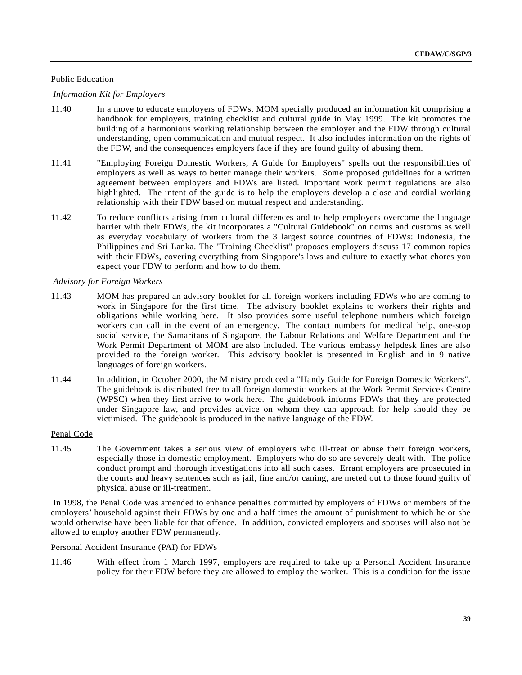# Public Education

#### *Information Kit for Employers*

- 11.40 In a move to educate employers of FDWs, MOM specially produced an information kit comprising a handbook for employers, training checklist and cultural guide in May 1999. The kit promotes the building of a harmonious working relationship between the employer and the FDW through cultural understanding, open communication and mutual respect. It also includes information on the rights of the FDW, and the consequences employers face if they are found guilty of abusing them.
- 11.41 "Employing Foreign Domestic Workers, A Guide for Employers" spells out the responsibilities of employers as well as ways to better manage their workers. Some proposed guidelines for a written agreement between employers and FDWs are listed. Important work permit regulations are also highlighted. The intent of the guide is to help the employers develop a close and cordial working relationship with their FDW based on mutual respect and understanding.
- 11.42 To reduce conflicts arising from cultural differences and to help employers overcome the language barrier with their FDWs, the kit incorporates a "Cultural Guidebook" on norms and customs as well as everyday vocabulary of workers from the 3 largest source countries of FDWs: Indonesia, the Philippines and Sri Lanka. The "Training Checklist" proposes employers discuss 17 common topics with their FDWs, covering everything from Singapore's laws and culture to exactly what chores you expect your FDW to perform and how to do them.

 *Advisory for Foreign Workers*

- 11.43 MOM has prepared an advisory booklet for all foreign workers including FDWs who are coming to work in Singapore for the first time. The advisory booklet explains to workers their rights and obligations while working here. It also provides some useful telephone numbers which foreign workers can call in the event of an emergency. The contact numbers for medical help, one-stop social service, the Samaritans of Singapore, the Labour Relations and Welfare Department and the Work Permit Department of MOM are also included. The various embassy helpdesk lines are also provided to the foreign worker. This advisory booklet is presented in English and in 9 native languages of foreign workers.
- 11.44 In addition, in October 2000, the Ministry produced a "Handy Guide for Foreign Domestic Workers". The guidebook is distributed free to all foreign domestic workers at the Work Permit Services Centre (WPSC) when they first arrive to work here. The guidebook informs FDWs that they are protected under Singapore law, and provides advice on whom they can approach for help should they be victimised. The guidebook is produced in the native language of the FDW.

# Penal Code

11.45 The Government takes a serious view of employers who ill-treat or abuse their foreign workers, especially those in domestic employment. Employers who do so are severely dealt with. The police conduct prompt and thorough investigations into all such cases. Errant employers are prosecuted in the courts and heavy sentences such as jail, fine and/or caning, are meted out to those found guilty of physical abuse or ill-treatment.

 In 1998, the Penal Code was amended to enhance penalties committed by employers of FDWs or members of the employers' household against their FDWs by one and a half times the amount of punishment to which he or she would otherwise have been liable for that offence. In addition, convicted employers and spouses will also not be allowed to employ another FDW permanently.

# Personal Accident Insurance (PAI) for FDWs

11.46 With effect from 1 March 1997, employers are required to take up a Personal Accident Insurance policy for their FDW before they are allowed to employ the worker. This is a condition for the issue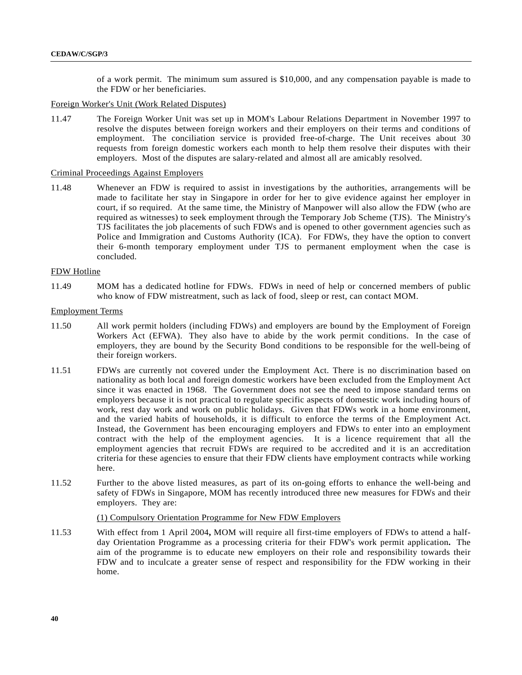of a work permit. The minimum sum assured is \$10,000, and any compensation payable is made to the FDW or her beneficiaries.

#### Foreign Worker's Unit (Work Related Disputes)

11.47 The Foreign Worker Unit was set up in MOM's Labour Relations Department in November 1997 to resolve the disputes between foreign workers and their employers on their terms and conditions of employment. The conciliation service is provided free-of-charge. The Unit receives about 30 requests from foreign domestic workers each month to help them resolve their disputes with their employers. Most of the disputes are salary-related and almost all are amicably resolved.

# Criminal Proceedings Against Employers

11.48 Whenever an FDW is required to assist in investigations by the authorities, arrangements will be made to facilitate her stay in Singapore in order for her to give evidence against her employer in court, if so required. At the same time, the Ministry of Manpower will also allow the FDW (who are required as witnesses) to seek employment through the Temporary Job Scheme (TJS). The Ministry's TJS facilitates the job placements of such FDWs and is opened to other government agencies such as Police and Immigration and Customs Authority (ICA). For FDWs, they have the option to convert their 6-month temporary employment under TJS to permanent employment when the case is concluded.

#### FDW Hotline

11.49 MOM has a dedicated hotline for FDWs. FDWs in need of help or concerned members of public who know of FDW mistreatment, such as lack of food, sleep or rest, can contact MOM.

#### Employment Terms

- 11.50 All work permit holders (including FDWs) and employers are bound by the Employment of Foreign Workers Act (EFWA). They also have to abide by the work permit conditions. In the case of employers, they are bound by the Security Bond conditions to be responsible for the well-being of their foreign workers.
- 11.51 FDWs are currently not covered under the Employment Act. There is no discrimination based on nationality as both local and foreign domestic workers have been excluded from the Employment Act since it was enacted in 1968. The Government does not see the need to impose standard terms on employers because it is not practical to regulate specific aspects of domestic work including hours of work, rest day work and work on public holidays. Given that FDWs work in a home environment, and the varied habits of households, it is difficult to enforce the terms of the Employment Act. Instead, the Government has been encouraging employers and FDWs to enter into an employment contract with the help of the employment agencies. It is a licence requirement that all the employment agencies that recruit FDWs are required to be accredited and it is an accreditation criteria for these agencies to ensure that their FDW clients have employment contracts while working here.
- 11.52 Further to the above listed measures, as part of its on-going efforts to enhance the well-being and safety of FDWs in Singapore, MOM has recently introduced three new measures for FDWs and their employers. They are:

#### (1) Compulsory Orientation Programme for New FDW Employers

11.53 With effect from 1 April 2004**,** MOM will require all first-time employers of FDWs to attend a halfday Orientation Programme as a processing criteria for their FDW's work permit application**.** The aim of the programme is to educate new employers on their role and responsibility towards their FDW and to inculcate a greater sense of respect and responsibility for the FDW working in their home.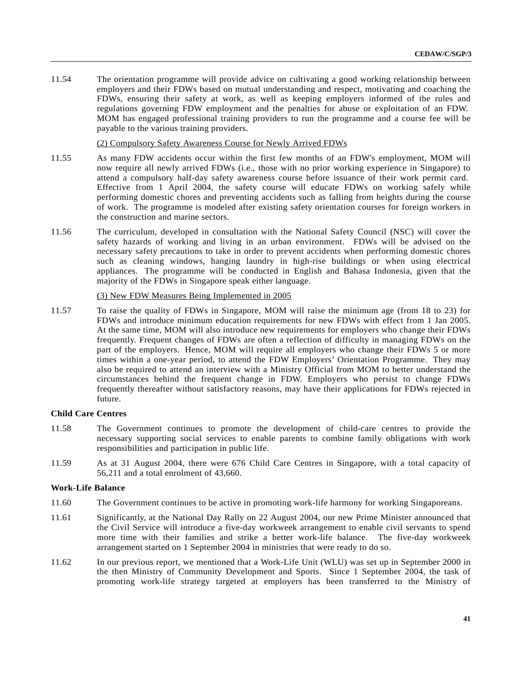11.54 The orientation programme will provide advice on cultivating a good working relationship between employers and their FDWs based on mutual understanding and respect, motivating and coaching the FDWs, ensuring their safety at work, as well as keeping employers informed of the rules and regulations governing FDW employment and the penalties for abuse or exploitation of an FDW. MOM has engaged professional training providers to run the programme and a course fee will be payable to the various training providers.

(2) Compulsory Safety Awareness Course for Newly Arrived FDWs

- 11.55 As many FDW accidents occur within the first few months of an FDW's employment, MOM will now require all newly arrived FDWs (i.e., those with no prior working experience in Singapore) to attend a compulsory half-day safety awareness course before issuance of their work permit card. Effective from 1 April 2004, the safety course will educate FDWs on working safely while performing domestic chores and preventing accidents such as falling from heights during the course of work. The programme is modeled after existing safety orientation courses for foreign workers in the construction and marine sectors.
- 11.56 The curriculum, developed in consultation with the National Safety Council (NSC) will cover the safety hazards of working and living in an urban environment. FDWs will be advised on the necessary safety precautions to take in order to prevent accidents when performing domestic chores such as cleaning windows, hanging laundry in high-rise buildings or when using electrical appliances. The programme will be conducted in English and Bahasa Indonesia, given that the majority of the FDWs in Singapore speak either language.

# (3) New FDW Measures Being Implemented in 2005

11.57 To raise the quality of FDWs in Singapore, MOM will raise the minimum age (from 18 to 23) for FDWs and introduce minimum education requirements for new FDWs with effect from 1 Jan 2005. At the same time, MOM will also introduce new requirements for employers who change their FDWs frequently. Frequent changes of FDWs are often a reflection of difficulty in managing FDWs on the part of the employers. Hence, MOM will require all employers who change their FDWs 5 or more times within a one-year period, to attend the FDW Employers' Orientation Programme. They may also be required to attend an interview with a Ministry Official from MOM to better understand the circumstances behind the frequent change in FDW. Employers who persist to change FDWs frequently thereafter without satisfactory reasons, may have their applications for FDWs rejected in future.

# **Child Care Centres**

- 11.58 The Government continues to promote the development of child-care centres to provide the necessary supporting social services to enable parents to combine family obligations with work responsibilities and participation in public life.
- 11.59 As at 31 August 2004, there were 676 Child Care Centres in Singapore, with a total capacity of 56,211 and a total enrolment of 43,660.

# **Work-Life Balance**

- 11.60 The Government continues to be active in promoting work-life harmony for working Singaporeans.
- 11.61 Significantly, at the National Day Rally on 22 August 2004, our new Prime Minister announced that the Civil Service will introduce a five-day workweek arrangement to enable civil servants to spend more time with their families and strike a better work-life balance. The five-day workweek arrangement started on 1 September 2004 in ministries that were ready to do so.
- 11.62 In our previous report, we mentioned that a Work-Life Unit (WLU) was set up in September 2000 in the then Ministry of Community Development and Sports. Since 1 September 2004, the task of promoting work-life strategy targeted at employers has been transferred to the Ministry of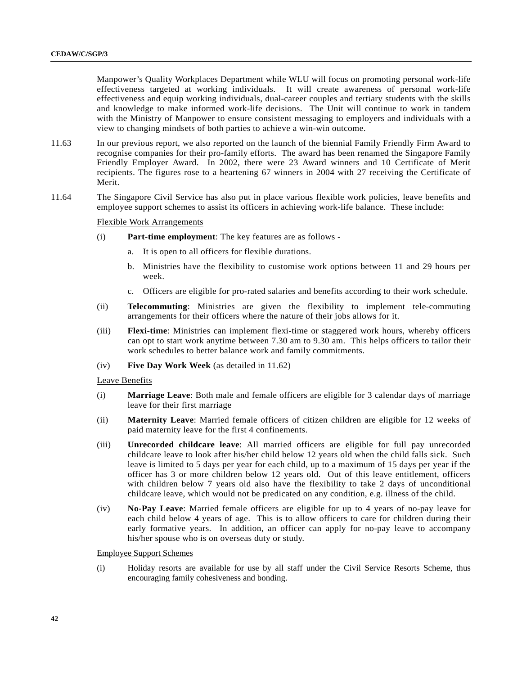Manpower's Quality Workplaces Department while WLU will focus on promoting personal work-life effectiveness targeted at working individuals. It will create awareness of personal work-life effectiveness and equip working individuals, dual-career couples and tertiary students with the skills and knowledge to make informed work-life decisions. The Unit will continue to work in tandem with the Ministry of Manpower to ensure consistent messaging to employers and individuals with a view to changing mindsets of both parties to achieve a win-win outcome.

- 11.63 In our previous report, we also reported on the launch of the biennial Family Friendly Firm Award to recognise companies for their pro-family efforts. The award has been renamed the Singapore Family Friendly Employer Award. In 2002, there were 23 Award winners and 10 Certificate of Merit recipients. The figures rose to a heartening 67 winners in 2004 with 27 receiving the Certificate of Merit.
- 11.64 The Singapore Civil Service has also put in place various flexible work policies, leave benefits and employee support schemes to assist its officers in achieving work-life balance. These include:

#### Flexible Work Arrangements

- (i) **Part-time employment**: The key features are as follows
	- a. It is open to all officers for flexible durations.
	- b. Ministries have the flexibility to customise work options between 11 and 29 hours per week.
	- c. Officers are eligible for pro-rated salaries and benefits according to their work schedule.
- (ii) **Telecommuting**: Ministries are given the flexibility to implement tele-commuting arrangements for their officers where the nature of their jobs allows for it.
- (iii) **Flexi-time**: Ministries can implement flexi-time or staggered work hours, whereby officers can opt to start work anytime between 7.30 am to 9.30 am. This helps officers to tailor their work schedules to better balance work and family commitments.
- (iv) **Five Day Work Week** (as detailed in 11.62)

#### Leave Benefits

- (i) **Marriage Leave**: Both male and female officers are eligible for 3 calendar days of marriage leave for their first marriage
- (ii) **Maternity Leave**: Married female officers of citizen children are eligible for 12 weeks of paid maternity leave for the first 4 confinements.
- (iii) **Unrecorded childcare leave**: All married officers are eligible for full pay unrecorded childcare leave to look after his/her child below 12 years old when the child falls sick. Such leave is limited to 5 days per year for each child, up to a maximum of 15 days per year if the officer has 3 or more children below 12 years old. Out of this leave entitlement, officers with children below 7 years old also have the flexibility to take 2 days of unconditional childcare leave, which would not be predicated on any condition, e.g. illness of the child.
- (iv) **No-Pay Leave**: Married female officers are eligible for up to 4 years of no-pay leave for each child below 4 years of age. This is to allow officers to care for children during their early formative years. In addition, an officer can apply for no-pay leave to accompany his/her spouse who is on overseas duty or study.

# Employee Support Schemes

(i) Holiday resorts are available for use by all staff under the Civil Service Resorts Scheme, thus encouraging family cohesiveness and bonding.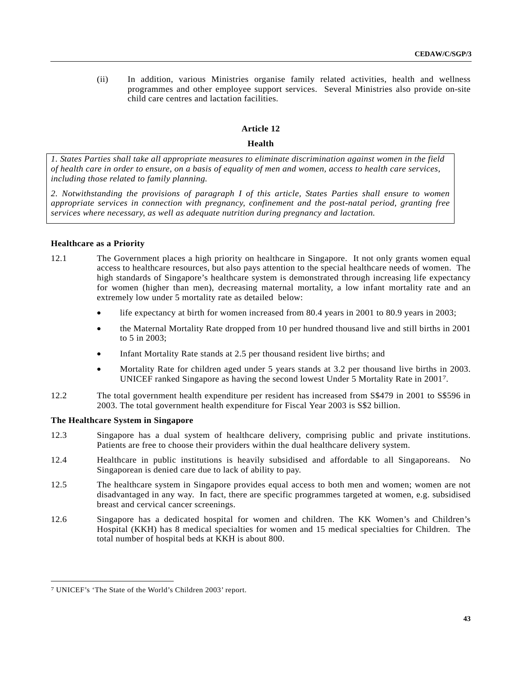(ii) In addition, various Ministries organise family related activities, health and wellness programmes and other employee support services. Several Ministries also provide on-site child care centres and lactation facilities.

# **Article 12**

# **Health**

*1. States Parties shall take all appropriate measures to eliminate discrimination against women in the field of health care in order to ensure, on a basis of equality of men and women, access to health care services, including those related to family planning.*

*2. Notwithstanding the provisions of paragraph I of this article, States Parties shall ensure to women appropriate services in connection with pregnancy, confinement and the post-natal period, granting free services where necessary, as well as adequate nutrition during pregnancy and lactation.*

# **Healthcare as a Priority**

- 12.1 The Government places a high priority on healthcare in Singapore. It not only grants women equal access to healthcare resources, but also pays attention to the special healthcare needs of women. The high standards of Singapore's healthcare system is demonstrated through increasing life expectancy for women (higher than men), decreasing maternal mortality, a low infant mortality rate and an extremely low under 5 mortality rate as detailed below:
	- life expectancy at birth for women increased from 80.4 years in 2001 to 80.9 years in 2003;
	- the Maternal Mortality Rate dropped from 10 per hundred thousand live and still births in 2001 to 5 in 2003;
	- Infant Mortality Rate stands at 2.5 per thousand resident live births; and
	- Mortality Rate for children aged under 5 years stands at 3.2 per thousand live births in 2003. UNICEF ranked Singapore as having the second lowest Under 5 Mortality Rate in 20017.
- 12.2 The total government health expenditure per resident has increased from S\$479 in 2001 to S\$596 in 2003. The total government health expenditure for Fiscal Year 2003 is S\$2 billion.

# **The Healthcare System in Singapore**

- 12.3 Singapore has a dual system of healthcare delivery, comprising public and private institutions. Patients are free to choose their providers within the dual healthcare delivery system.
- 12.4 Healthcare in public institutions is heavily subsidised and affordable to all Singaporeans. No Singaporean is denied care due to lack of ability to pay.
- 12.5 The healthcare system in Singapore provides equal access to both men and women; women are not disadvantaged in any way. In fact, there are specific programmes targeted at women, e.g. subsidised breast and cervical cancer screenings.
- 12.6 Singapore has a dedicated hospital for women and children. The KK Women's and Children's Hospital (KKH) has 8 medical specialties for women and 15 medical specialties for Children. The total number of hospital beds at KKH is about 800.

l

<sup>7</sup> UNICEF's 'The State of the World's Children 2003' report.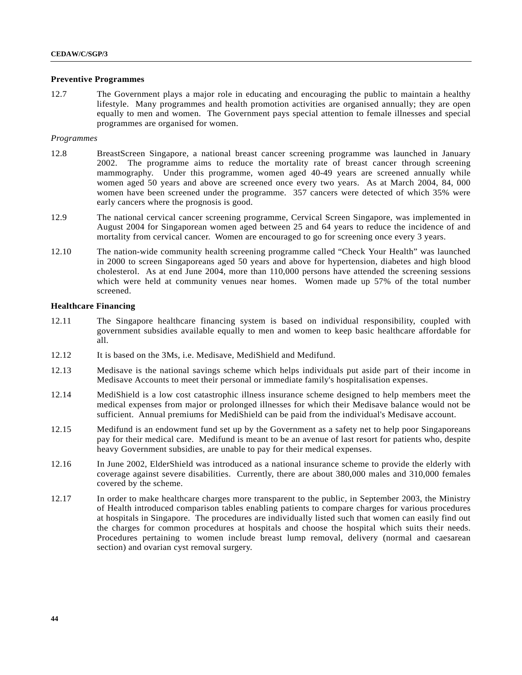# **Preventive Programmes**

12.7 The Government plays a major role in educating and encouraging the public to maintain a healthy lifestyle. Many programmes and health promotion activities are organised annually; they are open equally to men and women. The Government pays special attention to female illnesses and special programmes are organised for women.

#### *Programmes*

- 12.8 BreastScreen Singapore, a national breast cancer screening programme was launched in January 2002. The programme aims to reduce the mortality rate of breast cancer through screening mammography. Under this programme, women aged 40-49 years are screened annually while women aged 50 years and above are screened once every two years. As at March 2004, 84, 000 women have been screened under the programme. 357 cancers were detected of which 35% were early cancers where the prognosis is good.
- 12.9 The national cervical cancer screening programme, Cervical Screen Singapore, was implemented in August 2004 for Singaporean women aged between 25 and 64 years to reduce the incidence of and mortality from cervical cancer. Women are encouraged to go for screening once every 3 years.
- 12.10 The nation-wide community health screening programme called "Check Your Health" was launched in 2000 to screen Singaporeans aged 50 years and above for hypertension, diabetes and high blood cholesterol. As at end June 2004, more than 110,000 persons have attended the screening sessions which were held at community venues near homes. Women made up 57% of the total number screened.

#### **Healthcare Financing**

- 12.11 The Singapore healthcare financing system is based on individual responsibility, coupled with government subsidies available equally to men and women to keep basic healthcare affordable for all.
- 12.12 It is based on the 3Ms, i.e. Medisave, MediShield and Medifund.
- 12.13 Medisave is the national savings scheme which helps individuals put aside part of their income in Medisave Accounts to meet their personal or immediate family's hospitalisation expenses.
- 12.14 MediShield is a low cost catastrophic illness insurance scheme designed to help members meet the medical expenses from major or prolonged illnesses for which their Medisave balance would not be sufficient. Annual premiums for MediShield can be paid from the individual's Medisave account.
- 12.15 Medifund is an endowment fund set up by the Government as a safety net to help poor Singaporeans pay for their medical care. Medifund is meant to be an avenue of last resort for patients who, despite heavy Government subsidies, are unable to pay for their medical expenses.
- 12.16 In June 2002, ElderShield was introduced as a national insurance scheme to provide the elderly with coverage against severe disabilities. Currently, there are about 380,000 males and 310,000 females covered by the scheme.
- 12.17 In order to make healthcare charges more transparent to the public, in September 2003, the Ministry of Health introduced comparison tables enabling patients to compare charges for various procedures at hospitals in Singapore. The procedures are individually listed such that women can easily find out the charges for common procedures at hospitals and choose the hospital which suits their needs. Procedures pertaining to women include breast lump removal, delivery (normal and caesarean section) and ovarian cyst removal surgery.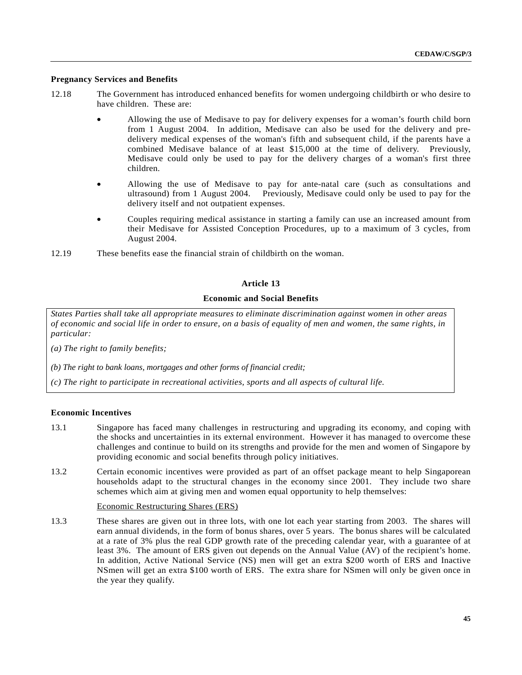# **Pregnancy Services and Benefits**

- 12.18 The Government has introduced enhanced benefits for women undergoing childbirth or who desire to have children. These are:
	- Allowing the use of Medisave to pay for delivery expenses for a woman's fourth child born from 1 August 2004. In addition, Medisave can also be used for the delivery and predelivery medical expenses of the woman's fifth and subsequent child, if the parents have a combined Medisave balance of at least \$15,000 at the time of delivery. Previously, Medisave could only be used to pay for the delivery charges of a woman's first three children.
	- Allowing the use of Medisave to pay for ante-natal care (such as consultations and ultrasound) from 1 August 2004. Previously, Medisave could only be used to pay for the delivery itself and not outpatient expenses.
	- Couples requiring medical assistance in starting a family can use an increased amount from their Medisave for Assisted Conception Procedures, up to a maximum of 3 cycles, from August 2004.
- 12.19 These benefits ease the financial strain of childbirth on the woman.

# **Article 13**

# **Economic and Social Benefits**

*States Parties shall take all appropriate measures to eliminate discrimination against women in other areas of economic and social life in order to ensure, on a basis of equality of men and women, the same rights, in particular:*

*(a) The right to family benefits;*

*(b) The right to bank loans, mortgages and other forms of financial credit;*

*(c) The right to participate in recreational activities, sports and all aspects of cultural life.*

# **Economic Incentives**

- 13.1 Singapore has faced many challenges in restructuring and upgrading its economy, and coping with the shocks and uncertainties in its external environment. However it has managed to overcome these challenges and continue to build on its strengths and provide for the men and women of Singapore by providing economic and social benefits through policy initiatives.
- 13.2 Certain economic incentives were provided as part of an offset package meant to help Singaporean households adapt to the structural changes in the economy since 2001. They include two share schemes which aim at giving men and women equal opportunity to help themselves:

Economic Restructuring Shares (ERS)

13.3 These shares are given out in three lots, with one lot each year starting from 2003. The shares will earn annual dividends, in the form of bonus shares, over 5 years. The bonus shares will be calculated at a rate of 3% plus the real GDP growth rate of the preceding calendar year, with a guarantee of at least 3%. The amount of ERS given out depends on the Annual Value (AV) of the recipient's home. In addition, Active National Service (NS) men will get an extra \$200 worth of ERS and Inactive NSmen will get an extra \$100 worth of ERS. The extra share for NSmen will only be given once in the year they qualify.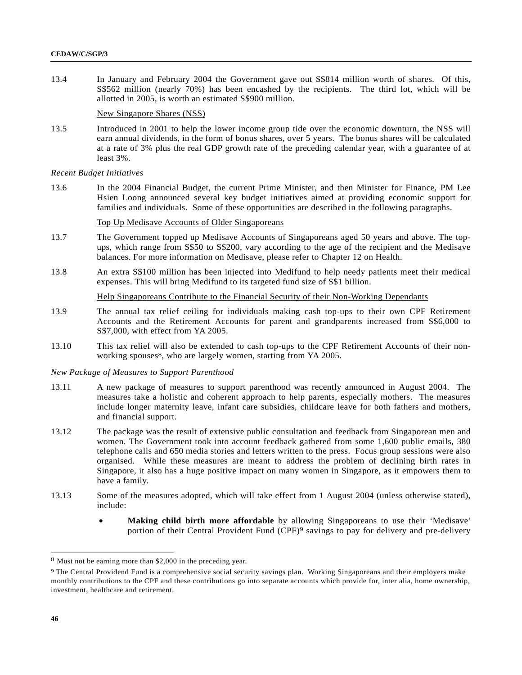13.4 In January and February 2004 the Government gave out S\$814 million worth of shares. Of this, S\$562 million (nearly 70%) has been encashed by the recipients. The third lot, which will be allotted in 2005, is worth an estimated S\$900 million.

New Singapore Shares (NSS)

13.5 Introduced in 2001 to help the lower income group tide over the economic downturn, the NSS will earn annual dividends, in the form of bonus shares, over 5 years. The bonus shares will be calculated at a rate of 3% plus the real GDP growth rate of the preceding calendar year, with a guarantee of at least 3%.

*Recent Budget Initiatives*

13.6 In the 2004 Financial Budget, the current Prime Minister, and then Minister for Finance, PM Lee Hsien Loong announced several key budget initiatives aimed at providing economic support for families and individuals. Some of these opportunities are described in the following paragraphs.

#### Top Up Medisave Accounts of Older Singaporeans

- 13.7 The Government topped up Medisave Accounts of Singaporeans aged 50 years and above. The topups, which range from S\$50 to S\$200, vary according to the age of the recipient and the Medisave balances. For more information on Medisave, please refer to Chapter 12 on Health.
- 13.8 An extra S\$100 million has been injected into Medifund to help needy patients meet their medical expenses. This will bring Medifund to its targeted fund size of S\$1 billion.

Help Singaporeans Contribute to the Financial Security of their Non-Working Dependants

- 13.9 The annual tax relief ceiling for individuals making cash top-ups to their own CPF Retirement Accounts and the Retirement Accounts for parent and grandparents increased from S\$6,000 to S\$7,000, with effect from YA 2005.
- 13.10 This tax relief will also be extended to cash top-ups to the CPF Retirement Accounts of their nonworking spouses<sup>8</sup>, who are largely women, starting from YA 2005.

*New Package of Measures to Support Parenthood*

- 13.11 A new package of measures to support parenthood was recently announced in August 2004. The measures take a holistic and coherent approach to help parents, especially mothers. The measures include longer maternity leave, infant care subsidies, childcare leave for both fathers and mothers, and financial support.
- 13.12 The package was the result of extensive public consultation and feedback from Singaporean men and women. The Government took into account feedback gathered from some 1,600 public emails, 380 telephone calls and 650 media stories and letters written to the press. Focus group sessions were also organised. While these measures are meant to address the problem of declining birth rates in Singapore, it also has a huge positive impact on many women in Singapore, as it empowers them to have a family.
- 13.13 Some of the measures adopted, which will take effect from 1 August 2004 (unless otherwise stated), include:
	- **Making child birth more affordable** by allowing Singaporeans to use their 'Medisave' portion of their Central Provident Fund (CPF)9 savings to pay for delivery and pre-delivery

l

<sup>8</sup> Must not be earning more than \$2,000 in the preceding year.

<sup>9</sup> The Central Providend Fund is a comprehensive social security savings plan. Working Singaporeans and their employers make monthly contributions to the CPF and these contributions go into separate accounts which provide for, inter alia, home ownership, investment, healthcare and retirement.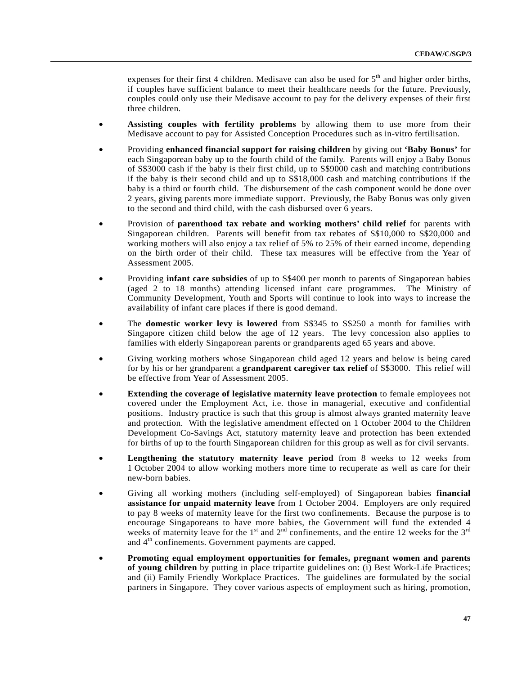expenses for their first 4 children. Medisave can also be used for  $5<sup>th</sup>$  and higher order births, if couples have sufficient balance to meet their healthcare needs for the future. Previously, couples could only use their Medisave account to pay for the delivery expenses of their first three children.

- **Assisting couples with fertility problems** by allowing them to use more from their Medisave account to pay for Assisted Conception Procedures such as in-vitro fertilisation.
- Providing **enhanced financial support for raising children** by giving out **'Baby Bonus'** for each Singaporean baby up to the fourth child of the family. Parents will enjoy a Baby Bonus of S\$3000 cash if the baby is their first child, up to S\$9000 cash and matching contributions if the baby is their second child and up to S\$18,000 cash and matching contributions if the baby is a third or fourth child. The disbursement of the cash component would be done over 2 years, giving parents more immediate support. Previously, the Baby Bonus was only given to the second and third child, with the cash disbursed over 6 years.
- Provision of **parenthood tax rebate and working mothers' child relief** for parents with Singaporean children. Parents will benefit from tax rebates of S\$10,000 to S\$20,000 and working mothers will also enjoy a tax relief of 5% to 25% of their earned income, depending on the birth order of their child. These tax measures will be effective from the Year of Assessment 2005.
- Providing **infant care subsidies** of up to S\$400 per month to parents of Singaporean babies (aged 2 to 18 months) attending licensed infant care programmes. The Ministry of Community Development, Youth and Sports will continue to look into ways to increase the availability of infant care places if there is good demand.
- The **domestic worker levy is lowered** from S\$345 to S\$250 a month for families with Singapore citizen child below the age of 12 years. The levy concession also applies to families with elderly Singaporean parents or grandparents aged 65 years and above.
- Giving working mothers whose Singaporean child aged 12 years and below is being cared for by his or her grandparent a **grandparent caregiver tax relief** of S\$3000. This relief will be effective from Year of Assessment 2005.
- **Extending the coverage of legislative maternity leave protection** to female employees not covered under the Employment Act, i.e. those in managerial, executive and confidential positions. Industry practice is such that this group is almost always granted maternity leave and protection. With the legislative amendment effected on 1 October 2004 to the Children Development Co-Savings Act, statutory maternity leave and protection has been extended for births of up to the fourth Singaporean children for this group as well as for civil servants.
- **Lengthening the statutory maternity leave period** from 8 weeks to 12 weeks from 1 October 2004 to allow working mothers more time to recuperate as well as care for their new-born babies.
- Giving all working mothers (including self-employed) of Singaporean babies **financial assistance for unpaid maternity leave** from 1 October 2004. Employers are only required to pay 8 weeks of maternity leave for the first two confinements. Because the purpose is to encourage Singaporeans to have more babies, the Government will fund the extended 4 weeks of maternity leave for the  $1<sup>st</sup>$  and  $2<sup>nd</sup>$  confinements, and the entire 12 weeks for the  $3<sup>rd</sup>$ and 4th confinements. Government payments are capped.
- **Promoting equal employment opportunities for females, pregnant women and parents of young children** by putting in place tripartite guidelines on: (i) Best Work-Life Practices; and (ii) Family Friendly Workplace Practices. The guidelines are formulated by the social partners in Singapore. They cover various aspects of employment such as hiring, promotion,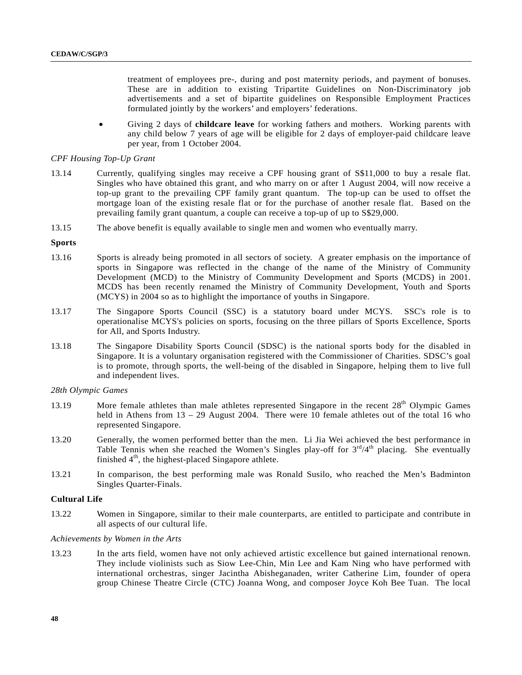treatment of employees pre-, during and post maternity periods, and payment of bonuses. These are in addition to existing Tripartite Guidelines on Non-Discriminatory job advertisements and a set of bipartite guidelines on Responsible Employment Practices formulated jointly by the workers' and employers' federations.

• Giving 2 days of **childcare leave** for working fathers and mothers. Working parents with any child below 7 years of age will be eligible for 2 days of employer-paid childcare leave per year, from 1 October 2004.

# *CPF Housing Top-Up Grant*

- 13.14 Currently, qualifying singles may receive a CPF housing grant of S\$11,000 to buy a resale flat. Singles who have obtained this grant, and who marry on or after 1 August 2004, will now receive a top-up grant to the prevailing CPF family grant quantum. The top-up can be used to offset the mortgage loan of the existing resale flat or for the purchase of another resale flat. Based on the prevailing family grant quantum, a couple can receive a top-up of up to S\$29,000.
- 13.15 The above benefit is equally available to single men and women who eventually marry.

#### **Sports**

- 13.16 Sports is already being promoted in all sectors of society. A greater emphasis on the importance of sports in Singapore was reflected in the change of the name of the Ministry of Community Development (MCD) to the Ministry of Community Development and Sports (MCDS) in 2001. MCDS has been recently renamed the Ministry of Community Development, Youth and Sports (MCYS) in 2004 so as to highlight the importance of youths in Singapore.
- 13.17 The Singapore Sports Council (SSC) is a statutory board under MCYS. SSC's role is to operationalise MCYS's policies on sports, focusing on the three pillars of Sports Excellence, Sports for All, and Sports Industry.
- 13.18 The Singapore Disability Sports Council (SDSC) is the national sports body for the disabled in Singapore. It is a voluntary organisation registered with the Commissioner of Charities. SDSC's goal is to promote, through sports, the well-being of the disabled in Singapore, helping them to live full and independent lives.

#### *28th Olympic Games*

- 13.19 More female athletes than male athletes represented Singapore in the recent 28<sup>th</sup> Olympic Games held in Athens from 13 – 29 August 2004. There were 10 female athletes out of the total 16 who represented Singapore.
- 13.20 Generally, the women performed better than the men. Li Jia Wei achieved the best performance in Table Tennis when she reached the Women's Singles play-off for  $3<sup>rd</sup>/4<sup>th</sup>$  placing. She eventually finished  $4<sup>th</sup>$ , the highest-placed Singapore athlete.
- 13.21 In comparison, the best performing male was Ronald Susilo, who reached the Men's Badminton Singles Quarter-Finals.

#### **Cultural Life**

13.22 Women in Singapore, similar to their male counterparts, are entitled to participate and contribute in all aspects of our cultural life.

#### *Achievements by Women in the Arts*

13.23 In the arts field, women have not only achieved artistic excellence but gained international renown. They include violinists such as Siow Lee-Chin, Min Lee and Kam Ning who have performed with international orchestras, singer Jacintha Abisheganaden, writer Catherine Lim, founder of opera group Chinese Theatre Circle (CTC) Joanna Wong, and composer Joyce Koh Bee Tuan. The local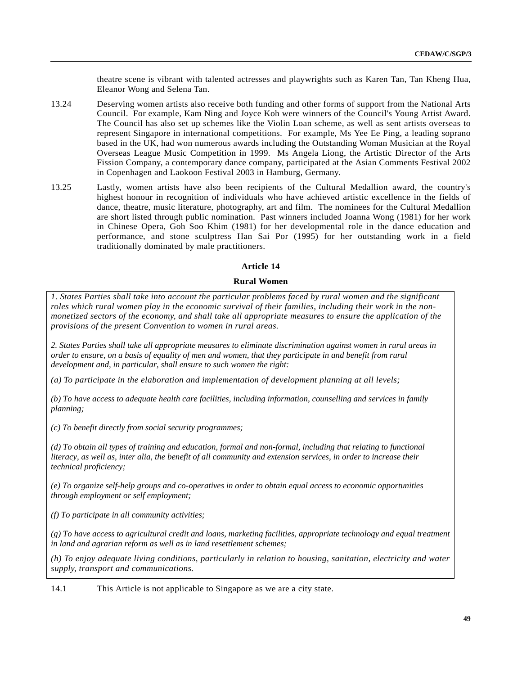theatre scene is vibrant with talented actresses and playwrights such as Karen Tan, Tan Kheng Hua, Eleanor Wong and Selena Tan.

- 13.24 Deserving women artists also receive both funding and other forms of support from the National Arts Council. For example, Kam Ning and Joyce Koh were winners of the Council's Young Artist Award. The Council has also set up schemes like the Violin Loan scheme, as well as sent artists overseas to represent Singapore in international competitions. For example, Ms Yee Ee Ping, a leading soprano based in the UK, had won numerous awards including the Outstanding Woman Musician at the Royal Overseas League Music Competition in 1999. Ms Angela Liong, the Artistic Director of the Arts Fission Company, a contemporary dance company, participated at the Asian Comments Festival 2002 in Copenhagen and Laokoon Festival 2003 in Hamburg, Germany.
- 13.25 Lastly, women artists have also been recipients of the Cultural Medallion award, the country's highest honour in recognition of individuals who have achieved artistic excellence in the fields of dance, theatre, music literature, photography, art and film. The nominees for the Cultural Medallion are short listed through public nomination. Past winners included Joanna Wong (1981) for her work in Chinese Opera, Goh Soo Khim (1981) for her developmental role in the dance education and performance, and stone sculptress Han Sai Por (1995) for her outstanding work in a field traditionally dominated by male practitioners.

# **Article 14**

# **Rural Women**

*1. States Parties shall take into account the particular problems faced by rural women and the significant roles which rural women play in the economic survival of their families, including their work in the nonmonetized sectors of the economy, and shall take all appropriate measures to ensure the application of the provisions of the present Convention to women in rural areas.*

*2. States Parties shall take all appropriate measures to eliminate discrimination against women in rural areas in order to ensure, on a basis of equality of men and women, that they participate in and benefit from rural development and, in particular, shall ensure to such women the right:*

*(a) To participate in the elaboration and implementation of development planning at all levels;*

*(b) To have access to adequate health care facilities, including information, counselling and services in family planning;*

*(c) To benefit directly from social security programmes;*

*(d) To obtain all types of training and education, formal and non-formal, including that relating to functional literacy, as well as, inter alia, the benefit of all community and extension services, in order to increase their technical proficiency;*

*(e) To organize self-help groups and co-operatives in order to obtain equal access to economic opportunities through employment or self employment;*

*(f) To participate in all community activities;*

*(g) To have access to agricultural credit and loans, marketing facilities, appropriate technology and equal treatment in land and agrarian reform as well as in land resettlement schemes;*

*(h) To enjoy adequate living conditions, particularly in relation to housing, sanitation, electricity and water supply, transport and communications.*

14.1 This Article is not applicable to Singapore as we are a city state.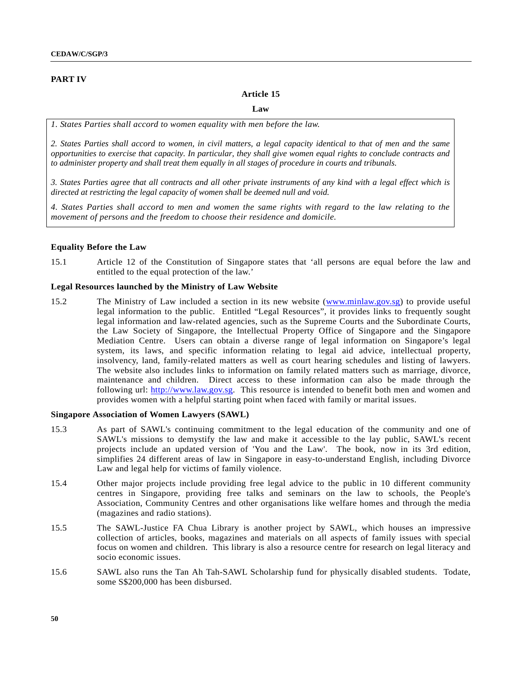# **PART IV**

# **Article 15**

#### **Law**

*1. States Parties shall accord to women equality with men before the law.*

*2. States Parties shall accord to women, in civil matters, a legal capacity identical to that of men and the same opportunities to exercise that capacity. In particular, they shall give women equal rights to conclude contracts and to administer property and shall treat them equally in all stages of procedure in courts and tribunals.*

*3. States Parties agree that all contracts and all other private instruments of any kind with a legal effect which is directed at restricting the legal capacity of women shall be deemed null and void.*

*4. States Parties shall accord to men and women the same rights with regard to the law relating to the movement of persons and the freedom to choose their residence and domicile.*

# **Equality Before the Law**

15.1 Article 12 of the Constitution of Singapore states that 'all persons are equal before the law and entitled to the equal protection of the law.'

# **Legal Resources launched by the Ministry of Law Website**

15.2 The Ministry of Law included a section in its new website (www.minlaw.gov.sg) to provide useful legal information to the public. Entitled "Legal Resources", it provides links to frequently sought legal information and law-related agencies, such as the Supreme Courts and the Subordinate Courts, the Law Society of Singapore, the Intellectual Property Office of Singapore and the Singapore Mediation Centre. Users can obtain a diverse range of legal information on Singapore's legal system, its laws, and specific information relating to legal aid advice, intellectual property, insolvency, land, family-related matters as well as court hearing schedules and listing of lawyers. The website also includes links to information on family related matters such as marriage, divorce, maintenance and children. Direct access to these information can also be made through the following url: http://www.law.gov.sg. This resource is intended to benefit both men and women and provides women with a helpful starting point when faced with family or marital issues.

#### **Singapore Association of Women Lawyers (SAWL)**

- 15.3 As part of SAWL's continuing commitment to the legal education of the community and one of SAWL's missions to demystify the law and make it accessible to the lay public, SAWL's recent projects include an updated version of 'You and the Law'. The book, now in its 3rd edition, simplifies 24 different areas of law in Singapore in easy-to-understand English, including Divorce Law and legal help for victims of family violence.
- 15.4 Other major projects include providing free legal advice to the public in 10 different community centres in Singapore, providing free talks and seminars on the law to schools, the People's Association, Community Centres and other organisations like welfare homes and through the media (magazines and radio stations).
- 15.5 The SAWL-Justice FA Chua Library is another project by SAWL, which houses an impressive collection of articles, books, magazines and materials on all aspects of family issues with special focus on women and children. This library is also a resource centre for research on legal literacy and socio economic issues.
- 15.6 SAWL also runs the Tan Ah Tah-SAWL Scholarship fund for physically disabled students. Todate, some S\$200,000 has been disbursed.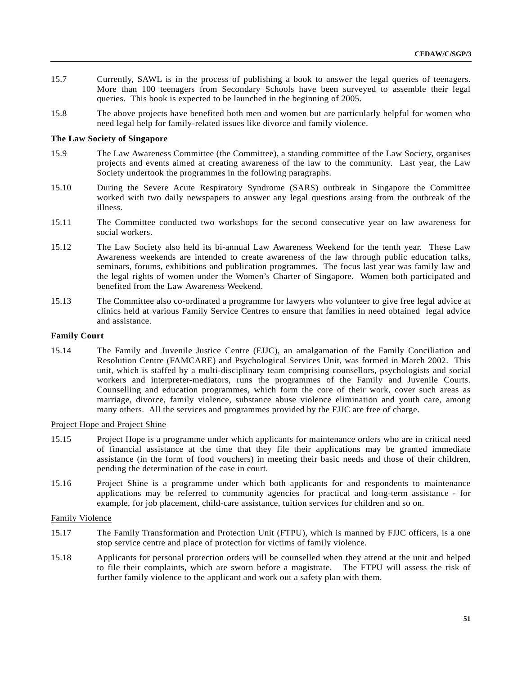- 15.7 Currently, SAWL is in the process of publishing a book to answer the legal queries of teenagers. More than 100 teenagers from Secondary Schools have been surveyed to assemble their legal queries. This book is expected to be launched in the beginning of 2005.
- 15.8 The above projects have benefited both men and women but are particularly helpful for women who need legal help for family-related issues like divorce and family violence.

# **The Law Society of Singapore**

- 15.9 The Law Awareness Committee (the Committee), a standing committee of the Law Society, organises projects and events aimed at creating awareness of the law to the community. Last year, the Law Society undertook the programmes in the following paragraphs.
- 15.10 During the Severe Acute Respiratory Syndrome (SARS) outbreak in Singapore the Committee worked with two daily newspapers to answer any legal questions arsing from the outbreak of the illness.
- 15.11 The Committee conducted two workshops for the second consecutive year on law awareness for social workers.
- 15.12 The Law Society also held its bi-annual Law Awareness Weekend for the tenth year. These Law Awareness weekends are intended to create awareness of the law through public education talks, seminars, forums, exhibitions and publication programmes. The focus last year was family law and the legal rights of women under the Women's Charter of Singapore. Women both participated and benefited from the Law Awareness Weekend.
- 15.13 The Committee also co-ordinated a programme for lawyers who volunteer to give free legal advice at clinics held at various Family Service Centres to ensure that families in need obtained legal advice and assistance.

#### **Family Court**

15.14 The Family and Juvenile Justice Centre (FJJC), an amalgamation of the Family Conciliation and Resolution Centre (FAMCARE) and Psychological Services Unit, was formed in March 2002. This unit, which is staffed by a multi-disciplinary team comprising counsellors, psychologists and social workers and interpreter-mediators, runs the programmes of the Family and Juvenile Courts. Counselling and education programmes, which form the core of their work, cover such areas as marriage, divorce, family violence, substance abuse violence elimination and youth care, among many others. All the services and programmes provided by the FJJC are free of charge.

#### Project Hope and Project Shine

- 15.15 Project Hope is a programme under which applicants for maintenance orders who are in critical need of financial assistance at the time that they file their applications may be granted immediate assistance (in the form of food vouchers) in meeting their basic needs and those of their children, pending the determination of the case in court.
- 15.16 Project Shine is a programme under which both applicants for and respondents to maintenance applications may be referred to community agencies for practical and long-term assistance - for example, for job placement, child-care assistance, tuition services for children and so on.

# Family Violence

- 15.17 The Family Transformation and Protection Unit (FTPU), which is manned by FJJC officers, is a one stop service centre and place of protection for victims of family violence.
- 15.18 Applicants for personal protection orders will be counselled when they attend at the unit and helped to file their complaints, which are sworn before a magistrate. The FTPU will assess the risk of further family violence to the applicant and work out a safety plan with them.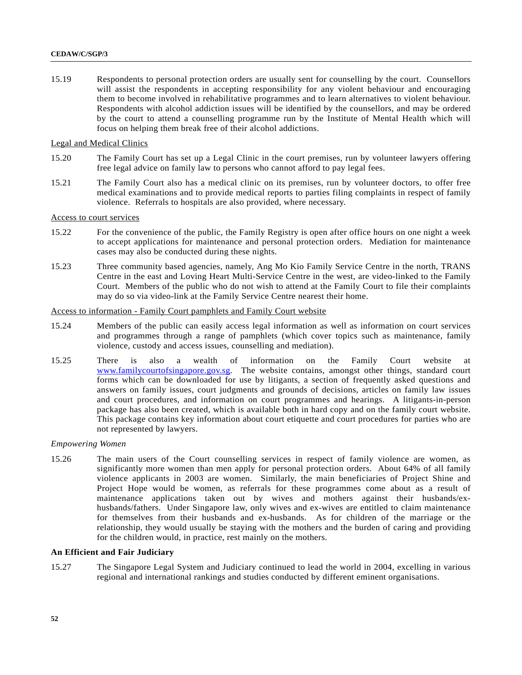15.19 Respondents to personal protection orders are usually sent for counselling by the court. Counsellors will assist the respondents in accepting responsibility for any violent behaviour and encouraging them to become involved in rehabilitative programmes and to learn alternatives to violent behaviour. Respondents with alcohol addiction issues will be identified by the counsellors, and may be ordered by the court to attend a counselling programme run by the Institute of Mental Health which will focus on helping them break free of their alcohol addictions.

# Legal and Medical Clinics

- 15.20 The Family Court has set up a Legal Clinic in the court premises, run by volunteer lawyers offering free legal advice on family law to persons who cannot afford to pay legal fees.
- 15.21 The Family Court also has a medical clinic on its premises, run by volunteer doctors, to offer free medical examinations and to provide medical reports to parties filing complaints in respect of family violence. Referrals to hospitals are also provided, where necessary.

#### Access to court services

- 15.22 For the convenience of the public, the Family Registry is open after office hours on one night a week to accept applications for maintenance and personal protection orders. Mediation for maintenance cases may also be conducted during these nights.
- 15.23 Three community based agencies, namely, Ang Mo Kio Family Service Centre in the north, TRANS Centre in the east and Loving Heart Multi-Service Centre in the west, are video-linked to the Family Court. Members of the public who do not wish to attend at the Family Court to file their complaints may do so via video-link at the Family Service Centre nearest their home.

#### Access to information - Family Court pamphlets and Family Court website

- 15.24 Members of the public can easily access legal information as well as information on court services and programmes through a range of pamphlets (which cover topics such as maintenance, family violence, custody and access issues, counselling and mediation).
- 15.25 There is also a wealth of information on the Family Court website at www.familycourtofsingapore.gov.sg. The website contains, amongst other things, standard court forms which can be downloaded for use by litigants, a section of frequently asked questions and answers on family issues, court judgments and grounds of decisions, articles on family law issues and court procedures, and information on court programmes and hearings. A litigants-in-person package has also been created, which is available both in hard copy and on the family court website. This package contains key information about court etiquette and court procedures for parties who are not represented by lawyers.

#### *Empowering Women*

15.26 The main users of the Court counselling services in respect of family violence are women, as significantly more women than men apply for personal protection orders. About 64% of all family violence applicants in 2003 are women. Similarly, the main beneficiaries of Project Shine and Project Hope would be women, as referrals for these programmes come about as a result of maintenance applications taken out by wives and mothers against their husbands/exhusbands/fathers. Under Singapore law, only wives and ex-wives are entitled to claim maintenance for themselves from their husbands and ex-husbands. As for children of the marriage or the relationship, they would usually be staying with the mothers and the burden of caring and providing for the children would, in practice, rest mainly on the mothers.

#### **An Efficient and Fair Judiciary**

15.27 The Singapore Legal System and Judiciary continued to lead the world in 2004, excelling in various regional and international rankings and studies conducted by different eminent organisations.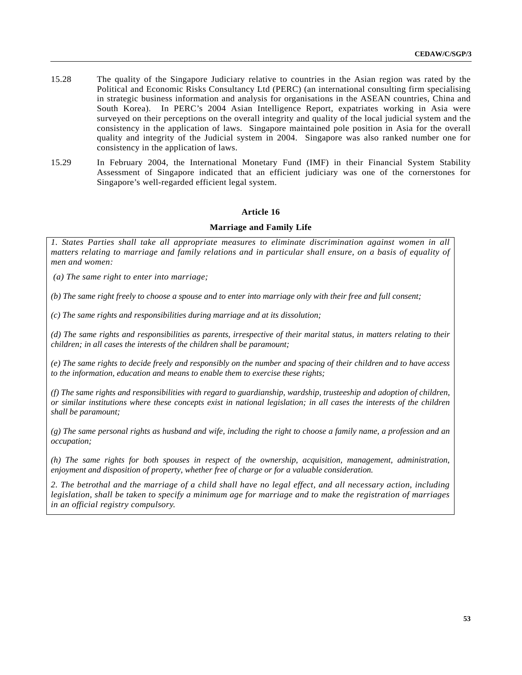- 15.28 The quality of the Singapore Judiciary relative to countries in the Asian region was rated by the Political and Economic Risks Consultancy Ltd (PERC) (an international consulting firm specialising in strategic business information and analysis for organisations in the ASEAN countries, China and South Korea). In PERC's 2004 Asian Intelligence Report, expatriates working in Asia were surveyed on their perceptions on the overall integrity and quality of the local judicial system and the consistency in the application of laws. Singapore maintained pole position in Asia for the overall quality and integrity of the Judicial system in 2004. Singapore was also ranked number one for consistency in the application of laws.
- 15.29 In February 2004, the International Monetary Fund (IMF) in their Financial System Stability Assessment of Singapore indicated that an efficient judiciary was one of the cornerstones for Singapore's well-regarded efficient legal system.

# **Article 16**

# **Marriage and Family Life**

*1. States Parties shall take all appropriate measures to eliminate discrimination against women in all matters relating to marriage and family relations and in particular shall ensure, on a basis of equality of men and women:*

 *(a) The same right to enter into marriage;*

*(b) The same right freely to choose a spouse and to enter into marriage only with their free and full consent;*

*(c) The same rights and responsibilities during marriage and at its dissolution;*

*(d) The same rights and responsibilities as parents, irrespective of their marital status, in matters relating to their children; in all cases the interests of the children shall be paramount;*

*(e) The same rights to decide freely and responsibly on the number and spacing of their children and to have access to the information, education and means to enable them to exercise these rights;*

*(f) The same rights and responsibilities with regard to guardianship, wardship, trusteeship and adoption of children, or similar institutions where these concepts exist in national legislation; in all cases the interests of the children shall be paramount;*

*(g) The same personal rights as husband and wife, including the right to choose a family name, a profession and an occupation;*

*(h) The same rights for both spouses in respect of the ownership, acquisition, management, administration, enjoyment and disposition of property, whether free of charge or for a valuable consideration.*

*2. The betrothal and the marriage of a child shall have no legal effect, and all necessary action, including legislation, shall be taken to specify a minimum age for marriage and to make the registration of marriages in an official registry compulsory.*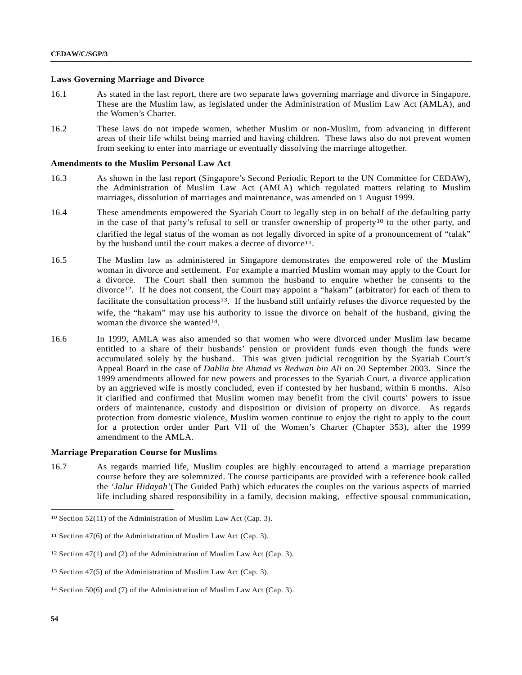#### **Laws Governing Marriage and Divorce**

- 16.1 As stated in the last report, there are two separate laws governing marriage and divorce in Singapore. These are the Muslim law, as legislated under the Administration of Muslim Law Act (AMLA), and the Women's Charter.
- 16.2 These laws do not impede women, whether Muslim or non-Muslim, from advancing in different areas of their life whilst being married and having children. These laws also do not prevent women from seeking to enter into marriage or eventually dissolving the marriage altogether.

# **Amendments to the Muslim Personal Law Act**

- 16.3 As shown in the last report (Singapore's Second Periodic Report to the UN Committee for CEDAW), the Administration of Muslim Law Act (AMLA) which regulated matters relating to Muslim marriages, dissolution of marriages and maintenance, was amended on 1 August 1999.
- 16.4 These amendments empowered the Syariah Court to legally step in on behalf of the defaulting party in the case of that party's refusal to sell or transfer ownership of property<sup>10</sup> to the other party, and clarified the legal status of the woman as not legally divorced in spite of a pronouncement of "talak" by the husband until the court makes a decree of divorce<sup>11</sup>.
- 16.5 The Muslim law as administered in Singapore demonstrates the empowered role of the Muslim woman in divorce and settlement. For example a married Muslim woman may apply to the Court for a divorce. The Court shall then summon the husband to enquire whether he consents to the divorce<sup>12</sup>. If he does not consent, the Court may appoint a "hakam" (arbitrator) for each of them to facilitate the consultation process13. If the husband still unfairly refuses the divorce requested by the wife, the "hakam" may use his authority to issue the divorce on behalf of the husband, giving the woman the divorce she wanted<sup>14</sup>.
- 16.6 In 1999, AMLA was also amended so that women who were divorced under Muslim law became entitled to a share of their husbands' pension or provident funds even though the funds were accumulated solely by the husband. This was given judicial recognition by the Syariah Court's Appeal Board in the case of *Dahlia bte Ahmad vs Redwan bin Ali* on 20 September 2003. Since the 1999 amendments allowed for new powers and processes to the Syariah Court, a divorce application by an aggrieved wife is mostly concluded, even if contested by her husband, within 6 months. Also it clarified and confirmed that Muslim women may benefit from the civil courts' powers to issue orders of maintenance, custody and disposition or division of property on divorce. As regards protection from domestic violence, Muslim women continue to enjoy the right to apply to the court for a protection order under Part VII of the Women's Charter (Chapter 353), after the 1999 amendment to the AMLA.

#### **Marriage Preparation Course for Muslims**

16.7 As regards married life, Muslim couples are highly encouraged to attend a marriage preparation course before they are solemnized. The course participants are provided with a reference book called the *'Jalur Hidayah'*(The Guided Path) which educates the couples on the various aspects of married life including shared responsibility in a family, decision making, effective spousal communication,

l

<sup>10</sup> Section 52(11) of the Administration of Muslim Law Act (Cap. 3).

<sup>11</sup> Section 47(6) of the Administration of Muslim Law Act (Cap. 3).

<sup>12</sup> Section 47(1) and (2) of the Administration of Muslim Law Act (Cap. 3).

<sup>13</sup> Section 47(5) of the Administration of Muslim Law Act (Cap. 3).

<sup>14</sup> Section 50(6) and (7) of the Administration of Muslim Law Act (Cap. 3).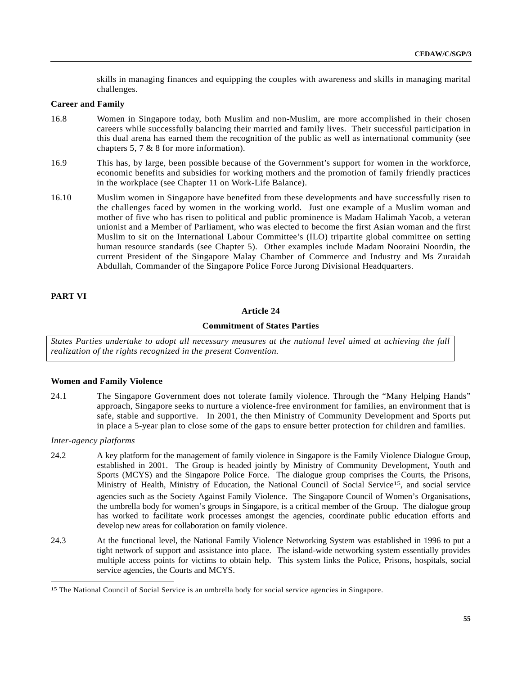skills in managing finances and equipping the couples with awareness and skills in managing marital challenges.

# **Career and Family**

- 16.8 Women in Singapore today, both Muslim and non-Muslim, are more accomplished in their chosen careers while successfully balancing their married and family lives. Their successful participation in this dual arena has earned them the recognition of the public as well as international community (see chapters 5, 7 & 8 for more information).
- 16.9 This has, by large, been possible because of the Government's support for women in the workforce, economic benefits and subsidies for working mothers and the promotion of family friendly practices in the workplace (see Chapter 11 on Work-Life Balance).
- 16.10 Muslim women in Singapore have benefited from these developments and have successfully risen to the challenges faced by women in the working world. Just one example of a Muslim woman and mother of five who has risen to political and public prominence is Madam Halimah Yacob, a veteran unionist and a Member of Parliament, who was elected to become the first Asian woman and the first Muslim to sit on the International Labour Committee's (ILO) tripartite global committee on setting human resource standards (see Chapter 5). Other examples include Madam Nooraini Noordin, the current President of the Singapore Malay Chamber of Commerce and Industry and Ms Zuraidah Abdullah, Commander of the Singapore Police Force Jurong Divisional Headquarters.

# **PART VI**

# **Article 24**

#### **Commitment of States Parties**

*States Parties undertake to adopt all necessary measures at the national level aimed at achieving the full realization of the rights recognized in the present Convention.*

#### **Women and Family Violence**

24.1 The Singapore Government does not tolerate family violence. Through the "Many Helping Hands" approach, Singapore seeks to nurture a violence-free environment for families, an environment that is safe, stable and supportive. In 2001, the then Ministry of Community Development and Sports put in place a 5-year plan to close some of the gaps to ensure better protection for children and families.

# *Inter-agency platforms*

l

- 24.2 A key platform for the management of family violence in Singapore is the Family Violence Dialogue Group, established in 2001. The Group is headed jointly by Ministry of Community Development, Youth and Sports (MCYS) and the Singapore Police Force. The dialogue group comprises the Courts, the Prisons, Ministry of Health, Ministry of Education, the National Council of Social Service15, and social service agencies such as the Society Against Family Violence. The Singapore Council of Women's Organisations, the umbrella body for women's groups in Singapore, is a critical member of the Group. The dialogue group has worked to facilitate work processes amongst the agencies, coordinate public education efforts and develop new areas for collaboration on family violence.
- 24.3 At the functional level, the National Family Violence Networking System was established in 1996 to put a tight network of support and assistance into place. The island-wide networking system essentially provides multiple access points for victims to obtain help. This system links the Police, Prisons, hospitals, social service agencies, the Courts and MCYS.

<sup>15</sup> The National Council of Social Service is an umbrella body for social service agencies in Singapore.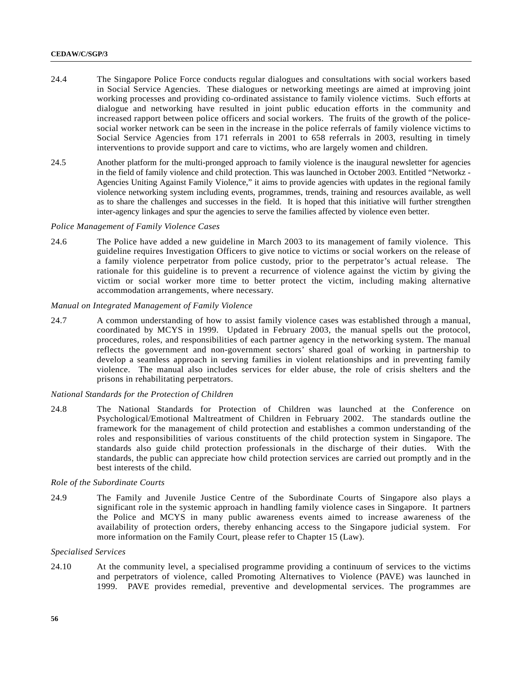- 24.4 The Singapore Police Force conducts regular dialogues and consultations with social workers based in Social Service Agencies. These dialogues or networking meetings are aimed at improving joint working processes and providing co-ordinated assistance to family violence victims. Such efforts at dialogue and networking have resulted in joint public education efforts in the community and increased rapport between police officers and social workers. The fruits of the growth of the policesocial worker network can be seen in the increase in the police referrals of family violence victims to Social Service Agencies from 171 referrals in 2001 to 658 referrals in 2003, resulting in timely interventions to provide support and care to victims, who are largely women and children.
- 24.5 Another platform for the multi-pronged approach to family violence is the inaugural newsletter for agencies in the field of family violence and child protection. This was launched in October 2003. Entitled "Networkz - Agencies Uniting Against Family Violence," it aims to provide agencies with updates in the regional family violence networking system including events, programmes, trends, training and resources available, as well as to share the challenges and successes in the field. It is hoped that this initiative will further strengthen inter-agency linkages and spur the agencies to serve the families affected by violence even better.

#### *Police Management of Family Violence Cases*

24.6 The Police have added a new guideline in March 2003 to its management of family violence. This guideline requires Investigation Officers to give notice to victims or social workers on the release of a family violence perpetrator from police custody, prior to the perpetrator's actual release. The rationale for this guideline is to prevent a recurrence of violence against the victim by giving the victim or social worker more time to better protect the victim, including making alternative accommodation arrangements, where necessary.

#### *Manual on Integrated Management of Family Violence*

24.7 A common understanding of how to assist family violence cases was established through a manual, coordinated by MCYS in 1999. Updated in February 2003, the manual spells out the protocol, procedures, roles, and responsibilities of each partner agency in the networking system. The manual reflects the government and non-government sectors' shared goal of working in partnership to develop a seamless approach in serving families in violent relationships and in preventing family violence. The manual also includes services for elder abuse, the role of crisis shelters and the prisons in rehabilitating perpetrators.

# *National Standards for the Protection of Children*

24.8 The National Standards for Protection of Children was launched at the Conference on Psychological/Emotional Maltreatment of Children in February 2002. The standards outline the framework for the management of child protection and establishes a common understanding of the roles and responsibilities of various constituents of the child protection system in Singapore. The standards also guide child protection professionals in the discharge of their duties. With the standards, the public can appreciate how child protection services are carried out promptly and in the best interests of the child.

# *Role of the Subordinate Courts*

24.9 The Family and Juvenile Justice Centre of the Subordinate Courts of Singapore also plays a significant role in the systemic approach in handling family violence cases in Singapore. It partners the Police and MCYS in many public awareness events aimed to increase awareness of the availability of protection orders, thereby enhancing access to the Singapore judicial system. For more information on the Family Court, please refer to Chapter 15 (Law).

#### *Specialised Services*

24.10 At the community level, a specialised programme providing a continuum of services to the victims and perpetrators of violence, called Promoting Alternatives to Violence (PAVE) was launched in 1999. PAVE provides remedial, preventive and developmental services. The programmes are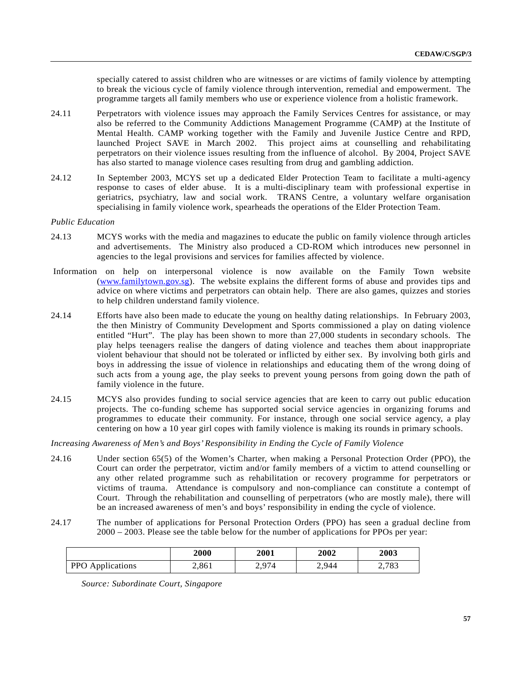specially catered to assist children who are witnesses or are victims of family violence by attempting to break the vicious cycle of family violence through intervention, remedial and empowerment. The programme targets all family members who use or experience violence from a holistic framework.

- 24.11 Perpetrators with violence issues may approach the Family Services Centres for assistance, or may also be referred to the Community Addictions Management Programme (CAMP) at the Institute of Mental Health. CAMP working together with the Family and Juvenile Justice Centre and RPD, launched Project SAVE in March 2002. This project aims at counselling and rehabilitating perpetrators on their violence issues resulting from the influence of alcohol. By 2004, Project SAVE has also started to manage violence cases resulting from drug and gambling addiction.
- 24.12 In September 2003, MCYS set up a dedicated Elder Protection Team to facilitate a multi-agency response to cases of elder abuse. It is a multi-disciplinary team with professional expertise in geriatrics, psychiatry, law and social work. TRANS Centre, a voluntary welfare organisation specialising in family violence work, spearheads the operations of the Elder Protection Team.

# *Public Education*

- 24.13 MCYS works with the media and magazines to educate the public on family violence through articles and advertisements. The Ministry also produced a CD-ROM which introduces new personnel in agencies to the legal provisions and services for families affected by violence.
- Information on help on interpersonal violence is now available on the Family Town website (www.familytown.gov.sg). The website explains the different forms of abuse and provides tips and advice on where victims and perpetrators can obtain help. There are also games, quizzes and stories to help children understand family violence.
- 24.14 Efforts have also been made to educate the young on healthy dating relationships. In February 2003, the then Ministry of Community Development and Sports commissioned a play on dating violence entitled "Hurt". The play has been shown to more than 27,000 students in secondary schools. The play helps teenagers realise the dangers of dating violence and teaches them about inappropriate violent behaviour that should not be tolerated or inflicted by either sex. By involving both girls and boys in addressing the issue of violence in relationships and educating them of the wrong doing of such acts from a young age, the play seeks to prevent young persons from going down the path of family violence in the future.
- 24.15 MCYS also provides funding to social service agencies that are keen to carry out public education projects. The co-funding scheme has supported social service agencies in organizing forums and programmes to educate their community. For instance, through one social service agency, a play centering on how a 10 year girl copes with family violence is making its rounds in primary schools.

*Increasing Awareness of Men's and Boys' Responsibility in Ending the Cycle of Family Violence*

- 24.16 Under section 65(5) of the Women's Charter, when making a Personal Protection Order (PPO), the Court can order the perpetrator, victim and/or family members of a victim to attend counselling or any other related programme such as rehabilitation or recovery programme for perpetrators or victims of trauma. Attendance is compulsory and non-compliance can constitute a contempt of Court. Through the rehabilitation and counselling of perpetrators (who are mostly male), there will be an increased awareness of men's and boys' responsibility in ending the cycle of violence.
- 24.17 The number of applications for Personal Protection Orders (PPO) has seen a gradual decline from 2000 – 2003. Please see the table below for the number of applications for PPOs per year:

|                  | <b>2000</b> | 2001  | <b>2002</b> | 2003  |
|------------------|-------------|-------|-------------|-------|
| PPO Applications | 2,861       | 2,974 | 2,944       | 2,783 |

*Source: Subordinate Court, Singapore*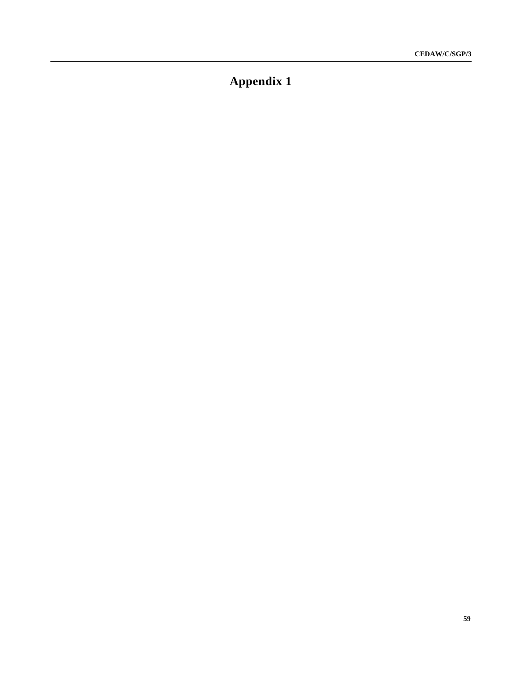# **Appendix 1**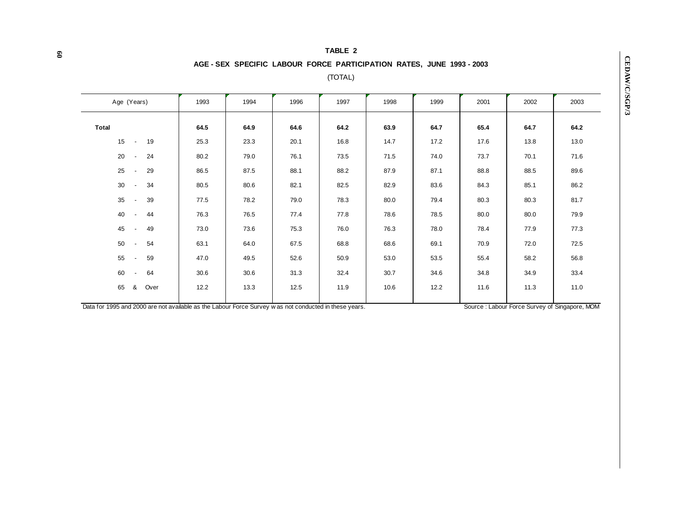# (TOTAL)

| Age (Years)                          | 1993 | 1994 | 1996 | 1997 | 1998 | 1999 | 2001 | 2002 | 2003 |
|--------------------------------------|------|------|------|------|------|------|------|------|------|
| Total                                | 64.5 | 64.9 | 64.6 | 64.2 | 63.9 | 64.7 | 65.4 | 64.7 | 64.2 |
| 15<br>19<br>$\overline{\phantom{a}}$ | 25.3 | 23.3 | 20.1 | 16.8 | 14.7 | 17.2 | 17.6 | 13.8 | 13.0 |
| 20<br>24<br>$\overline{\phantom{a}}$ | 80.2 | 79.0 | 76.1 | 73.5 | 71.5 | 74.0 | 73.7 | 70.1 | 71.6 |
| 25<br>29<br>$\overline{\phantom{a}}$ | 86.5 | 87.5 | 88.1 | 88.2 | 87.9 | 87.1 | 88.8 | 88.5 | 89.6 |
| 30<br>34<br>$\overline{\phantom{a}}$ | 80.5 | 80.6 | 82.1 | 82.5 | 82.9 | 83.6 | 84.3 | 85.1 | 86.2 |
| 35<br>39<br>$\overline{\phantom{a}}$ | 77.5 | 78.2 | 79.0 | 78.3 | 80.0 | 79.4 | 80.3 | 80.3 | 81.7 |
| 40<br>44<br>$\overline{\phantom{a}}$ | 76.3 | 76.5 | 77.4 | 77.8 | 78.6 | 78.5 | 80.0 | 80.0 | 79.9 |
| 45<br>49<br>$\blacksquare$           | 73.0 | 73.6 | 75.3 | 76.0 | 76.3 | 78.0 | 78.4 | 77.9 | 77.3 |
| 50<br>54<br>$\overline{\phantom{a}}$ | 63.1 | 64.0 | 67.5 | 68.8 | 68.6 | 69.1 | 70.9 | 72.0 | 72.5 |
| 55<br>59<br>$\overline{\phantom{a}}$ | 47.0 | 49.5 | 52.6 | 50.9 | 53.0 | 53.5 | 55.4 | 58.2 | 56.8 |
| 60<br>64<br>$\blacksquare$           | 30.6 | 30.6 | 31.3 | 32.4 | 30.7 | 34.6 | 34.8 | 34.9 | 33.4 |
| 65<br>Over<br>&                      | 12.2 | 13.3 | 12.5 | 11.9 | 10.6 | 12.2 | 11.6 | 11.3 | 11.0 |
|                                      |      |      |      |      |      |      |      |      |      |

Data for 1995 and 2000 are not available as the Labour Force Survey was not conducted in these years. Source : Labour Force Survey of Singapore, MOM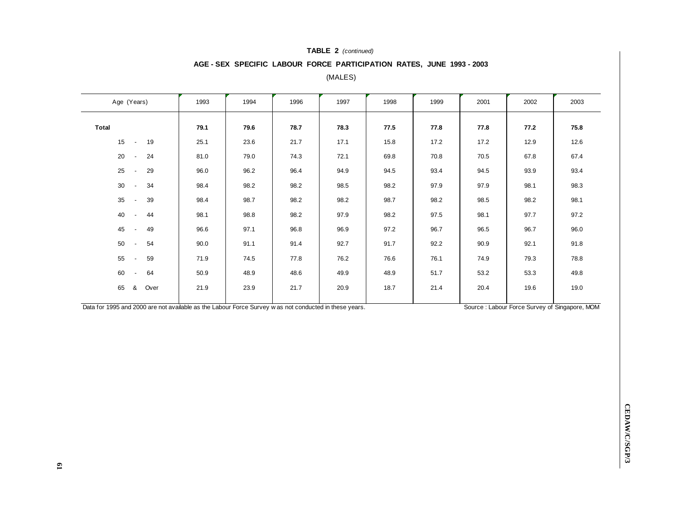# **TABLE 2** *(continued)*

# **AGE - SEX SPECIFIC LABOUR FORCE PARTICIPATION RATES, JUNE 1993 - 2003**

# (MALES)

| Age (Years)                          | 1993 | 1994 | 1996 | 1997 | 1998 | 1999 | 2001 | 2002 | 2003 |
|--------------------------------------|------|------|------|------|------|------|------|------|------|
| Total                                | 79.1 | 79.6 | 78.7 | 78.3 | 77.5 | 77.8 | 77.8 | 77.2 | 75.8 |
| 15<br>19<br>$\overline{a}$           | 25.1 | 23.6 | 21.7 | 17.1 | 15.8 | 17.2 | 17.2 | 12.9 | 12.6 |
| 20<br>24<br>$\blacksquare$           | 81.0 | 79.0 | 74.3 | 72.1 | 69.8 | 70.8 | 70.5 | 67.8 | 67.4 |
| 25<br>29<br>$\overline{\phantom{a}}$ | 96.0 | 96.2 | 96.4 | 94.9 | 94.5 | 93.4 | 94.5 | 93.9 | 93.4 |
| 30<br>34<br>$\overline{\phantom{a}}$ | 98.4 | 98.2 | 98.2 | 98.5 | 98.2 | 97.9 | 97.9 | 98.1 | 98.3 |
| 35<br>39<br>$\blacksquare$           | 98.4 | 98.7 | 98.2 | 98.2 | 98.7 | 98.2 | 98.5 | 98.2 | 98.1 |
| 40<br>44<br>$\overline{\phantom{a}}$ | 98.1 | 98.8 | 98.2 | 97.9 | 98.2 | 97.5 | 98.1 | 97.7 | 97.2 |
| 45<br>49<br>$\overline{\phantom{a}}$ | 96.6 | 97.1 | 96.8 | 96.9 | 97.2 | 96.7 | 96.5 | 96.7 | 96.0 |
| 50<br>54<br>$\overline{a}$           | 90.0 | 91.1 | 91.4 | 92.7 | 91.7 | 92.2 | 90.9 | 92.1 | 91.8 |
| 55<br>59<br>$\overline{\phantom{a}}$ | 71.9 | 74.5 | 77.8 | 76.2 | 76.6 | 76.1 | 74.9 | 79.3 | 78.8 |
| 60<br>64<br>$\sim$                   | 50.9 | 48.9 | 48.6 | 49.9 | 48.9 | 51.7 | 53.2 | 53.3 | 49.8 |
| 65<br>&<br>Over                      | 21.9 | 23.9 | 21.7 | 20.9 | 18.7 | 21.4 | 20.4 | 19.6 | 19.0 |
|                                      |      |      |      |      |      |      |      |      |      |

Data for 1995 and 2000 are not available as the Labour Force Survey w as not conducted in these years. Source Survey the Source : Labour Force Survey of Singapore, MOM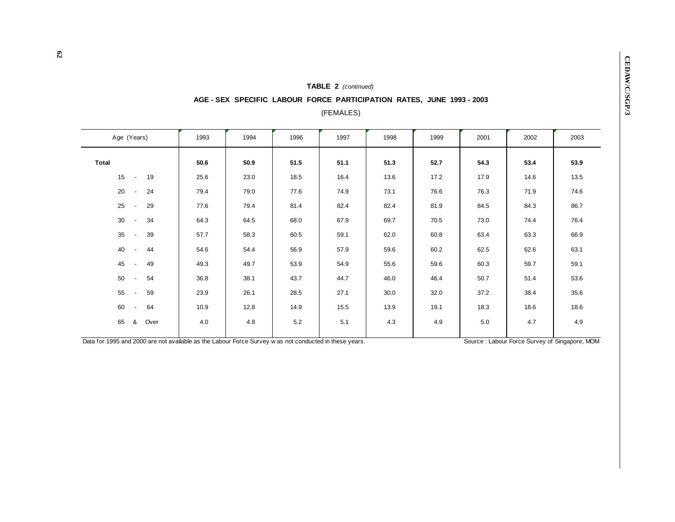# **TABLE 2** *(continued)* **AGE - SEX SPECIFIC LABOUR FORCE PARTICIPATION RATES, JUNE 1993 - 2003** (FEMALES)

| Age (Years)                          | 1993 | 1994 | 1996 | 1997 | 1998 | 1999 | 2001 | 2002 | 2003 |
|--------------------------------------|------|------|------|------|------|------|------|------|------|
| Total                                | 50.6 | 50.9 | 51.5 | 51.1 | 51.3 | 52.7 | 54.3 | 53.4 | 53.9 |
| 15<br>19<br>$\overline{\phantom{a}}$ | 25.6 | 23.0 | 18.5 | 16.4 | 13.6 | 17.2 | 17.9 | 14.6 | 13.5 |
| 20<br>24<br>$\overline{\phantom{a}}$ | 79.4 | 79.0 | 77.6 | 74.9 | 73.1 | 76.6 | 76.3 | 71.9 | 74.6 |
| 25<br>29<br>$\overline{\phantom{a}}$ | 77.6 | 79.4 | 81.4 | 82.4 | 82.4 | 81.9 | 84.5 | 84.3 | 86.7 |
| 30<br>34<br>$\overline{\phantom{a}}$ | 64.3 | 64.5 | 68.0 | 67.9 | 69.7 | 70.5 | 73.0 | 74.4 | 76.4 |
| 35<br>39<br>$\overline{\phantom{a}}$ | 57.7 | 58.3 | 60.5 | 59.1 | 62.0 | 60.8 | 63.4 | 63.3 | 66.9 |
| 40<br>44<br>$\overline{\phantom{a}}$ | 54.6 | 54.4 | 56.9 | 57.9 | 59.6 | 60.2 | 62.5 | 62.6 | 63.1 |
| 45<br>49<br>$\overline{\phantom{a}}$ | 49.3 | 49.7 | 53.9 | 54.9 | 55.6 | 59.6 | 60.3 | 59.7 | 59.1 |
| 50<br>54<br>$\overline{\phantom{a}}$ | 36.8 | 38.1 | 43.7 | 44.7 | 46.0 | 46.4 | 50.7 | 51.4 | 53.6 |
| 55<br>59<br>$\overline{\phantom{a}}$ | 23.9 | 26.1 | 28.5 | 27.1 | 30.0 | 32.0 | 37.2 | 38.4 | 35.6 |
| 60<br>64<br>$\overline{\phantom{a}}$ | 10.9 | 12.8 | 14.9 | 15.5 | 13.9 | 19.1 | 18.3 | 18.6 | 18.6 |
| 65<br>Over<br>&                      | 4.0  | 4.8  | 5.2  | 5.1  | 4.3  | 4.9  | 5.0  | 4.7  | 4.9  |
|                                      |      |      |      |      |      |      |      |      |      |

Data for 1995 and 2000 are not available as the Labour Force Survey w as not conducted in these years.<br>
Data for 1995 and 2000 are not available as the Labour Force Survey w as not conducted in these years.<br>
Source : Labou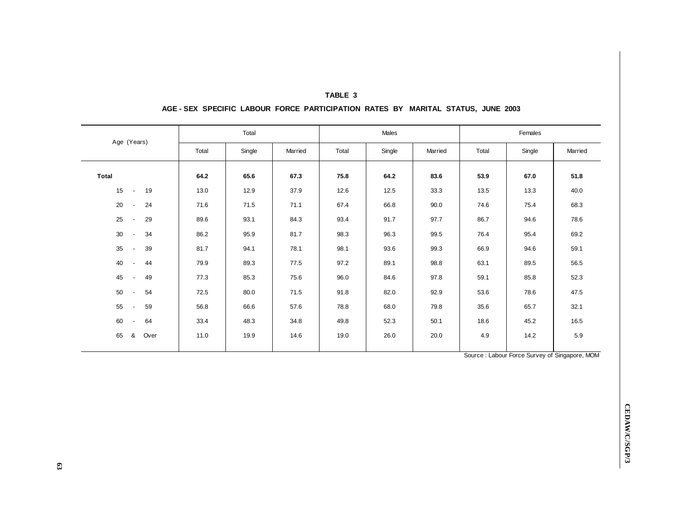|                                      |       | Total  |         |       | Males  |                | Females |        |         |  |
|--------------------------------------|-------|--------|---------|-------|--------|----------------|---------|--------|---------|--|
| Age (Years)                          | Total | Single | Married | Total | Single | <b>Married</b> | Total   | Single | Married |  |
| <b>Total</b>                         | 64.2  | 65.6   | 67.3    | 75.8  | 64.2   | 83.6           | 53.9    | 67.0   | 51.8    |  |
| 15<br>19<br>$\sim$                   | 13.0  | 12.9   | 37.9    | 12.6  | 12.5   | 33.3           | 13.5    | 13.3   | 40.0    |  |
| 20<br>24<br>$\overline{\phantom{a}}$ | 71.6  | 71.5   | 71.1    | 67.4  | 66.8   | 90.0           | 74.6    | 75.4   | 68.3    |  |
| 25<br>29<br>$\sim$                   | 89.6  | 93.1   | 84.3    | 93.4  | 91.7   | 97.7           | 86.7    | 94.6   | 78.6    |  |
| 30<br>34<br>$\sim$                   | 86.2  | 95.9   | 81.7    | 98.3  | 96.3   | 99.5           | 76.4    | 95.4   | 69.2    |  |
| 35<br>39<br>$\overline{\phantom{a}}$ | 81.7  | 94.1   | 78.1    | 98.1  | 93.6   | 99.3           | 66.9    | 94.6   | 59.1    |  |
| 40<br>44<br>$\sim$                   | 79.9  | 89.3   | 77.5    | 97.2  | 89.1   | 98.8           | 63.1    | 89.5   | 56.5    |  |
| 45<br>49<br>$\sim$                   | 77.3  | 85.3   | 75.6    | 96.0  | 84.6   | 97.8           | 59.1    | 85.8   | 52.3    |  |
| 50<br>54<br>$\sim$                   | 72.5  | 80.0   | 71.5    | 91.8  | 82.0   | 92.9           | 53.6    | 78.6   | 47.5    |  |
| 55<br>59<br>$\sim$                   | 56.8  | 66.6   | 57.6    | 78.8  | 68.0   | 79.8           | 35.6    | 65.7   | 32.1    |  |
| 60<br>64<br>$\sim$                   | 33.4  | 48.3   | 34.8    | 49.8  | 52.3   | 50.1           | 18.6    | 45.2   | 16.5    |  |
| 65<br>Over<br>&                      | 11.0  | 19.9   | 14.6    | 19.0  | 26.0   | 20.0           | 4.9     | 14.2   | 5.9     |  |

# **TABLE 3 AGE - SEX SPECIFIC LABOUR FORCE PARTICIPATION RATES BY MARITAL STATUS, JUNE 2003**

Source : Labour Force Survey of Singapore, MOM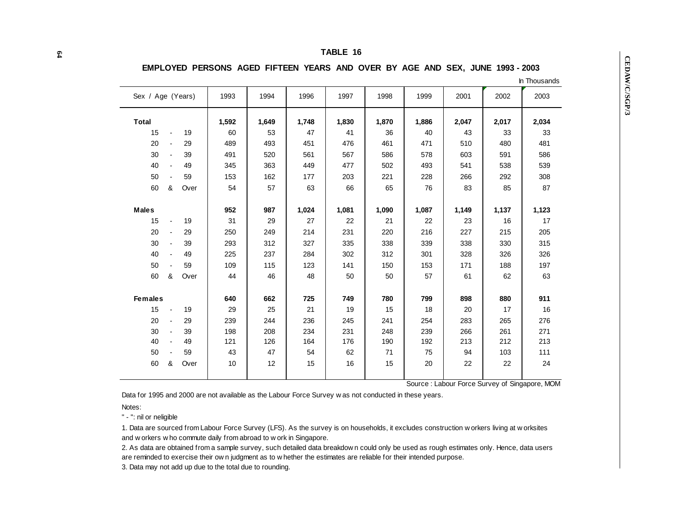# **EMPLOYED PERSONS AGED FIFTEEN YEARS AND OVER BY AGE AND SEX, JUNE 1993 - 2003**

| Sex / Age (Years) |                          |      | 1993  | 1994  | 1996  | 1997  | 1998  | 1999  | 2001  | 2002  | 2003  |
|-------------------|--------------------------|------|-------|-------|-------|-------|-------|-------|-------|-------|-------|
| <b>Total</b>      |                          |      | 1,592 | 1,649 | 1,748 | 1,830 | 1,870 | 1,886 | 2,047 | 2,017 | 2,034 |
| 15                | $\blacksquare$           | 19   | 60    | 53    | 47    | 41    | 36    | 40    | 43    | 33    | 33    |
| 20                | $\blacksquare$           | 29   | 489   | 493   | 451   | 476   | 461   | 471   | 510   | 480   | 481   |
| 30                | $\blacksquare$           | 39   | 491   | 520   | 561   | 567   | 586   | 578   | 603   | 591   | 586   |
| 40                | $\blacksquare$           | 49   | 345   | 363   | 449   | 477   | 502   | 493   | 541   | 538   | 539   |
| 50                | $\blacksquare$           | 59   | 153   | 162   | 177   | 203   | 221   | 228   | 266   | 292   | 308   |
| 60                | &                        | Over | 54    | 57    | 63    | 66    | 65    | 76    | 83    | 85    | 87    |
| Males             |                          |      | 952   | 987   | 1,024 | 1,081 | 1,090 | 1,087 | 1,149 | 1,137 | 1,123 |
| 15                | $\blacksquare$           | 19   | 31    | 29    | 27    | 22    | 21    | 22    | 23    | 16    | 17    |
| 20                | $\blacksquare$           | 29   | 250   | 249   | 214   | 231   | 220   | 216   | 227   | 215   | 205   |
| 30                | $\blacksquare$           | 39   | 293   | 312   | 327   | 335   | 338   | 339   | 338   | 330   | 315   |
| 40                | $\overline{\phantom{a}}$ | 49   | 225   | 237   | 284   | 302   | 312   | 301   | 328   | 326   | 326   |
| 50                | $\blacksquare$           | 59   | 109   | 115   | 123   | 141   | 150   | 153   | 171   | 188   | 197   |
| 60                | &                        | Over | 44    | 46    | 48    | 50    | 50    | 57    | 61    | 62    | 63    |
| Females           |                          |      | 640   | 662   | 725   | 749   | 780   | 799   | 898   | 880   | 911   |
| 15                | $\blacksquare$           | 19   | 29    | 25    | 21    | 19    | 15    | 18    | 20    | 17    | 16    |
| 20                | $\blacksquare$           | 29   | 239   | 244   | 236   | 245   | 241   | 254   | 283   | 265   | 276   |
| 30                | $\blacksquare$           | 39   | 198   | 208   | 234   | 231   | 248   | 239   | 266   | 261   | 271   |
| 40                | $\blacksquare$           | 49   | 121   | 126   | 164   | 176   | 190   | 192   | 213   | 212   | 213   |
| 50                | $\blacksquare$           | 59   | 43    | 47    | 54    | 62    | 71    | 75    | 94    | 103   | 111   |
| 60                | &                        | Over | 10    | 12    | 15    | 16    | 15    | 20    | 22    | 22    | 24    |
|                   |                          |      |       |       |       |       |       |       |       |       |       |

In Thousands

Source : Labour Force Survey of Singapore, MOM

Data for 1995 and 2000 are not available as the Labour Force Survey w as not conducted in these years.

Notes:

" - ": nil or neligible

1. Data are sourced from Labour Force Survey (LFS). As the survey is on households, it excludes construction w orkers living at w orksites and w orkers w ho commute daily from abroad to w ork in Singapore.

2. As data are obtained from a sample survey, such detailed data breakdow n could only be used as rough estimates only. Hence, data users are reminded to exercise their ow n judgment as to w hether the estimates are reliable for their intended purpose.

3. Data may not add up due to the total due to rounding.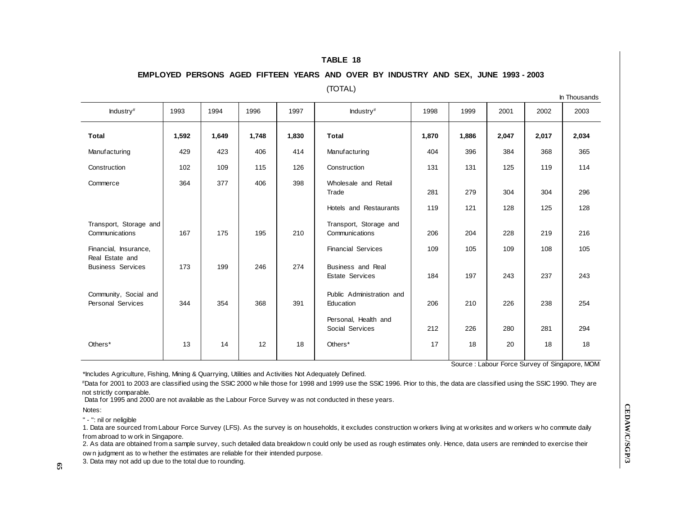# **TABLE 18**

**EMPLOYED PERSONS AGED FIFTEEN YEARS AND OVER BY INDUSTRY AND SEX, JUNE 1993 - 2003**

(TOTAL)

|                                             |       |       |       |       |                                             |       |       |       |       | <b>"</b> """ |
|---------------------------------------------|-------|-------|-------|-------|---------------------------------------------|-------|-------|-------|-------|--------------|
| Industry#                                   | 1993  | 1994  | 1996  | 1997  | Industry#                                   | 1998  | 1999  | 2001  | 2002  | 2003         |
| <b>Total</b>                                | 1,592 | 1,649 | 1,748 | 1,830 | <b>Total</b>                                | 1,870 | 1,886 | 2,047 | 2,017 | 2,034        |
| Manufacturing                               | 429   | 423   | 406   | 414   | Manufacturing                               | 404   | 396   | 384   | 368   | 365          |
| Construction                                | 102   | 109   | 115   | 126   | Construction                                | 131   | 131   | 125   | 119   | 114          |
| Commerce                                    | 364   | 377   | 406   | 398   | Wholesale and Retail<br>Trade               | 281   | 279   | 304   | 304   | 296          |
|                                             |       |       |       |       | Hotels and Restaurants                      | 119   | 121   | 128   | 125   | 128          |
| Transport, Storage and<br>Communications    | 167   | 175   | 195   | 210   | Transport, Storage and<br>Communications    | 206   | 204   | 228   | 219   | 216          |
| Financial, Insurance,                       |       |       |       |       | <b>Financial Services</b>                   | 109   | 105   | 109   | 108   | 105          |
| Real Estate and<br><b>Business Services</b> | 173   | 199   | 246   | 274   | Business and Real<br><b>Estate Services</b> | 184   | 197   | 243   | 237   | 243          |
| Community, Social and<br>Personal Services  | 344   | 354   | 368   | 391   | Public Administration and<br>Education      | 206   | 210   | 226   | 238   | 254          |
|                                             |       |       |       |       | Personal, Health and<br>Social Services     | 212   | 226   | 280   | 281   | 294          |
| Others*                                     | 13    | 14    | 12    | 18    | Others*                                     | 17    | 18    | 20    | 18    | 18           |
|                                             |       |       |       |       |                                             |       |       |       |       |              |

Source : Labour Force Survey of Singapore, MOM

In Thousands

\*Includes Agriculture, Fishing, Mining & Quarrying, Utilities and Activities Not Adequately Defined.

#Data for 2001 to 2003 are classified using the SSIC 2000 w hile those for 1998 and 1999 use the SSIC 1996. Prior to this, the data are classified using the SSIC 1990. They are not strictly comparable.

Data for 1995 and 2000 are not available as the Labour Force Survey w as not conducted in these years.

Notes:

" - ": nil or neligible

1. Data are sourced from Labour Force Survey (LFS). As the survey is on households, it excludes construction w orkers living at w orksites and w orkers w ho commute daily from abroad to w ork in Singapore.

2. As data are obtained from a sample survey, such detailed data breakdow n could only be used as rough estimates only. Hence, data users are reminded to exercise their ow n judgment as to w hether the estimates are reliable for their intended purpose.

3. Data may not add up due to the total due to rounding.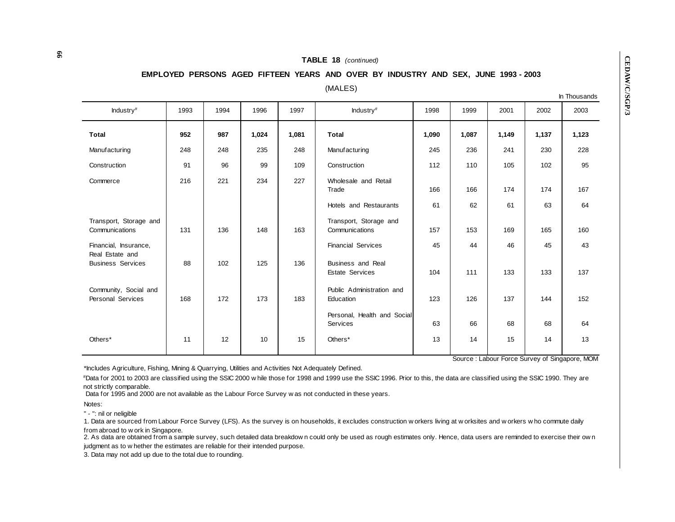#### **TABLE 18** *(continued)*

#### **EMPLOYED PERSONS AGED FIFTEEN YEARS AND OVER BY INDUSTRY AND SEX, JUNE 1993 - 2003**

(MALES)

|                                            |      |      |       |       |                                                         |           |           |           |           | In Thousands |
|--------------------------------------------|------|------|-------|-------|---------------------------------------------------------|-----------|-----------|-----------|-----------|--------------|
| Industry#                                  | 1993 | 1994 | 1996  | 1997  | Industry#                                               | 1998      | 1999      | 2001      | 2002      | 2003         |
| <b>Total</b>                               | 952  | 987  | 1,024 | 1,081 | <b>Total</b>                                            | 1,090     | 1,087     | 1,149     | 1,137     | 1,123        |
| Manufacturing                              | 248  | 248  | 235   | 248   | <b>Manufacturing</b>                                    | 245       | 236       | 241       | 230       | 228          |
| Construction                               | 91   | 96   | 99    | 109   | Construction                                            | 112       | 110       | 105       | 102       | 95           |
| Commerce                                   | 216  | 221  | 234   | 227   | Wholesale and Retail<br>Trade<br>Hotels and Restaurants | 166<br>61 | 166<br>62 | 174<br>61 | 174<br>63 | 167<br>64    |
| Transport, Storage and<br>Communications   | 131  | 136  | 148   | 163   | Transport, Storage and<br>Communications                | 157       | 153       | 169       | 165       | 160          |
| Financial, Insurance,<br>Real Estate and   |      |      |       |       | <b>Financial Services</b>                               | 45        | 44        | 46        | 45        | 43           |
| <b>Business Services</b>                   | 88   | 102  | 125   | 136   | Business and Real<br><b>Estate Services</b>             | 104       | 111       | 133       | 133       | 137          |
| Community, Social and<br>Personal Services | 168  | 172  | 173   | 183   | Public Administration and<br>Education                  | 123       | 126       | 137       | 144       | 152          |
|                                            |      |      |       |       | Personal, Health and Social<br><b>Services</b>          | 63        | 66        | 68        | 68        | 64           |
| Others*                                    | 11   | 12   | 10    | 15    | Others*                                                 | 13        | 14        | 15        | 14        | 13           |
|                                            |      |      |       |       |                                                         |           |           |           |           |              |

\*Includes Agriculture, Fishing, Mining & Quarrying, Utilities and Activities Not Adequately Defined.

#Data for 2001 to 2003 are classified using the SSIC 2000 w hile those for 1998 and 1999 use the SSIC 1996. Prior to this, the data are classified using the SSIC 1990. They are not strictly comparable.

Data for 1995 and 2000 are not available as the Labour Force Survey w as not conducted in these years.

Notes:

" - ": nil or neligible

1. Data are sourced from Labour Force Survey (LFS). As the survey is on households, it excludes construction w orkers living at w orksites and w orkers w ho commute daily from abroad to w ork in Singapore.

2. As data are obtained from a sample survey, such detailed data breakdow n could only be used as rough estimates only. Hence, data users are reminded to exercise their ow <sup>n</sup> judgment as to w hether the estimates are reliable for their intended purpose.

3. Data may not add up due to the total due to rounding.

CEDAW/C/SGP/3 **CEDAW/C/SGP/3**

Source : Labour Force Survey of Singapore, MOM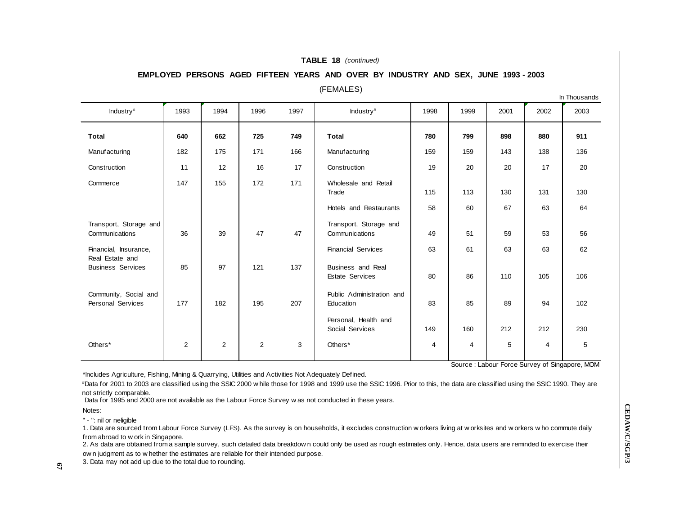#### **TABLE 18** *(continued)*

**EMPLOYED PERSONS AGED FIFTEEN YEARS AND OVER BY INDUSTRY AND SEX, JUNE 1993 - 2003**

#### (FEMALES)

|                                            |                |      |      |      |                                             |      |                |      |      | 111100001100 |
|--------------------------------------------|----------------|------|------|------|---------------------------------------------|------|----------------|------|------|--------------|
| Industry#                                  | 1993           | 1994 | 1996 | 1997 | Industry#                                   | 1998 | 1999           | 2001 | 2002 | 2003         |
| <b>Total</b>                               | 640            | 662  | 725  | 749  | <b>Total</b>                                | 780  | 799            | 898  | 880  | 911          |
| Manufacturing                              | 182            | 175  | 171  | 166  | Manufacturing                               | 159  | 159            | 143  | 138  | 136          |
| Construction                               | 11             | 12   | 16   | 17   | Construction                                | 19   | 20             | 20   | 17   | 20           |
| Commerce                                   | 147            | 155  | 172  | 171  | Wholesale and Retail<br>Trade               | 115  | 113            | 130  | 131  | 130          |
|                                            |                |      |      |      | Hotels and Restaurants                      | 58   | 60             | 67   | 63   | 64           |
| Transport, Storage and<br>Communications   | 36             | 39   | 47   | 47   | Transport, Storage and<br>Communications    | 49   | 51             | 59   | 53   | 56           |
| Financial, Insurance,<br>Real Estate and   |                |      |      |      | <b>Financial Services</b>                   | 63   | 61             | 63   | 63   | 62           |
| <b>Business Services</b>                   | 85             | 97   | 121  | 137  | Business and Real<br><b>Estate Services</b> | 80   | 86             | 110  | 105  | 106          |
| Community, Social and<br>Personal Services | 177            | 182  | 195  | 207  | Public Administration and<br>Education      | 83   | 85             | 89   | 94   | 102          |
|                                            |                |      |      |      | Personal, Health and<br>Social Services     | 149  | 160            | 212  | 212  | 230          |
| Others*                                    | $\overline{2}$ | 2    | 2    | 3    | Others*                                     | 4    | $\overline{4}$ | 5    | 4    | 5            |
|                                            |                |      |      |      |                                             |      |                |      |      |              |

Source : Labour Force Survey of Singapore, MOM

In Thousands

\*Includes Agriculture, Fishing, Mining & Quarrying, Utilities and Activities Not Adequately Defined.

#Data for 2001 to 2003 are classified using the SSIC 2000 w hile those for 1998 and 1999 use the SSIC 1996. Prior to this, the data are classified using the SSIC 1990. They are not strictly comparable.

Data for 1995 and 2000 are not available as the Labour Force Survey w as not conducted in these years.

Notes:

" - ": nil or neligible

1. Data are sourced from Labour Force Survey (LFS). As the survey is on households, it excludes construction w orkers living at w orksites and w orkers w ho commute daily from abroad to w ork in Singapore.

2. As data are obtained from a sample survey, such detailed data breakdow n could only be used as rough estimates only. Hence, data users are reminded to exercise their ow n judgment as to w hether the estimates are reliable for their intended purpose.

3. Data may not add up due to the total due to rounding.

CEDAW/C/SGP/3 **CEDAW/C/SGP/3**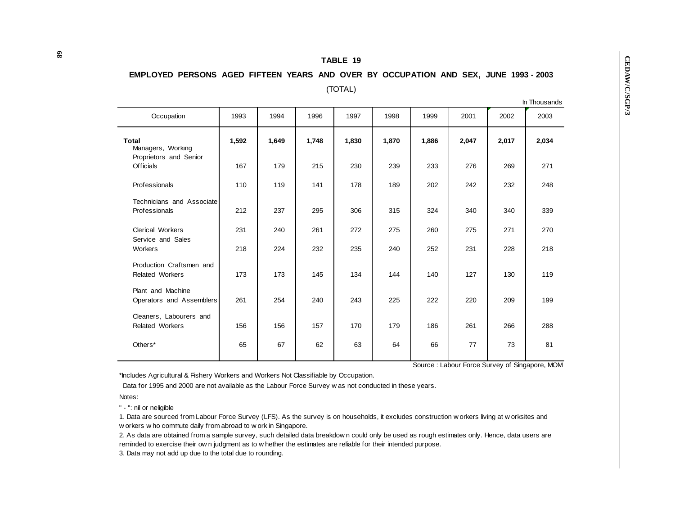# **TABLE 19**

# (TOTAL) **EMPLOYED PERSONS AGED FIFTEEN YEARS AND OVER BY OCCUPATION AND SEX, JUNE 1993 - 2003**

|                                                      |       |       |       |       |       |       |       |       | .     |
|------------------------------------------------------|-------|-------|-------|-------|-------|-------|-------|-------|-------|
| Occupation                                           | 1993  | 1994  | 1996  | 1997  | 1998  | 1999  | 2001  | 2002  | 2003  |
| Total<br>Managers, Working<br>Proprietors and Senior | 1,592 | 1,649 | 1,748 | 1,830 | 1,870 | 1,886 | 2,047 | 2,017 | 2,034 |
| Officials                                            | 167   | 179   | 215   | 230   | 239   | 233   | 276   | 269   | 271   |
| Professionals                                        | 110   | 119   | 141   | 178   | 189   | 202   | 242   | 232   | 248   |
| Technicians and Associate<br>Professionals           | 212   | 237   | 295   | 306   | 315   | 324   | 340   | 340   | 339   |
| <b>Clerical Workers</b><br>Service and Sales         | 231   | 240   | 261   | 272   | 275   | 260   | 275   | 271   | 270   |
| Workers                                              | 218   | 224   | 232   | 235   | 240   | 252   | 231   | 228   | 218   |
| Production Craftsmen and<br><b>Related Workers</b>   | 173   | 173   | 145   | 134   | 144   | 140   | 127   | 130   | 119   |
| Plant and Machine<br>Operators and Assemblers        | 261   | 254   | 240   | 243   | 225   | 222   | 220   | 209   | 199   |
| Cleaners, Labourers and<br><b>Related Workers</b>    | 156   | 156   | 157   | 170   | 179   | 186   | 261   | 266   | 288   |
| Others*                                              | 65    | 67    | 62    | 63    | 64    | 66    | 77    | 73    | 81    |
|                                                      |       |       |       |       |       |       |       |       |       |

Source : Labour Force Survey of Singapore, MOM

\*Includes Agricultural & Fishery Workers and Workers Not Classifiable by Occupation.

Data for 1995 and 2000 are not available as the Labour Force Survey w as not conducted in these years.

Notes:

" - ": nil or neligible

1. Data are sourced from Labour Force Survey (LFS). As the survey is on households, it excludes construction w orkers living at w orksites and <sup>w</sup> orkers w ho commute daily from abroad to w ork in Singapore.

2. As data are obtained from a sample survey, such detailed data breakdow n could only be used as rough estimates only. Hence, data users are reminded to exercise their ow n judgment as to w hether the estimates are reliable for their intended purpose.

3. Data may not add up due to the total due to rounding.

In Thousands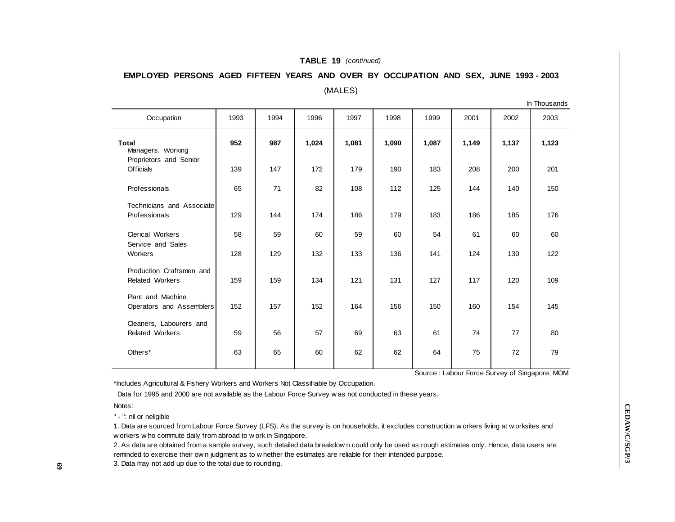#### **TABLE 19** *(continued)*

# (MALES) **EMPLOYED PERSONS AGED FIFTEEN YEARS AND OVER BY OCCUPATION AND SEX, JUNE 1993 - 2003**

In Thousands **Total 952 987 1,024 1,081 1,090 1,087 1,149 1,137 1,123** Managers, Working Proprietors and Senior Officials 139 147 172 179 190 183 208 200 201Professionals 65 **I** 71 I 82 I 108 I 112 I 125 I 144 I 140 I 150 Technicians and Associate Professionals 129 144 174 I 189 183 186 176 176 17 Clerical Workers | 58 | 59 | 60 | 59 | 60 | 54 | 61 | 60 | 60 Service and Sales Workers 128 129 132 133 136 141 124 130 122Production Craftsmen and Related Workers 1 159 159 134 121 131 127 117 120 109 Plant and Machine Operators and Assemblers 152 157 152 164 156 150 160 160 154 145 Cleaners, Labourers and Related Workers 59 56 57 69 63 61 74 77 80 Others\* 63 65 60 62 62 64 75 72 79Occupation | 1993 | 1994 | 1996 | 1997 | 1998 | 1999 | 2001 | 2002 | 2003

Source : Labour Force Survey of Singapore, MOM

\*Includes Agricultural & Fishery Workers and Workers Not Classifiable by Occupation.

Data for 1995 and 2000 are not available as the Labour Force Survey w as not conducted in these years.

Notes:

**69**

" - ": nil or neligible

1. Data are sourced from Labour Force Survey (LFS). As the survey is on households, it excludes construction w orkers living at w orksites and <sup>w</sup> orkers w ho commute daily from abroad to w ork in Singapore.

2. As data are obtained from a sample survey, such detailed data breakdow n could only be used as rough estimates only. Hence, data users are reminded to exercise their ow n judgment as to w hether the estimates are reliable for their intended purpose.

3. Data may not add up due to the total due to rounding.

**CEDAW/C/SGP/3** CEDAW/C/SGP/3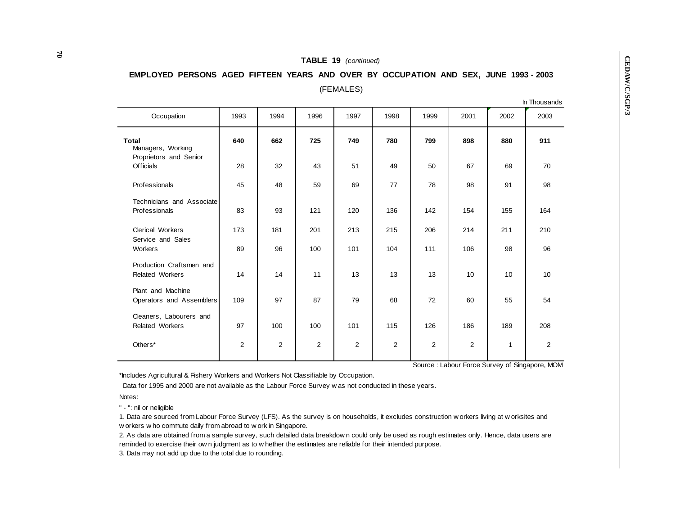#### **TABLE 19** *(continued)*

(FEMALES) **EMPLOYED PERSONS AGED FIFTEEN YEARS AND OVER BY OCCUPATION AND SEX, JUNE 1993 - 2003**

| Occupation                                           | 1993           | 1994 | 1996 | 1997           | 1998 | 1999 | 2001 | 2002 | 2003 |
|------------------------------------------------------|----------------|------|------|----------------|------|------|------|------|------|
| Total<br>Managers, Working<br>Proprietors and Senior | 640            | 662  | 725  | 749            | 780  | 799  | 898  | 880  | 911  |
| <b>Officials</b>                                     | 28             | 32   | 43   | 51             | 49   | 50   | 67   | 69   | 70   |
| Professionals                                        | 45             | 48   | 59   | 69             | 77   | 78   | 98   | 91   | 98   |
| Technicians and Associate<br>Professionals           | 83             | 93   | 121  | 120            | 136  | 142  | 154  | 155  | 164  |
| <b>Clerical Workers</b><br>Service and Sales         | 173            | 181  | 201  | 213            | 215  | 206  | 214  | 211  | 210  |
| Workers                                              | 89             | 96   | 100  | 101            | 104  | 111  | 106  | 98   | 96   |
| Production Craftsmen and<br><b>Related Workers</b>   | 14             | 14   | 11   | 13             | 13   | 13   | 10   | 10   | 10   |
| Plant and Machine<br>Operators and Assemblers        | 109            | 97   | 87   | 79             | 68   | 72   | 60   | 55   | 54   |
| Cleaners, Labourers and<br><b>Related Workers</b>    | 97             | 100  | 100  | 101            | 115  | 126  | 186  | 189  | 208  |
| Others*                                              | $\overline{2}$ | 2    | 2    | $\overline{2}$ | 2    | 2    | 2    | 1    | 2    |
|                                                      |                |      |      |                |      |      |      |      |      |

Source : Labour Force Survey of Singapore, MOM

\*Includes Agricultural & Fishery Workers and Workers Not Classifiable by Occupation.

Data for 1995 and 2000 are not available as the Labour Force Survey w as not conducted in these years.

Notes:

" - ": nil or neligible

1. Data are sourced from Labour Force Survey (LFS). As the survey is on households, it excludes construction w orkers living at w orksites and <sup>w</sup> orkers w ho commute daily from abroad to w ork in Singapore.

2. As data are obtained from a sample survey, such detailed data breakdow n could only be used as rough estimates only. Hence, data users are reminded to exercise their ow n judgment as to w hether the estimates are reliable for their intended purpose.

3. Data may not add up due to the total due to rounding.

In Thousands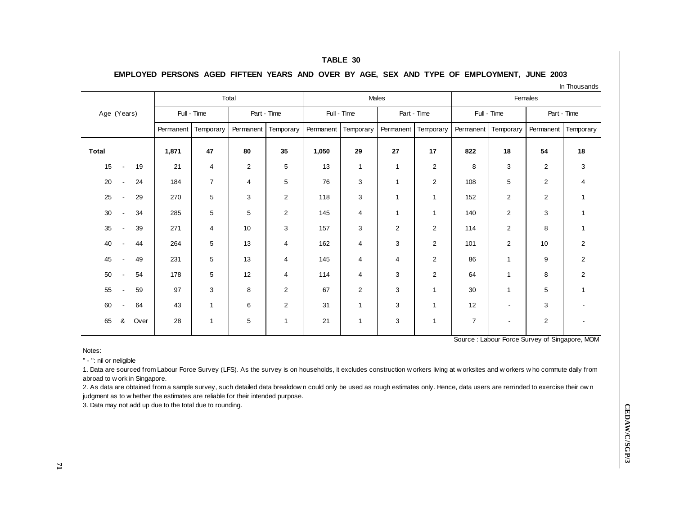# **TABLE 30**

# **EMPLOYED PERSONS AGED FIFTEEN YEARS AND OVER BY AGE, SEX AND TYPE OF EMPLOYMENT, JUNE 2003**

|              |                          |      |       |                       | Total |                     |       |                     | Males        |                       | <b>III HOUSANUS</b><br>Females |                |                |                |  |
|--------------|--------------------------|------|-------|-----------------------|-------|---------------------|-------|---------------------|--------------|-----------------------|--------------------------------|----------------|----------------|----------------|--|
| Age (Years)  |                          |      |       | Full - Time           |       | Part - Time         |       | Full - Time         |              | Part - Time           |                                | Full - Time    |                | Part - Time    |  |
|              |                          |      |       | Permanent   Temporary |       | Permanent Temporary |       | Permanent Temporary |              | Permanent   Temporary | Permanent                      | Temporary      | Permanent      | Temporary      |  |
| <b>Total</b> |                          |      | 1,871 | 47                    | 80    | 35                  | 1,050 | 29                  | 27           | 17                    | 822                            | 18             | 54             | 18             |  |
| 15           | $\blacksquare$           | 19   | 21    | $\overline{4}$        | 2     | 5                   | 13    | 1                   | $\mathbf{1}$ | $\overline{2}$        | 8                              | 3              | 2              | 3              |  |
| 20           | $\blacksquare$           | 24   | 184   | $\overline{7}$        | 4     | 5                   | 76    | 3                   | $\mathbf{1}$ | 2                     | 108                            | 5              | 2              | 4              |  |
| 25           | $\blacksquare$           | 29   | 270   | 5                     | 3     | 2                   | 118   | 3                   | $\mathbf{1}$ | $\mathbf{1}$          | 152                            | 2              | 2              | 1              |  |
| 30           | $\overline{\phantom{a}}$ | 34   | 285   | $5\phantom{.0}$       | 5     | 2                   | 145   | 4                   | $\mathbf{1}$ | $\mathbf{1}$          | 140                            | $\overline{2}$ | 3              | 1              |  |
| 35           | $\overline{\phantom{a}}$ | 39   | 271   | 4                     | 10    | 3                   | 157   | 3                   | 2            | $\overline{2}$        | 114                            | 2              | 8              |                |  |
| 40           | ٠                        | 44   | 264   | 5                     | 13    | 4                   | 162   | 4                   | 3            | 2                     | 101                            | 2              | 10             | $\overline{2}$ |  |
| 45           |                          | 49   | 231   | 5                     | 13    | 4                   | 145   | 4                   | 4            | 2                     | 86                             | $\overline{1}$ | 9              | 2              |  |
| 50           | $\blacksquare$           | 54   | 178   | 5                     | 12    | 4                   | 114   | 4                   | 3            | 2                     | 64                             | 1              | 8              | 2              |  |
| 55           | $\blacksquare$           | 59   | 97    | 3                     | 8     | $\overline{2}$      | 67    | 2                   | 3            | $\overline{1}$        | 30                             | $\overline{ }$ | 5              | 1              |  |
| 60           |                          | 64   | 43    | $\mathbf{1}$          | 6     | $\overline{2}$      | 31    | 1                   | 3            | $\overline{1}$        | 12                             | $\overline{a}$ | 3              |                |  |
| 65           | &                        | Over | 28    | $\mathbf{1}$          | 5     | $\mathbf{1}$        | 21    | $\mathbf{1}$        | 3            | $\mathbf 1$           | $\overline{7}$                 | ٠              | $\overline{2}$ |                |  |

Source : Labour Force Survey of Singapore, MOM

Notes:

" - ": nil or neligible

1. Data are sourced from Labour Force Survey (LFS). As the survey is on households, it excludes construction w orkers living at w orksites and w orkers w ho commute daily from abroad to w ork in Singapore.

2. As data are obtained from a sample survey, such detailed data breakdow n could only be used as rough estimates only. Hence, data users are reminded to exercise their ow <sup>n</sup> judgment as to w hether the estimates are reliable for their intended purpose.

3. Data may not add up due to the total due to rounding.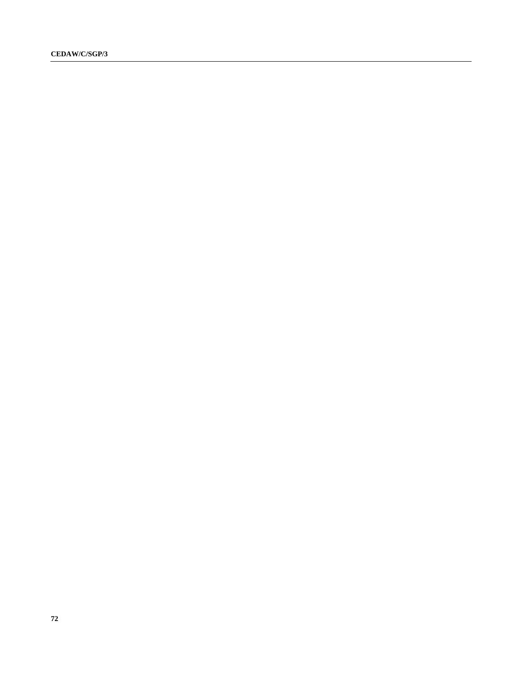**CEDAW/C/SGP/3**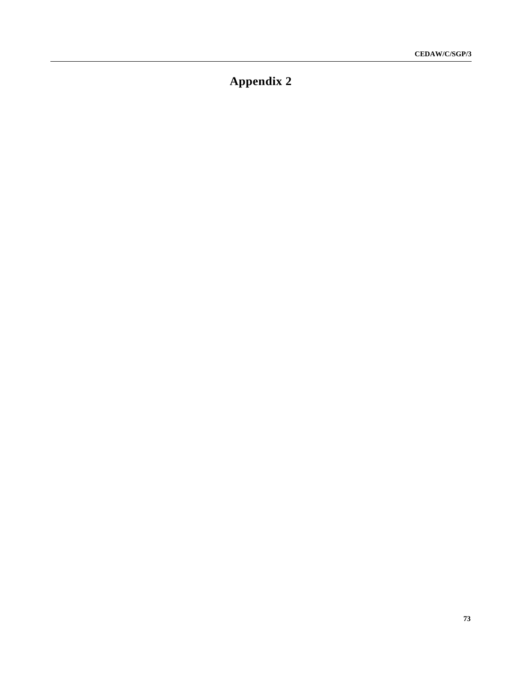# **Appendix 2**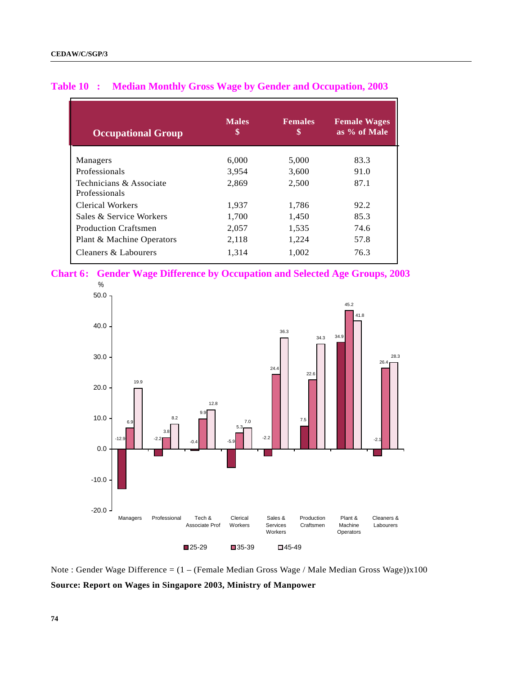| <b>Occupational Group</b>                | <b>Males</b><br>\$ | <b>Females</b><br>\$ | <b>Female Wages</b><br>as % of Male |
|------------------------------------------|--------------------|----------------------|-------------------------------------|
| Managers                                 | 6,000              | 5,000                | 83.3                                |
| Professionals                            | 3,954              | 3,600                | 91.0                                |
| Technicians & Associate<br>Professionals | 2,869              | 2,500                | 87.1                                |
| Clerical Workers                         | 1,937              | 1,786                | 92.2                                |
| Sales & Service Workers                  | 1,700              | 1,450                | 85.3                                |
| <b>Production Craftsmen</b>              | 2,057              | 1,535                | 74.6                                |
| Plant & Machine Operators                | 2,118              | 1,224                | 57.8                                |
| Cleaners & Labourers                     | 1,314              | 1,002                | 76.3                                |

# **Table 10 : Median Monthly Gross Wage by Gender and Occupation, 2003**





Note : Gender Wage Difference = (1 – (Female Median Gross Wage / Male Median Gross Wage))x100 **Source: Report on Wages in Singapore 2003, Ministry of Manpower**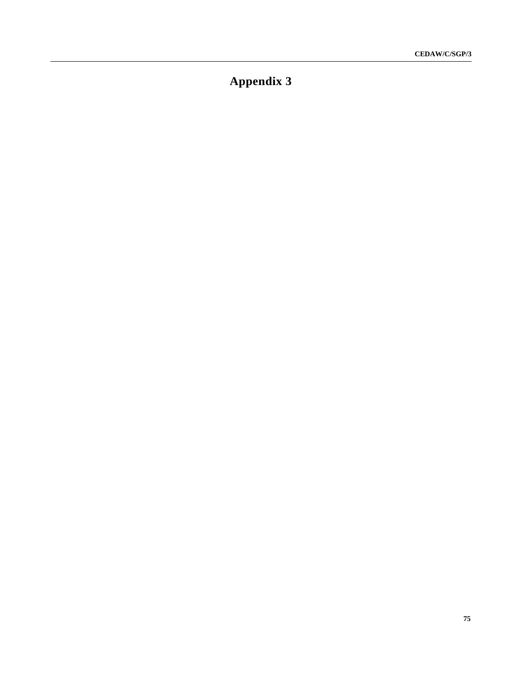# **Appendix 3**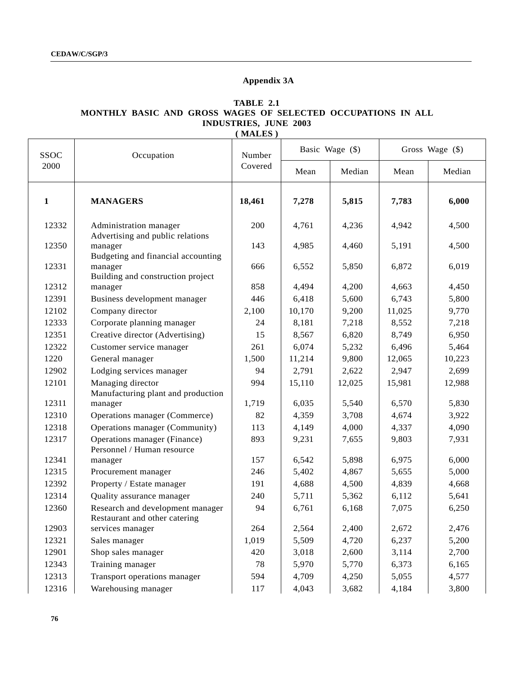## **Appendix 3A**

| <b>SSOC</b>  | Occupation                                                                        | Number  | Basic Wage (\$) |        | Gross Wage (\$) |        |
|--------------|-----------------------------------------------------------------------------------|---------|-----------------|--------|-----------------|--------|
| 2000         |                                                                                   | Covered | Mean            | Median | Mean            | Median |
| $\mathbf{1}$ | <b>MANAGERS</b>                                                                   | 18,461  | 7,278           | 5,815  | 7,783           | 6,000  |
| 12332        | Administration manager                                                            | 200     | 4,761           | 4,236  | 4,942           | 4,500  |
| 12350        | Advertising and public relations<br>manager<br>Budgeting and financial accounting | 143     | 4,985           | 4,460  | 5,191           | 4,500  |
| 12331        | manager<br>Building and construction project                                      | 666     | 6,552           | 5,850  | 6,872           | 6,019  |
| 12312        | manager                                                                           | 858     | 4,494           | 4,200  | 4,663           | 4,450  |
| 12391        | Business development manager                                                      | 446     | 6,418           | 5,600  | 6,743           | 5,800  |
| 12102        | Company director                                                                  | 2,100   | 10,170          | 9,200  | 11,025          | 9,770  |
| 12333        | Corporate planning manager                                                        | 24      | 8,181           | 7,218  | 8,552           | 7,218  |
| 12351        | Creative director (Advertising)                                                   | 15      | 8,567           | 6,820  | 8,749           | 6,950  |
| 12322        | Customer service manager                                                          | 261     | 6,074           | 5,232  | 6,496           | 5,464  |
| 1220         | General manager                                                                   | 1,500   | 11,214          | 9,800  | 12,065          | 10,223 |
| 12902        | Lodging services manager                                                          | 94      | 2,791           | 2,622  | 2,947           | 2,699  |
| 12101        | Managing director<br>Manufacturing plant and production                           | 994     | 15,110          | 12,025 | 15,981          | 12,988 |
| 12311        | manager                                                                           | 1,719   | 6,035           | 5,540  | 6,570           | 5,830  |
| 12310        | Operations manager (Commerce)                                                     | 82      | 4,359           | 3,708  | 4,674           | 3,922  |
| 12318        | Operations manager (Community)                                                    | 113     | 4,149           | 4,000  | 4,337           | 4,090  |
| 12317        | Operations manager (Finance)<br>Personnel / Human resource                        | 893     | 9,231           | 7,655  | 9,803           | 7,931  |
| 12341        | manager                                                                           | 157     | 6,542           | 5,898  | 6,975           | 6,000  |
| 12315        | Procurement manager                                                               | 246     | 5,402           | 4,867  | 5,655           | 5,000  |
| 12392        | Property / Estate manager                                                         | 191     | 4,688           | 4,500  | 4,839           | 4,668  |
| 12314        | Quality assurance manager                                                         | 240     | 5,711           | 5,362  | 6,112           | 5,641  |
| 12360        | Research and development manager<br>Restaurant and other catering                 | 94      | 6,761           | 6,168  | 7,075           | 6,250  |
| 12903        | services manager                                                                  | 264     | 2,564           | 2,400  | 2,672           | 2,476  |
| 12321        | Sales manager                                                                     | 1,019   | 5,509           | 4,720  | 6,237           | 5,200  |
| 12901        | Shop sales manager                                                                | 420     | 3,018           | 2,600  | 3,114           | 2,700  |
| 12343        | Training manager                                                                  | 78      | 5,970           | 5,770  | 6,373           | 6,165  |
| 12313        | Transport operations manager                                                      | 594     | 4,709           | 4,250  | 5,055           | 4,577  |
| 12316        | Warehousing manager                                                               | 117     | 4,043           | 3,682  | 4,184           | 3,800  |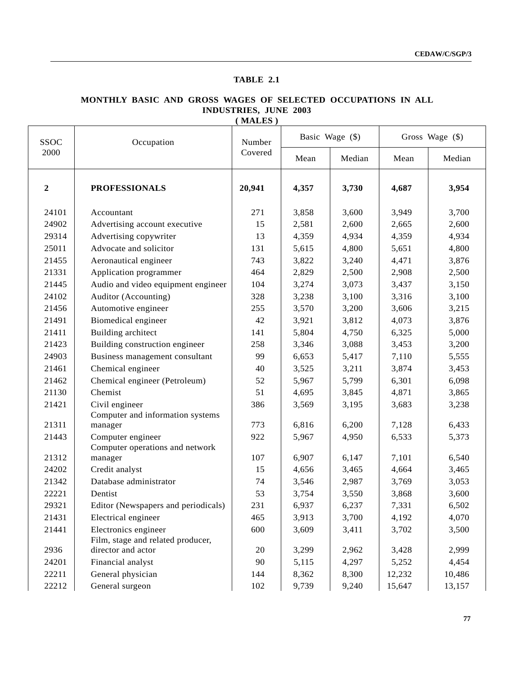# **MONTHLY BASIC AND GROSS WAGES OF SELECTED OCCUPATIONS IN ALL INDUSTRIES, JUNE 2003**

**( MALES )**

| <b>SSOC</b>      | Occupation                                                 | Number  | Basic Wage (\$) |        | Gross Wage (\$) |        |
|------------------|------------------------------------------------------------|---------|-----------------|--------|-----------------|--------|
| 2000             |                                                            | Covered | Mean            | Median | Mean            | Median |
| $\boldsymbol{2}$ | <b>PROFESSIONALS</b>                                       | 20,941  | 4,357           | 3,730  | 4,687           | 3,954  |
| 24101            | Accountant                                                 | 271     | 3,858           | 3,600  | 3,949           | 3,700  |
| 24902            | Advertising account executive                              | 15      | 2,581           | 2,600  | 2,665           | 2,600  |
| 29314            | Advertising copywriter                                     | 13      | 4,359           | 4,934  | 4,359           | 4,934  |
| 25011            | Advocate and solicitor                                     | 131     | 5,615           | 4,800  | 5,651           | 4,800  |
| 21455            | Aeronautical engineer                                      | 743     | 3,822           | 3,240  | 4,471           | 3,876  |
| 21331            | Application programmer                                     | 464     | 2,829           | 2,500  | 2,908           | 2,500  |
| 21445            | Audio and video equipment engineer                         | 104     | 3,274           | 3,073  | 3,437           | 3,150  |
| 24102            | Auditor (Accounting)                                       | 328     | 3,238           | 3,100  | 3,316           | 3,100  |
| 21456            | Automotive engineer                                        | 255     | 3,570           | 3,200  | 3,606           | 3,215  |
| 21491            | Biomedical engineer                                        | 42      | 3,921           | 3,812  | 4,073           | 3,876  |
| 21411            | Building architect                                         | 141     | 5,804           | 4,750  | 6,325           | 5,000  |
| 21423            | Building construction engineer                             | 258     | 3,346           | 3,088  | 3,453           | 3,200  |
| 24903            | Business management consultant                             | 99      | 6,653           | 5,417  | 7,110           | 5,555  |
| 21461            | Chemical engineer                                          | 40      | 3,525           | 3,211  | 3,874           | 3,453  |
| 21462            | Chemical engineer (Petroleum)                              | 52      | 5,967           | 5,799  | 6,301           | 6,098  |
| 21130            | Chemist                                                    | 51      | 4,695           | 3,845  | 4,871           | 3,865  |
| 21421            | Civil engineer                                             | 386     | 3,569           | 3,195  | 3,683           | 3,238  |
|                  | Computer and information systems                           |         |                 |        |                 |        |
| 21311            | manager                                                    | 773     | 6,816           | 6,200  | 7,128           | 6,433  |
| 21443            | Computer engineer                                          | 922     | 5,967           | 4,950  | 6,533           | 5,373  |
| 21312            | Computer operations and network<br>manager                 | 107     | 6,907           | 6,147  | 7,101           | 6,540  |
| 24202            | Credit analyst                                             | 15      | 4,656           | 3,465  | 4,664           | 3,465  |
| 21342            | Database administrator                                     | 74      | 3,546           | 2,987  | 3,769           | 3,053  |
| 22221            | Dentist                                                    | 53      | 3,754           | 3,550  | 3,868           | 3,600  |
| 29321            |                                                            | 231     | 6,937           | 6,237  | 7,331           | 6,502  |
| 21431            | Editor (Newspapers and periodicals)<br>Electrical engineer | 465     | 3,913           | 3,700  | 4,192           | 4,070  |
|                  | Electronics engineer                                       |         |                 |        |                 |        |
| 21441            | Film, stage and related producer,                          | 600     | 3,609           | 3,411  | 3,702           | 3,500  |
| 2936             | director and actor                                         | 20      | 3,299           | 2,962  | 3,428           | 2,999  |
| 24201            | Financial analyst                                          | 90      | 5,115           | 4,297  | 5,252           | 4,454  |
| 22211            | General physician                                          | 144     | 8,362           | 8,300  | 12,232          | 10,486 |
| 22212            | General surgeon                                            | 102     | 9,739           | 9,240  | 15,647          | 13,157 |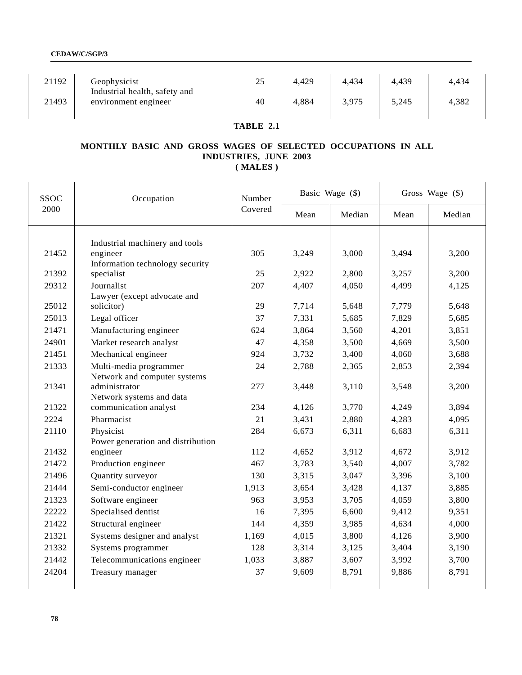| 21192 | Geophysicist                                          | 25 | 4.429 | 4,434 | 4,439 | 4,434 |
|-------|-------------------------------------------------------|----|-------|-------|-------|-------|
| 21493 | Industrial health, safety and<br>environment engineer | 40 | 4.884 | 3,975 | 5,245 | 4,382 |

| <b>SSOC</b> | Occupation                                    | Number  | Basic Wage (\$) |        | Gross Wage (\$) |        |
|-------------|-----------------------------------------------|---------|-----------------|--------|-----------------|--------|
| 2000        |                                               | Covered | Mean            | Median | Mean            | Median |
|             |                                               |         |                 |        |                 |        |
| 21452       | Industrial machinery and tools<br>engineer    | 305     | 3,249           | 3,000  | 3,494           | 3,200  |
| 21392       | Information technology security<br>specialist | 25      | 2,922           | 2,800  | 3,257           | 3,200  |
| 29312       | Journalist                                    | 207     | 4,407           | 4,050  | 4,499           | 4,125  |
|             | Lawyer (except advocate and                   |         |                 |        |                 |        |
| 25012       | solicitor)                                    | 29      | 7,714           | 5,648  | 7,779           | 5,648  |
| 25013       | Legal officer                                 | 37      | 7,331           | 5,685  | 7,829           | 5,685  |
| 21471       | Manufacturing engineer                        | 624     | 3,864           | 3,560  | 4,201           | 3,851  |
| 24901       | Market research analyst                       | 47      | 4,358           | 3,500  | 4,669           | 3,500  |
| 21451       | Mechanical engineer                           | 924     | 3,732           | 3,400  | 4,060           | 3,688  |
| 21333       | Multi-media programmer                        | 24      | 2,788           | 2,365  | 2,853           | 2,394  |
|             | Network and computer systems                  |         |                 |        |                 |        |
| 21341       | administrator                                 | 277     | 3,448           | 3,110  | 3,548           | 3,200  |
|             | Network systems and data                      |         |                 |        |                 |        |
| 21322       | communication analyst                         | 234     | 4,126           | 3,770  | 4,249           | 3,894  |
| 2224        | Pharmacist                                    | 21      | 3,431           | 2,880  | 4,283           | 4,095  |
| 21110       | Physicist                                     | 284     | 6,673           | 6,311  | 6,683           | 6,311  |
| 21432       | Power generation and distribution<br>engineer | 112     | 4,652           | 3,912  | 4,672           | 3,912  |
| 21472       | Production engineer                           | 467     | 3,783           | 3,540  | 4,007           | 3,782  |
| 21496       | Quantity surveyor                             | 130     | 3,315           | 3,047  | 3,396           | 3,100  |
| 21444       | Semi-conductor engineer                       | 1,913   | 3,654           | 3,428  | 4,137           | 3,885  |
| 21323       | Software engineer                             | 963     | 3,953           | 3,705  | 4,059           | 3,800  |
| 22222       | Specialised dentist                           | 16      | 7,395           | 6,600  | 9,412           | 9,351  |
| 21422       |                                               | 144     |                 |        |                 |        |
|             | Structural engineer                           |         | 4,359           | 3,985  | 4,634           | 4,000  |
| 21321       | Systems designer and analyst                  | 1,169   | 4,015           | 3,800  | 4,126           | 3,900  |
| 21332       | Systems programmer                            | 128     | 3,314           | 3,125  | 3,404           | 3,190  |
| 21442       | Telecommunications engineer                   | 1,033   | 3,887           | 3,607  | 3,992           | 3,700  |
| 24204       | Treasury manager                              | 37      | 9,609           | 8,791  | 9,886           | 8,791  |
|             |                                               |         |                 |        |                 |        |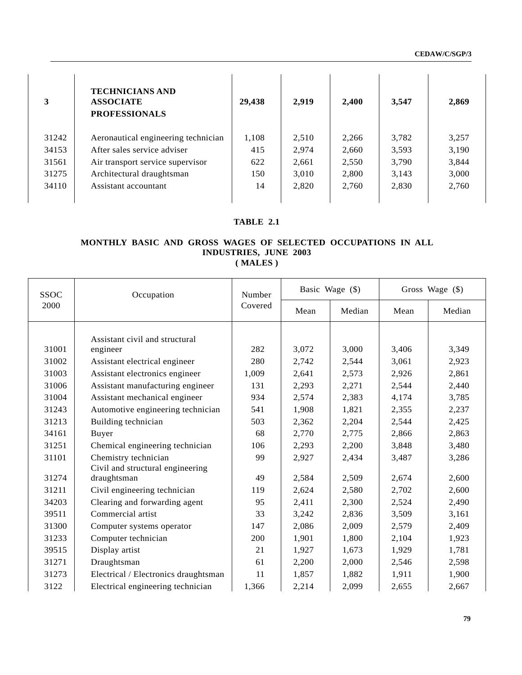|       | <b>TECHNICIANS AND</b><br><b>ASSOCIATE</b><br><b>PROFESSIONALS</b> | 29,438 | 2,919 | 2,400 | 3,547 | 2,869 |
|-------|--------------------------------------------------------------------|--------|-------|-------|-------|-------|
| 31242 | Aeronautical engineering technician                                | 1,108  | 2,510 | 2,266 | 3,782 | 3,257 |
| 34153 | After sales service adviser                                        | 415    | 2,974 | 2,660 | 3,593 | 3,190 |
| 31561 | Air transport service supervisor                                   | 622    | 2,661 | 2,550 | 3,790 | 3,844 |
| 31275 | Architectural draughtsman                                          | 150    | 3,010 | 2,800 | 3,143 | 3,000 |
| 34110 | Assistant accountant                                               | 14     | 2,820 | 2,760 | 2,830 | 2,760 |

| <b>SSOC</b> | Occupation                           | Number  | Basic Wage (\$) |        | Gross Wage $(\$)$ |        |
|-------------|--------------------------------------|---------|-----------------|--------|-------------------|--------|
| 2000        |                                      | Covered | Mean            | Median | Mean              | Median |
|             |                                      |         |                 |        |                   |        |
|             | Assistant civil and structural       |         |                 |        |                   |        |
| 31001       | engineer                             | 282     | 3,072           | 3,000  | 3,406             | 3,349  |
| 31002       | Assistant electrical engineer        | 280     | 2,742           | 2,544  | 3,061             | 2,923  |
| 31003       | Assistant electronics engineer       | 1,009   | 2,641           | 2,573  | 2,926             | 2,861  |
| 31006       | Assistant manufacturing engineer     | 131     | 2,293           | 2,271  | 2,544             | 2,440  |
| 31004       | Assistant mechanical engineer        | 934     | 2,574           | 2,383  | 4,174             | 3,785  |
| 31243       | Automotive engineering technician    | 541     | 1,908           | 1,821  | 2,355             | 2,237  |
| 31213       | Building technician                  | 503     | 2,362           | 2,204  | 2,544             | 2,425  |
| 34161       | Buyer                                | 68      | 2,770           | 2,775  | 2,866             | 2,863  |
| 31251       | Chemical engineering technician      | 106     | 2,293           | 2,200  | 3,848             | 3,480  |
| 31101       | Chemistry technician                 | 99      | 2,927           | 2,434  | 3,487             | 3,286  |
|             | Civil and structural engineering     |         |                 |        |                   |        |
| 31274       | draughtsman                          | 49      | 2,584           | 2,509  | 2,674             | 2,600  |
| 31211       | Civil engineering technician         | 119     | 2,624           | 2,580  | 2,702             | 2,600  |
| 34203       | Clearing and forwarding agent        | 95      | 2,411           | 2,300  | 2,524             | 2,490  |
| 39511       | Commercial artist                    | 33      | 3,242           | 2,836  | 3,509             | 3,161  |
| 31300       | Computer systems operator            | 147     | 2,086           | 2,009  | 2,579             | 2,409  |
| 31233       | Computer technician                  | 200     | 1,901           | 1,800  | 2,104             | 1,923  |
| 39515       | Display artist                       | 21      | 1,927           | 1,673  | 1,929             | 1,781  |
| 31271       | Draughtsman                          | 61      | 2,200           | 2,000  | 2,546             | 2,598  |
| 31273       | Electrical / Electronics draughtsman | 11      | 1,857           | 1,882  | 1,911             | 1,900  |
| 3122        | Electrical engineering technician    | 1,366   | 2,214           | 2,099  | 2,655             | 2,667  |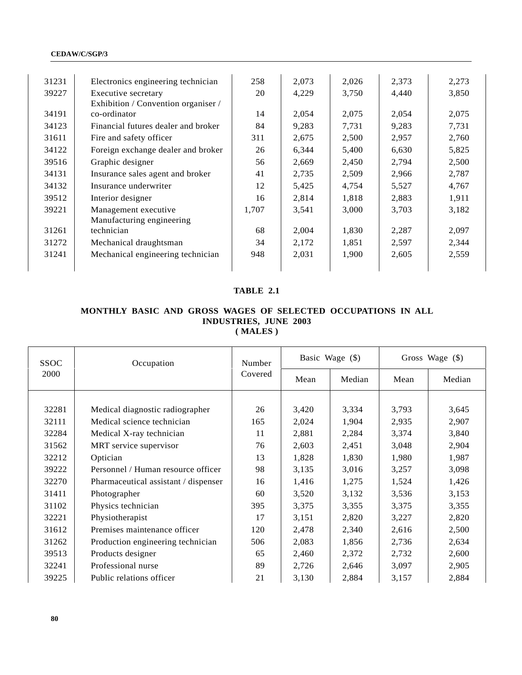| 31231 | Electronics engineering technician  | 258   | 2.073 | 2,026 | 2,373 | 2,273 |
|-------|-------------------------------------|-------|-------|-------|-------|-------|
| 39227 | Executive secretary                 | 20    | 4,229 | 3,750 | 4,440 | 3,850 |
|       | Exhibition / Convention organiser / |       |       |       |       |       |
| 34191 | co-ordinator                        | 14    | 2,054 | 2,075 | 2,054 | 2,075 |
| 34123 | Financial futures dealer and broker | 84    | 9,283 | 7,731 | 9,283 | 7,731 |
| 31611 | Fire and safety officer             | 311   | 2,675 | 2,500 | 2,957 | 2,760 |
| 34122 | Foreign exchange dealer and broker  | 26    | 6,344 | 5,400 | 6,630 | 5,825 |
| 39516 | Graphic designer                    | 56    | 2,669 | 2,450 | 2,794 | 2,500 |
| 34131 | Insurance sales agent and broker    | 41    | 2,735 | 2,509 | 2,966 | 2,787 |
| 34132 | Insurance underwriter               | 12    | 5,425 | 4,754 | 5,527 | 4,767 |
| 39512 | Interior designer                   | 16    | 2,814 | 1,818 | 2,883 | 1,911 |
| 39221 | Management executive                | 1,707 | 3,541 | 3,000 | 3,703 | 3,182 |
|       | Manufacturing engineering           |       |       |       |       |       |
| 31261 | technician                          | 68    | 2,004 | 1,830 | 2,287 | 2,097 |
| 31272 | Mechanical draughtsman              | 34    | 2,172 | 1,851 | 2,597 | 2,344 |
| 31241 | Mechanical engineering technician   | 948   | 2,031 | 1,900 | 2,605 | 2,559 |
|       |                                     |       |       |       |       |       |

## **TABLE 2.1**

| <b>SSOC</b> | Occupation                           | Number  | Basic Wage (\$) |        | Gross Wage (\$) |        |
|-------------|--------------------------------------|---------|-----------------|--------|-----------------|--------|
| 2000        |                                      | Covered | Mean            | Median | Mean            | Median |
|             |                                      |         |                 |        |                 |        |
| 32281       | Medical diagnostic radiographer      | 26      | 3,420           | 3,334  | 3,793           | 3,645  |
| 32111       | Medical science technician           | 165     | 2,024           | 1,904  | 2,935           | 2,907  |
| 32284       | Medical X-ray technician             | 11      | 2,881           | 2,284  | 3,374           | 3,840  |
| 31562       | MRT service supervisor               | 76      | 2,603           | 2,451  | 3,048           | 2,904  |
| 32212       | Optician                             | 13      | 1,828           | 1,830  | 1,980           | 1,987  |
| 39222       | Personnel / Human resource officer   | 98      | 3,135           | 3,016  | 3,257           | 3,098  |
| 32270       | Pharmaceutical assistant / dispenser | 16      | 1,416           | 1,275  | 1,524           | 1,426  |
| 31411       | Photographer                         | 60      | 3,520           | 3,132  | 3,536           | 3,153  |
| 31102       | Physics technician                   | 395     | 3,375           | 3,355  | 3,375           | 3,355  |
| 32221       | Physiotherapist                      | 17      | 3,151           | 2,820  | 3,227           | 2,820  |
| 31612       | Premises maintenance officer         | 120     | 2,478           | 2,340  | 2,616           | 2,500  |
| 31262       | Production engineering technician    | 506     | 2,083           | 1,856  | 2,736           | 2,634  |
| 39513       | Products designer                    | 65      | 2,460           | 2,372  | 2,732           | 2,600  |
| 32241       | Professional nurse                   | 89      | 2,726           | 2,646  | 3,097           | 2,905  |
| 39225       | Public relations officer             | 21      | 3,130           | 2,884  | 3,157           | 2,884  |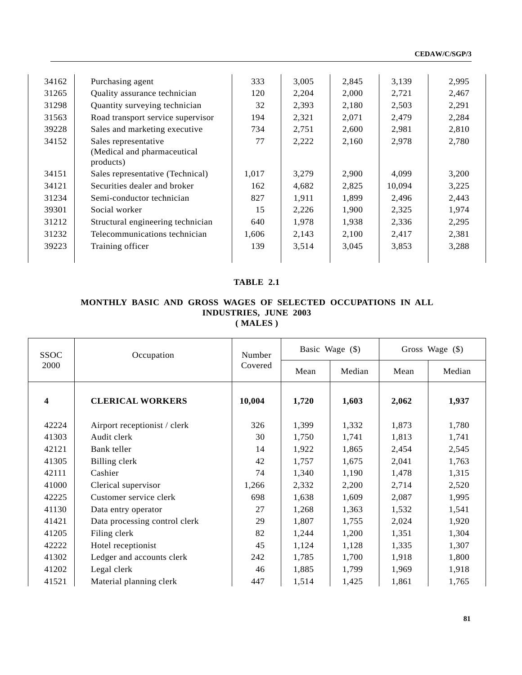| 34162 | Purchasing agent                                                 | 333   | 3,005 | 2,845 | 3,139  | 2,995 |
|-------|------------------------------------------------------------------|-------|-------|-------|--------|-------|
|       |                                                                  |       |       |       |        |       |
| 31265 | Quality assurance technician                                     | 120   | 2,204 | 2,000 | 2,721  | 2,467 |
| 31298 | Quantity surveying technician                                    | 32    | 2,393 | 2,180 | 2,503  | 2,291 |
| 31563 | Road transport service supervisor                                | 194   | 2,321 | 2,071 | 2,479  | 2,284 |
| 39228 | Sales and marketing executive                                    | 734   | 2,751 | 2,600 | 2,981  | 2,810 |
| 34152 | Sales representative<br>(Medical and pharmaceutical<br>products) | 77    | 2,222 | 2,160 | 2,978  | 2,780 |
| 34151 | Sales representative (Technical)                                 | 1,017 | 3,279 | 2,900 | 4,099  | 3,200 |
| 34121 | Securities dealer and broker                                     | 162   | 4,682 | 2,825 | 10,094 | 3,225 |
| 31234 | Semi-conductor technician                                        | 827   | 1,911 | 1,899 | 2,496  | 2,443 |
| 39301 | Social worker                                                    | 15    | 2,226 | 1,900 | 2,325  | 1,974 |
| 31212 | Structural engineering technician                                | 640   | 1,978 | 1,938 | 2,336  | 2,295 |
| 31232 | Telecommunications technician                                    | 1,606 | 2,143 | 2,100 | 2,417  | 2,381 |
| 39223 | Training officer                                                 | 139   | 3,514 | 3,045 | 3,853  | 3,288 |

# **TABLE 2.1**

| SSOC  | Occupation                    | Number  | Basic Wage (\$) |        | Gross Wage $(\$)$ |        |
|-------|-------------------------------|---------|-----------------|--------|-------------------|--------|
| 2000  |                               | Covered | Mean            | Median | Mean              | Median |
| 4     | <b>CLERICAL WORKERS</b>       | 10,004  | 1,720           | 1,603  | 2,062             | 1,937  |
| 42224 | Airport receptionist / clerk  | 326     | 1,399           | 1,332  | 1,873             | 1,780  |
| 41303 | Audit clerk                   | 30      | 1,750           | 1,741  | 1,813             | 1,741  |
| 42121 | Bank teller                   | 14      | 1,922           | 1,865  | 2,454             | 2,545  |
| 41305 | Billing clerk                 | 42      | 1,757           | 1,675  | 2,041             | 1,763  |
| 42111 | Cashier                       | 74      | 1,340           | 1,190  | 1,478             | 1,315  |
| 41000 | Clerical supervisor           | 1,266   | 2,332           | 2,200  | 2,714             | 2,520  |
| 42225 | Customer service clerk        | 698     | 1,638           | 1,609  | 2,087             | 1,995  |
| 41130 | Data entry operator           | 27      | 1,268           | 1,363  | 1,532             | 1,541  |
| 41421 | Data processing control clerk | 29      | 1,807           | 1,755  | 2,024             | 1,920  |
| 41205 | Filing clerk                  | 82      | 1,244           | 1,200  | 1,351             | 1,304  |
| 42222 | Hotel receptionist            | 45      | 1,124           | 1,128  | 1,335             | 1,307  |
| 41302 | Ledger and accounts clerk     | 242     | 1,785           | 1,700  | 1,918             | 1,800  |
| 41202 | Legal clerk                   | 46      | 1,885           | 1,799  | 1,969             | 1,918  |
| 41521 | Material planning clerk       | 447     | 1,514           | 1,425  | 1,861             | 1,765  |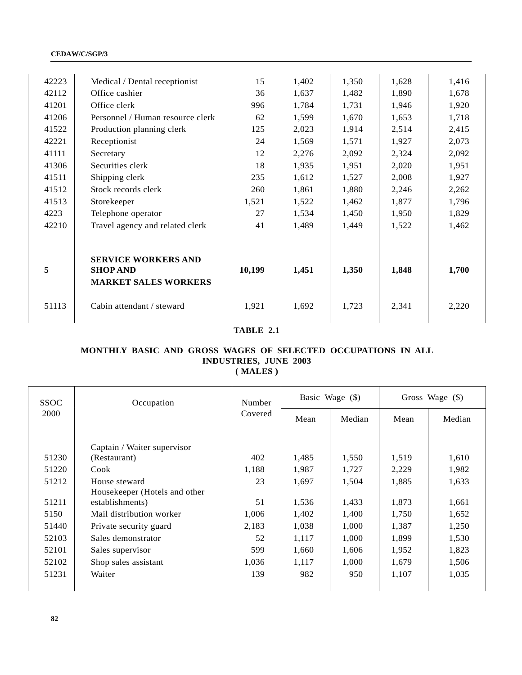| 42223 | Medical / Dental receptionist    | 15     | 1,402 | 1,350 | 1,628 | 1,416 |
|-------|----------------------------------|--------|-------|-------|-------|-------|
| 42112 | Office cashier                   | 36     | 1,637 | 1,482 | 1,890 | 1,678 |
| 41201 | Office clerk                     | 996    | 1,784 | 1,731 | 1,946 | 1,920 |
| 41206 | Personnel / Human resource clerk | 62     | 1,599 | 1,670 | 1,653 | 1,718 |
|       |                                  |        |       |       |       |       |
| 41522 | Production planning clerk        | 125    | 2,023 | 1,914 | 2,514 | 2,415 |
| 42221 | Receptionist                     | 24     | 1,569 | 1,571 | 1,927 | 2,073 |
| 41111 | Secretary                        | 12     | 2,276 | 2,092 | 2,324 | 2,092 |
| 41306 | Securities clerk                 | 18     | 1,935 | 1,951 | 2,020 | 1,951 |
| 41511 | Shipping clerk                   | 235    | 1,612 | 1,527 | 2,008 | 1,927 |
| 41512 | Stock records clerk              | 260    | 1,861 | 1,880 | 2,246 | 2,262 |
| 41513 | Storekeeper                      | 1,521  | 1,522 | 1,462 | 1,877 | 1,796 |
| 4223  | Telephone operator               | 27     | 1,534 | 1,450 | 1,950 | 1,829 |
| 42210 | Travel agency and related clerk  | 41     | 1,489 | 1,449 | 1,522 | 1,462 |
|       |                                  |        |       |       |       |       |
|       | <b>SERVICE WORKERS AND</b>       |        |       |       |       |       |
| 5     | <b>SHOP AND</b>                  | 10,199 | 1,451 | 1,350 | 1,848 | 1,700 |
|       | <b>MARKET SALES WORKERS</b>      |        |       |       |       |       |
|       |                                  |        |       |       |       |       |
| 51113 | Cabin attendant / steward        | 1,921  | 1,692 | 1,723 | 2,341 | 2,220 |
|       |                                  |        |       |       |       |       |

# **TABLE 2.1**

| <b>SSOC</b><br>2000 | Occupation                                       | Number  | Basic Wage (\$) |        | Gross Wage $(\$)$ |        |
|---------------------|--------------------------------------------------|---------|-----------------|--------|-------------------|--------|
|                     |                                                  | Covered | Mean            | Median | Mean              | Median |
|                     | Captain / Waiter supervisor                      |         |                 |        |                   |        |
| 51230               | (Restaurant)                                     | 402     | 1,485           | 1,550  | 1,519             | 1,610  |
| 51220               | Cook                                             | 1,188   | 1,987           | 1,727  | 2,229             | 1,982  |
| 51212               | House steward                                    | 23      | 1,697           | 1,504  | 1,885             | 1,633  |
| 51211               | Housekeeper (Hotels and other<br>establishments) | 51      | 1,536           | 1,433  | 1,873             | 1,661  |
| 5150                | Mail distribution worker                         | 1,006   | 1,402           | 1,400  | 1,750             | 1,652  |
| 51440               | Private security guard                           | 2,183   | 1,038           | 1,000  | 1,387             | 1,250  |
| 52103               | Sales demonstrator                               | 52      | 1,117           | 1,000  | 1,899             | 1,530  |
| 52101               | Sales supervisor                                 | 599     | 1,660           | 1,606  | 1,952             | 1,823  |
| 52102               | Shop sales assistant                             | 1,036   | 1,117           | 1,000  | 1,679             | 1,506  |
| 51231               | Waiter                                           | 139     | 982             | 950    | 1,107             | 1,035  |
|                     |                                                  |         |                 |        |                   |        |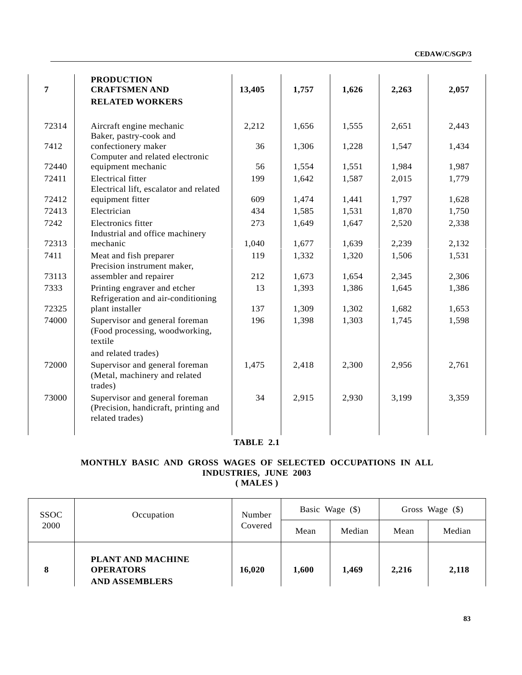| $\overline{7}$ | <b>PRODUCTION</b><br><b>CRAFTSMEN AND</b><br><b>RELATED WORKERS</b>                                | 13,405 | 1,757 | 1,626 | 2,263 | 2,057 |
|----------------|----------------------------------------------------------------------------------------------------|--------|-------|-------|-------|-------|
| 72314          | Aircraft engine mechanic<br>Baker, pastry-cook and                                                 | 2,212  | 1,656 | 1,555 | 2,651 | 2,443 |
| 7412           | confectionery maker<br>Computer and related electronic                                             | 36     | 1,306 | 1,228 | 1,547 | 1,434 |
| 72440          | equipment mechanic                                                                                 | 56     | 1,554 | 1,551 | 1,984 | 1,987 |
| 72411          | <b>Electrical fitter</b><br>Electrical lift, escalator and related                                 | 199    | 1,642 | 1,587 | 2,015 | 1,779 |
| 72412          | equipment fitter                                                                                   | 609    | 1,474 | 1,441 | 1,797 | 1,628 |
| 72413          | Electrician                                                                                        | 434    | 1,585 | 1,531 | 1,870 | 1,750 |
| 7242           | Electronics fitter<br>Industrial and office machinery                                              | 273    | 1,649 | 1,647 | 2,520 | 2,338 |
| 72313          | mechanic                                                                                           | 1,040  | 1,677 | 1,639 | 2,239 | 2,132 |
| 7411           | Meat and fish preparer<br>Precision instrument maker,                                              | 119    | 1,332 | 1,320 | 1,506 | 1,531 |
| 73113          | assembler and repairer                                                                             | 212    | 1,673 | 1,654 | 2,345 | 2,306 |
| 7333           | Printing engraver and etcher<br>Refrigeration and air-conditioning                                 | 13     | 1,393 | 1,386 | 1,645 | 1,386 |
| 72325          | plant installer                                                                                    | 137    | 1,309 | 1,302 | 1,682 | 1,653 |
| 74000          | Supervisor and general foreman<br>(Food processing, woodworking,<br>textile<br>and related trades) | 196    | 1,398 | 1,303 | 1,745 | 1,598 |
| 72000          | Supervisor and general foreman<br>(Metal, machinery and related<br>trades)                         | 1,475  | 2,418 | 2,300 | 2,956 | 2,761 |
| 73000          | Supervisor and general foreman<br>(Precision, handicraft, printing and<br>related trades)          | 34     | 2,915 | 2,930 | 3,199 | 3,359 |

| <b>SSOC</b><br>2000 | Occupation                                                     | Number<br>Covered | Basic Wage (\$) |        | Gross Wage $(\$)$ |        |
|---------------------|----------------------------------------------------------------|-------------------|-----------------|--------|-------------------|--------|
|                     |                                                                |                   | Mean            | Median | Mean              | Median |
| 8                   | PLANT AND MACHINE<br><b>OPERATORS</b><br><b>AND ASSEMBLERS</b> | 16,020            | 1,600           | 1,469  | 2,216             | 2,118  |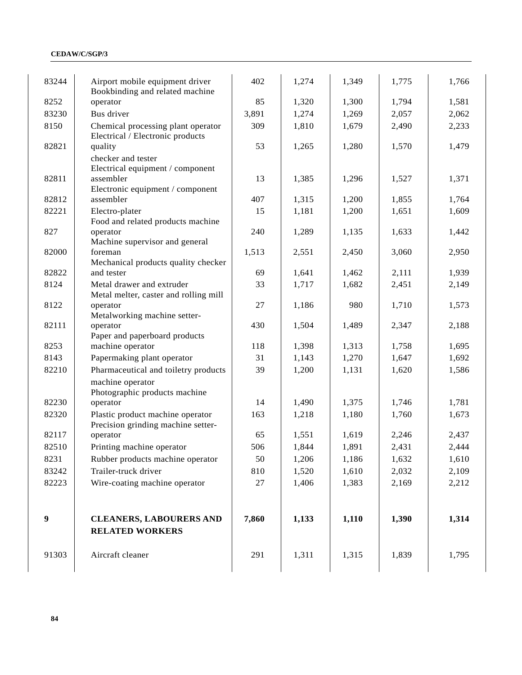| 83244 | Airport mobile equipment driver<br>Bookbinding and related machine                | 402    | 1,274 | 1,349 | 1,775 | 1,766 |
|-------|-----------------------------------------------------------------------------------|--------|-------|-------|-------|-------|
| 8252  | operator                                                                          | 85     | 1,320 | 1,300 | 1,794 | 1,581 |
| 83230 | Bus driver                                                                        | 3,891  | 1,274 | 1,269 | 2,057 | 2,062 |
| 8150  | Chemical processing plant operator<br>Electrical / Electronic products            | 309    | 1,810 | 1,679 | 2,490 | 2,233 |
| 82821 | quality<br>checker and tester                                                     | 53     | 1,265 | 1,280 | 1,570 | 1,479 |
| 82811 | Electrical equipment / component<br>assembler<br>Electronic equipment / component | 13     | 1,385 | 1,296 | 1,527 | 1,371 |
| 82812 | assembler                                                                         | 407    | 1,315 | 1,200 | 1,855 | 1,764 |
| 82221 | Electro-plater                                                                    | 15     | 1,181 | 1,200 | 1,651 | 1,609 |
|       | Food and related products machine                                                 |        |       |       |       |       |
| 827   | operator<br>Machine supervisor and general                                        | 240    | 1,289 | 1,135 | 1,633 | 1,442 |
| 82000 | foreman<br>Mechanical products quality checker                                    | 1,513  | 2,551 | 2,450 | 3,060 | 2,950 |
| 82822 | and tester                                                                        | 69     | 1,641 | 1,462 | 2,111 | 1,939 |
| 8124  | Metal drawer and extruder<br>Metal melter, caster and rolling mill                | 33     | 1,717 | 1,682 | 2,451 | 2,149 |
| 8122  | operator<br>Metalworking machine setter-                                          | $27\,$ | 1,186 | 980   | 1,710 | 1,573 |
| 82111 | operator<br>Paper and paperboard products                                         | 430    | 1,504 | 1,489 | 2,347 | 2,188 |
| 8253  | machine operator                                                                  | 118    | 1,398 | 1,313 | 1,758 | 1,695 |
| 8143  | Papermaking plant operator                                                        | 31     | 1,143 | 1,270 | 1,647 | 1,692 |
| 82210 | Pharmaceutical and toiletry products<br>machine operator                          | 39     | 1,200 | 1,131 | 1,620 | 1,586 |
| 82230 | Photographic products machine<br>operator                                         | 14     | 1,490 | 1,375 | 1,746 | 1,781 |
| 82320 | Plastic product machine operator<br>Precision grinding machine setter-            | 163    | 1,218 | 1,180 | 1,760 | 1,673 |
| 82117 | operator                                                                          | 65     | 1,551 | 1,619 | 2,246 | 2,437 |
| 82510 | Printing machine operator                                                         | 506    | 1,844 | 1,891 | 2,431 | 2,444 |
| 8231  | Rubber products machine operator                                                  | 50     | 1,206 | 1,186 | 1,632 | 1,610 |
| 83242 | Trailer-truck driver                                                              | 810    | 1,520 | 1,610 | 2,032 | 2,109 |
| 82223 | Wire-coating machine operator                                                     | $27\,$ | 1,406 | 1,383 | 2,169 | 2,212 |
|       |                                                                                   |        |       |       |       |       |
| 9     | <b>CLEANERS, LABOURERS AND</b><br><b>RELATED WORKERS</b>                          | 7,860  | 1,133 | 1,110 | 1,390 | 1,314 |
| 91303 | Aircraft cleaner                                                                  | 291    | 1,311 | 1,315 | 1,839 | 1,795 |
|       |                                                                                   |        |       |       |       |       |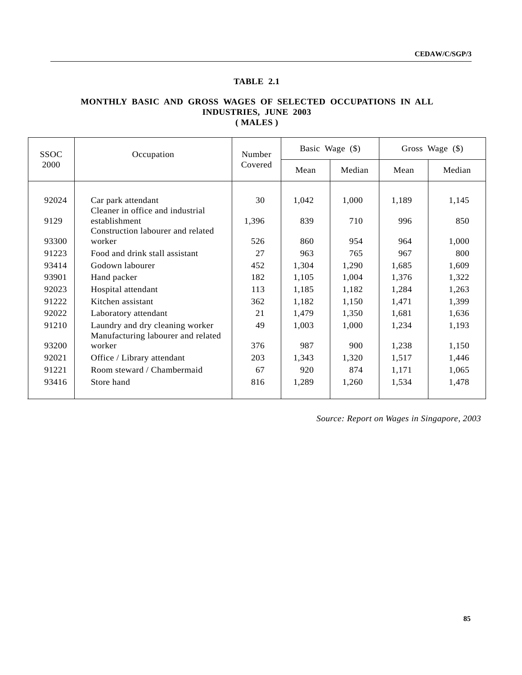### **MONTHLY BASIC AND GROSS WAGES OF SELECTED OCCUPATIONS IN ALL INDUSTRIES, JUNE 2003 ( MALES )**

| <b>SSOC</b><br>2000 | Occupation                         | Number  | Basic Wage (\$) |        | Gross Wage (\$) |        |
|---------------------|------------------------------------|---------|-----------------|--------|-----------------|--------|
|                     |                                    | Covered | Mean            | Median | Mean            | Median |
|                     |                                    |         |                 |        |                 |        |
| 92024               | Car park attendant                 | 30      | 1,042           | 1,000  | 1,189           | 1,145  |
|                     | Cleaner in office and industrial   |         |                 |        |                 |        |
| 9129                | establishment                      | 1,396   | 839             | 710    | 996             | 850    |
|                     | Construction labourer and related  |         |                 |        |                 |        |
| 93300               | worker                             | 526     | 860             | 954    | 964             | 1,000  |
| 91223               | Food and drink stall assistant     | 27      | 963             | 765    | 967             | 800    |
| 93414               | Godown labourer                    | 452     | 1,304           | 1,290  | 1,685           | 1,609  |
| 93901               | Hand packer                        | 182     | 1,105           | 1,004  | 1,376           | 1,322  |
| 92023               | Hospital attendant                 | 113     | 1,185           | 1,182  | 1,284           | 1,263  |
| 91222               | Kitchen assistant                  | 362     | 1,182           | 1,150  | 1,471           | 1,399  |
| 92022               | Laboratory attendant               | 21      | 1,479           | 1,350  | 1,681           | 1,636  |
| 91210               | Laundry and dry cleaning worker    | 49      | 1,003           | 1,000  | 1,234           | 1,193  |
|                     | Manufacturing labourer and related |         |                 |        |                 |        |
| 93200               | worker                             | 376     | 987             | 900    | 1,238           | 1,150  |
| 92021               | Office / Library attendant         | 203     | 1,343           | 1,320  | 1,517           | 1,446  |
| 91221               | Room steward / Chambermaid         | 67      | 920             | 874    | 1,171           | 1,065  |
| 93416               | Store hand                         | 816     | 1,289           | 1,260  | 1,534           | 1,478  |
|                     |                                    |         |                 |        |                 |        |

*Source: Report on Wages in Singapore, 2003*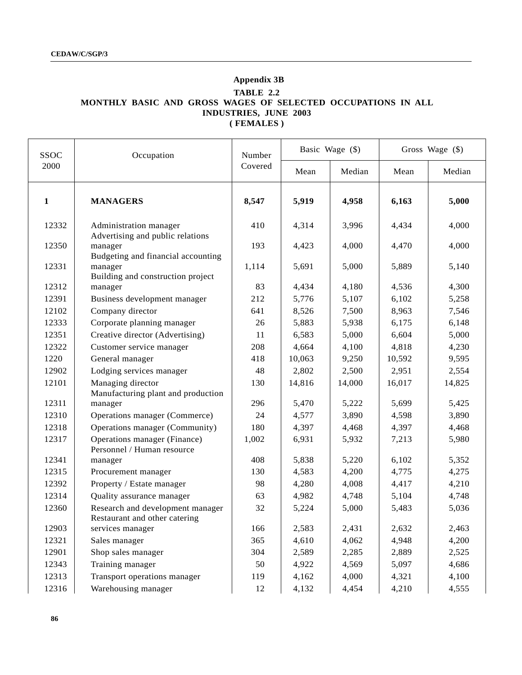| <b>SSOC</b>  | Occupation                                                        | Number  | Basic Wage (\$) |        | Gross Wage (\$) |        |
|--------------|-------------------------------------------------------------------|---------|-----------------|--------|-----------------|--------|
| 2000         |                                                                   | Covered | Mean            | Median | Mean            | Median |
| $\mathbf{1}$ | <b>MANAGERS</b>                                                   | 8,547   | 5,919           | 4,958  | 6,163           | 5,000  |
| 12332        | Administration manager<br>Advertising and public relations        | 410     | 4,314           | 3,996  | 4,434           | 4,000  |
| 12350        | manager<br>Budgeting and financial accounting                     | 193     | 4,423           | 4,000  | 4,470           | 4,000  |
| 12331        | manager<br>Building and construction project                      | 1,114   | 5,691           | 5,000  | 5,889           | 5,140  |
| 12312        | manager                                                           | 83      | 4,434           | 4,180  | 4,536           | 4,300  |
| 12391        | Business development manager                                      | 212     | 5,776           | 5,107  | 6,102           | 5,258  |
| 12102        | Company director                                                  | 641     | 8,526           | 7,500  | 8,963           | 7,546  |
| 12333        | Corporate planning manager                                        | 26      | 5,883           | 5,938  | 6,175           | 6,148  |
| 12351        | Creative director (Advertising)                                   | 11      | 6,583           | 5,000  | 6,604           | 5,000  |
| 12322        | Customer service manager                                          | 208     | 4,664           | 4,100  | 4,818           | 4,230  |
| 1220         | General manager                                                   | 418     | 10,063          | 9,250  | 10,592          | 9,595  |
| 12902        | Lodging services manager                                          | 48      | 2,802           | 2,500  | 2,951           | 2,554  |
| 12101        | Managing director<br>Manufacturing plant and production           | 130     | 14,816          | 14,000 | 16,017          | 14,825 |
| 12311        | manager                                                           | 296     | 5,470           | 5,222  | 5,699           | 5,425  |
| 12310        | Operations manager (Commerce)                                     | 24      | 4,577           | 3,890  | 4,598           | 3,890  |
| 12318        | Operations manager (Community)                                    | 180     | 4,397           | 4,468  | 4,397           | 4,468  |
| 12317        | Operations manager (Finance)<br>Personnel / Human resource        | 1,002   | 6,931           | 5,932  | 7,213           | 5,980  |
| 12341        | manager                                                           | 408     | 5,838           | 5,220  | 6,102           | 5,352  |
| 12315        | Procurement manager                                               | 130     | 4,583           | 4,200  | 4,775           | 4,275  |
| 12392        | Property / Estate manager                                         | 98      | 4,280           | 4,008  | 4,417           | 4,210  |
| 12314        | Quality assurance manager                                         | 63      | 4,982           | 4,748  | 5,104           | 4,748  |
| 12360        | Research and development manager<br>Restaurant and other catering | 32      | 5,224           | 5,000  | 5,483           | 5,036  |
| 12903        | services manager                                                  | 166     | 2,583           | 2,431  | 2,632           | 2,463  |
| 12321        | Sales manager                                                     | 365     | 4,610           | 4,062  | 4,948           | 4,200  |
| 12901        | Shop sales manager                                                | 304     | 2,589           | 2,285  | 2,889           | 2,525  |
| 12343        | Training manager                                                  | 50      | 4,922           | 4,569  | 5,097           | 4,686  |
| 12313        | Transport operations manager                                      | 119     | 4,162           | 4,000  | 4,321           | 4,100  |
| 12316        | Warehousing manager                                               | 12      | 4,132           | 4,454  | 4,210           | 4,555  |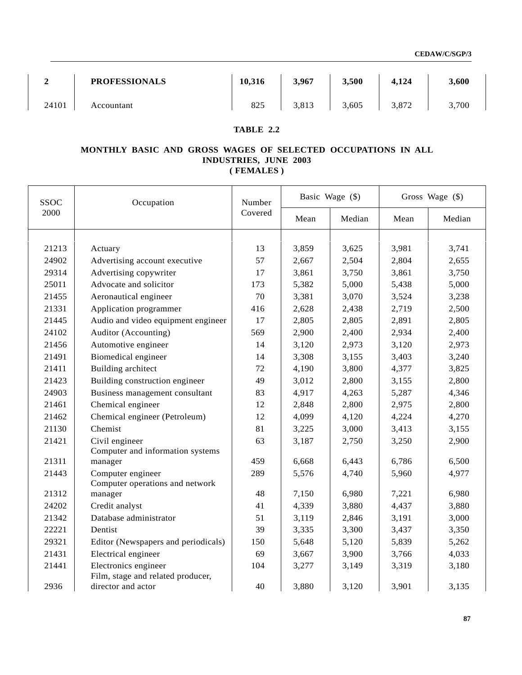|       | <b>PROFESSIONALS</b> | 10,316 | 3,967 | 3,500 | 4,124 | 3,600 |
|-------|----------------------|--------|-------|-------|-------|-------|
| 24101 | Accountant           | 825    | 3,813 | 3,605 | 3.872 | 3,700 |

| <b>SSOC</b> | Occupation                                              | Number<br>Covered | Basic Wage (\$) |        | Gross Wage (\$) |        |
|-------------|---------------------------------------------------------|-------------------|-----------------|--------|-----------------|--------|
| 2000        |                                                         |                   | Mean            | Median | Mean            | Median |
|             |                                                         |                   |                 |        |                 |        |
| 21213       | Actuary                                                 | 13                | 3,859           | 3,625  | 3,981           | 3,741  |
| 24902       | Advertising account executive                           | 57                | 2,667           | 2,504  | 2,804           | 2,655  |
| 29314       | Advertising copywriter                                  | 17                | 3,861           | 3,750  | 3,861           | 3,750  |
| 25011       | Advocate and solicitor                                  | 173               | 5,382           | 5,000  | 5,438           | 5,000  |
| 21455       | Aeronautical engineer                                   | 70                | 3,381           | 3,070  | 3,524           | 3,238  |
| 21331       | Application programmer                                  | 416               | 2,628           | 2,438  | 2,719           | 2,500  |
| 21445       | Audio and video equipment engineer                      | 17                | 2,805           | 2,805  | 2,891           | 2,805  |
| 24102       | Auditor (Accounting)                                    | 569               | 2,900           | 2,400  | 2,934           | 2,400  |
| 21456       | Automotive engineer                                     | 14                | 3,120           | 2,973  | 3,120           | 2,973  |
| 21491       | Biomedical engineer                                     | 14                | 3,308           | 3,155  | 3,403           | 3,240  |
| 21411       | <b>Building</b> architect                               | 72                | 4,190           | 3,800  | 4,377           | 3,825  |
| 21423       | Building construction engineer                          | 49                | 3,012           | 2,800  | 3,155           | 2,800  |
| 24903       | Business management consultant                          | 83                | 4,917           | 4,263  | 5,287           | 4,346  |
| 21461       | Chemical engineer                                       | 12                | 2,848           | 2,800  | 2,975           | 2,800  |
| 21462       | Chemical engineer (Petroleum)                           | 12                | 4,099           | 4,120  | 4,224           | 4,270  |
| 21130       | Chemist                                                 | 81                | 3,225           | 3,000  | 3,413           | 3,155  |
| 21421       | Civil engineer                                          | 63                | 3,187           | 2,750  | 3,250           | 2,900  |
|             | Computer and information systems                        |                   |                 |        |                 |        |
| 21311       | manager                                                 | 459               | 6,668           | 6,443  | 6,786           | 6,500  |
| 21443       | Computer engineer                                       | 289               | 5,576           | 4,740  | 5,960           | 4,977  |
|             | Computer operations and network                         |                   |                 |        |                 |        |
| 21312       | manager                                                 | 48                | 7,150           | 6,980  | 7,221           | 6,980  |
| 24202       | Credit analyst                                          | 41                | 4,339           | 3,880  | 4,437           | 3,880  |
| 21342       | Database administrator                                  | 51                | 3,119           | 2,846  | 3,191           | 3,000  |
| 22221       | Dentist                                                 | 39                | 3,335           | 3,300  | 3,437           | 3,350  |
| 29321       | Editor (Newspapers and periodicals)                     | 150               | 5,648           | 5,120  | 5,839           | 5,262  |
| 21431       | Electrical engineer                                     | 69                | 3,667           | 3,900  | 3,766           | 4,033  |
| 21441       | Electronics engineer                                    | 104               | 3,277           | 3,149  | 3,319           | 3,180  |
| 2936        | Film, stage and related producer,<br>director and actor | 40                | 3,880           | 3,120  | 3,901           | 3,135  |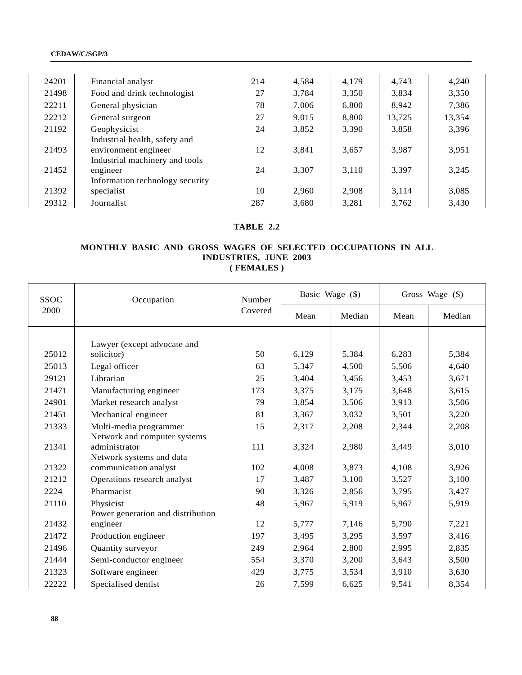| 24201 | Financial analyst               | 214 | 4,584 | 4,179 | 4,743  | 4,240  |
|-------|---------------------------------|-----|-------|-------|--------|--------|
| 21498 | Food and drink technologist     | 27  | 3,784 | 3,350 | 3,834  | 3,350  |
| 22211 | General physician               | 78  | 7,006 | 6,800 | 8,942  | 7,386  |
| 22212 | General surgeon                 | 27  | 9,015 | 8,800 | 13,725 | 13,354 |
| 21192 | Geophysicist                    | 24  | 3,852 | 3,390 | 3,858  | 3,396  |
|       | Industrial health, safety and   |     |       |       |        |        |
| 21493 | environment engineer            | 12  | 3,841 | 3,657 | 3,987  | 3,951  |
|       | Industrial machinery and tools  |     |       |       |        |        |
| 21452 | engineer                        | 24  | 3,307 | 3,110 | 3,397  | 3,245  |
|       | Information technology security |     |       |       |        |        |
| 21392 | specialist                      | 10  | 2.960 | 2,908 | 3,114  | 3,085  |
| 29312 | Journalist                      | 287 | 3.680 | 3,281 | 3,762  | 3,430  |

## **TABLE 2.2**

| <b>SSOC</b> | Occupation                        | Number  | Basic Wage (\$) |        | Gross Wage (\$) |        |
|-------------|-----------------------------------|---------|-----------------|--------|-----------------|--------|
| 2000        |                                   | Covered | Mean            | Median | Mean            | Median |
|             |                                   |         |                 |        |                 |        |
|             | Lawyer (except advocate and       |         |                 |        |                 |        |
| 25012       | solicitor)                        | 50      | 6,129           | 5,384  | 6,283           | 5,384  |
| 25013       | Legal officer                     | 63      | 5,347           | 4,500  | 5,506           | 4,640  |
| 29121       | Librarian                         | 25      | 3,404           | 3,456  | 3,453           | 3,671  |
| 21471       | Manufacturing engineer            | 173     | 3,375           | 3,175  | 3,648           | 3,615  |
| 24901       | Market research analyst           | 79      | 3,854           | 3,506  | 3,913           | 3,506  |
| 21451       | Mechanical engineer               | 81      | 3,367           | 3,032  | 3,501           | 3,220  |
| 21333       | Multi-media programmer            | 15      | 2,317           | 2,208  | 2,344           | 2,208  |
|             | Network and computer systems      |         |                 |        |                 |        |
| 21341       | administrator                     | 111     | 3,324           | 2,980  | 3,449           | 3,010  |
|             | Network systems and data          |         |                 |        |                 |        |
| 21322       | communication analyst             | 102     | 4,008           | 3,873  | 4,108           | 3,926  |
| 21212       | Operations research analyst       | 17      | 3,487           | 3,100  | 3,527           | 3,100  |
| 2224        | Pharmacist                        | 90      | 3,326           | 2,856  | 3,795           | 3,427  |
| 21110       | Physicist                         | 48      | 5,967           | 5,919  | 5,967           | 5,919  |
|             | Power generation and distribution |         |                 |        |                 |        |
| 21432       | engineer                          | 12      | 5,777           | 7,146  | 5,790           | 7,221  |
| 21472       | Production engineer               | 197     | 3,495           | 3,295  | 3,597           | 3,416  |
| 21496       | Quantity surveyor                 | 249     | 2,964           | 2,800  | 2,995           | 2,835  |
| 21444       | Semi-conductor engineer           | 554     | 3,370           | 3,200  | 3,643           | 3,500  |
| 21323       | Software engineer                 | 429     | 3,775           | 3,534  | 3,910           | 3,630  |
| 22222       | Specialised dentist               | 26      | 7,599           | 6,625  | 9,541           | 8,354  |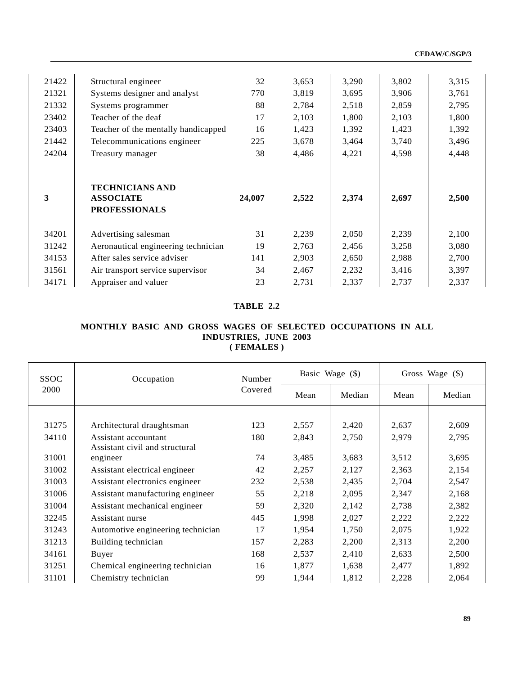| 21422 | Structural engineer                                                | 32     | 3,653 | 3,290 | 3,802 | 3,315 |
|-------|--------------------------------------------------------------------|--------|-------|-------|-------|-------|
| 21321 | Systems designer and analyst                                       | 770    | 3,819 | 3,695 | 3,906 | 3,761 |
| 21332 | Systems programmer                                                 | 88     | 2,784 | 2,518 | 2,859 | 2,795 |
| 23402 | Teacher of the deaf                                                | 17     | 2,103 | 1,800 | 2,103 | 1,800 |
| 23403 | Teacher of the mentally handicapped                                | 16     | 1,423 | 1,392 | 1,423 | 1,392 |
| 21442 | Telecommunications engineer                                        | 225    | 3,678 | 3,464 | 3,740 | 3,496 |
| 24204 | Treasury manager                                                   | 38     | 4,486 | 4,221 | 4,598 | 4,448 |
| 3     | <b>TECHNICIANS AND</b><br><b>ASSOCIATE</b><br><b>PROFESSIONALS</b> | 24,007 | 2,522 | 2,374 | 2,697 | 2,500 |
| 34201 | Advertising salesman                                               | 31     | 2,239 | 2,050 | 2,239 | 2,100 |
| 31242 | Aeronautical engineering technician                                | 19     | 2,763 | 2,456 | 3,258 | 3,080 |
| 34153 | After sales service adviser                                        | 141    | 2,903 | 2,650 | 2,988 | 2,700 |
| 31561 | Air transport service supervisor                                   | 34     | 2,467 | 2,232 | 3,416 | 3,397 |
| 34171 |                                                                    |        |       |       |       |       |

| <b>SSOC</b> | Occupation                        | Number  | Basic Wage (\$) |        | Gross Wage (\$) |        |
|-------------|-----------------------------------|---------|-----------------|--------|-----------------|--------|
| 2000        |                                   | Covered | Mean            | Median | Mean            | Median |
|             |                                   |         |                 |        |                 |        |
| 31275       | Architectural draughtsman         | 123     | 2,557           | 2,420  | 2,637           | 2,609  |
| 34110       | Assistant accountant              | 180     | 2,843           | 2,750  | 2,979           | 2,795  |
|             | Assistant civil and structural    |         |                 |        |                 |        |
| 31001       | engineer                          | 74      | 3,485           | 3,683  | 3,512           | 3,695  |
| 31002       | Assistant electrical engineer     | 42      | 2,257           | 2,127  | 2,363           | 2,154  |
| 31003       | Assistant electronics engineer    | 232     | 2,538           | 2,435  | 2,704           | 2,547  |
| 31006       | Assistant manufacturing engineer  | 55      | 2,218           | 2,095  | 2,347           | 2,168  |
| 31004       | Assistant mechanical engineer     | 59      | 2,320           | 2,142  | 2,738           | 2,382  |
| 32245       | Assistant nurse                   | 445     | 1,998           | 2,027  | 2,222           | 2,222  |
| 31243       | Automotive engineering technician | 17      | 1,954           | 1,750  | 2,075           | 1,922  |
| 31213       | Building technician               | 157     | 2,283           | 2,200  | 2,313           | 2,200  |
| 34161       | Buyer                             | 168     | 2,537           | 2,410  | 2,633           | 2,500  |
| 31251       | Chemical engineering technician   | 16      | 1,877           | 1,638  | 2,477           | 1,892  |
| 31101       | Chemistry technician              | 99      | 1,944           | 1,812  | 2,228           | 2,064  |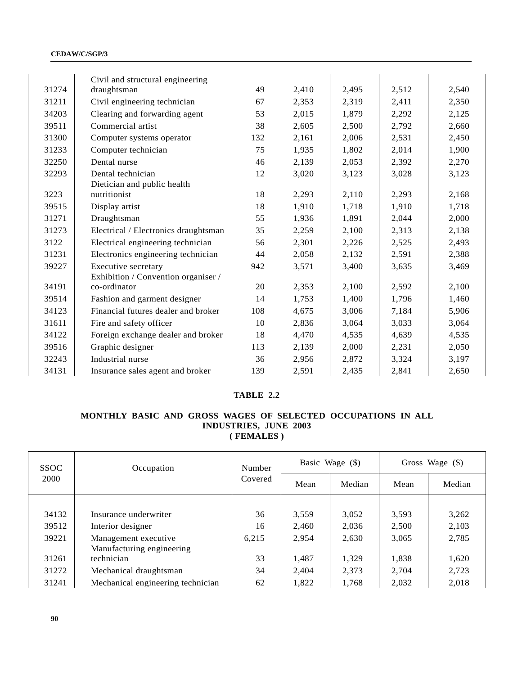|       | Civil and structural engineering     |     |       |       |       |       |
|-------|--------------------------------------|-----|-------|-------|-------|-------|
| 31274 | draughtsman                          | 49  | 2,410 | 2,495 | 2,512 | 2,540 |
| 31211 | Civil engineering technician         | 67  | 2,353 | 2,319 | 2,411 | 2,350 |
| 34203 | Clearing and forwarding agent        | 53  | 2,015 | 1,879 | 2,292 | 2,125 |
| 39511 | Commercial artist                    | 38  | 2,605 | 2,500 | 2,792 | 2,660 |
| 31300 | Computer systems operator            | 132 | 2,161 | 2,006 | 2,531 | 2,450 |
| 31233 | Computer technician                  | 75  | 1,935 | 1,802 | 2,014 | 1,900 |
| 32250 | Dental nurse                         | 46  | 2,139 | 2,053 | 2,392 | 2,270 |
| 32293 | Dental technician                    | 12  | 3,020 | 3,123 | 3,028 | 3,123 |
|       | Dietician and public health          |     |       |       |       |       |
| 3223  | nutritionist                         | 18  | 2,293 | 2,110 | 2,293 | 2,168 |
| 39515 | Display artist                       | 18  | 1,910 | 1,718 | 1,910 | 1,718 |
| 31271 | Draughtsman                          | 55  | 1,936 | 1,891 | 2,044 | 2,000 |
| 31273 | Electrical / Electronics draughtsman | 35  | 2,259 | 2,100 | 2,313 | 2,138 |
| 3122  | Electrical engineering technician    | 56  | 2,301 | 2,226 | 2,525 | 2,493 |
| 31231 | Electronics engineering technician   | 44  | 2,058 | 2,132 | 2,591 | 2,388 |
| 39227 | Executive secretary                  | 942 | 3,571 | 3,400 | 3,635 | 3,469 |
|       | Exhibition / Convention organiser /  |     |       |       |       |       |
| 34191 | co-ordinator                         | 20  | 2,353 | 2,100 | 2,592 | 2,100 |
| 39514 | Fashion and garment designer         | 14  | 1,753 | 1,400 | 1,796 | 1,460 |
| 34123 | Financial futures dealer and broker  | 108 | 4,675 | 3,006 | 7,184 | 5,906 |
| 31611 | Fire and safety officer              | 10  | 2,836 | 3,064 | 3,033 | 3,064 |
| 34122 | Foreign exchange dealer and broker   | 18  | 4,470 | 4,535 | 4,639 | 4,535 |
| 39516 | Graphic designer                     | 113 | 2,139 | 2,000 | 2,231 | 2,050 |
| 32243 | Industrial nurse                     | 36  | 2,956 | 2,872 | 3,324 | 3,197 |
| 34131 | Insurance sales agent and broker     | 139 | 2,591 | 2,435 | 2,841 | 2,650 |

# **TABLE 2.2**

| <b>SSOC</b> | Occupation                        | Number<br>Covered | Basic Wage (\$) |        | Gross Wage $(\$)$ |        |
|-------------|-----------------------------------|-------------------|-----------------|--------|-------------------|--------|
| 2000        |                                   |                   | Mean            | Median | Mean              | Median |
|             |                                   |                   |                 |        |                   |        |
| 34132       | Insurance underwriter             | 36                | 3,559           | 3,052  | 3,593             | 3,262  |
| 39512       | Interior designer                 | 16                | 2.460           | 2.036  | 2,500             | 2,103  |
| 39221       | Management executive              | 6.215             | 2.954           | 2,630  | 3,065             | 2,785  |
|             | Manufacturing engineering         |                   |                 |        |                   |        |
| 31261       | technician                        | 33                | 1.487           | 1.329  | 1.838             | 1,620  |
| 31272       | Mechanical draughtsman            | 34                | 2.404           | 2,373  | 2.704             | 2,723  |
| 31241       | Mechanical engineering technician | 62                | 1,822           | 1,768  | 2,032             | 2,018  |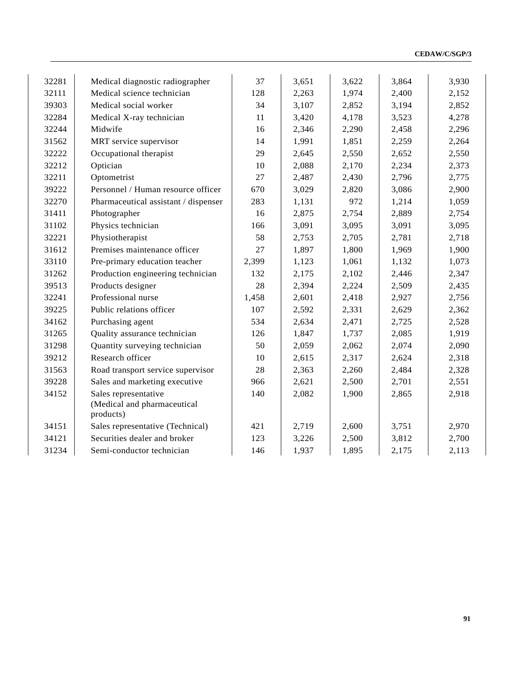| 32281 | Medical diagnostic radiographer      | 37    | 3,651 | 3,622 | 3,864 | 3,930 |
|-------|--------------------------------------|-------|-------|-------|-------|-------|
| 32111 | Medical science technician           | 128   | 2,263 | 1,974 | 2,400 | 2,152 |
| 39303 | Medical social worker                | 34    | 3,107 | 2,852 | 3,194 | 2,852 |
| 32284 | Medical X-ray technician             | 11    | 3,420 | 4,178 | 3,523 | 4,278 |
| 32244 | Midwife                              | 16    | 2,346 | 2,290 | 2,458 | 2,296 |
| 31562 | MRT service supervisor               | 14    | 1,991 | 1,851 | 2,259 | 2,264 |
| 32222 | Occupational therapist               | 29    | 2,645 | 2,550 | 2,652 | 2,550 |
| 32212 | Optician                             | 10    | 2,088 | 2,170 | 2,234 | 2,373 |
| 32211 | Optometrist                          | 27    | 2,487 | 2,430 | 2,796 | 2,775 |
| 39222 | Personnel / Human resource officer   | 670   | 3,029 | 2,820 | 3,086 | 2,900 |
| 32270 | Pharmaceutical assistant / dispenser | 283   | 1,131 | 972   | 1,214 | 1,059 |
| 31411 | Photographer                         | 16    | 2,875 | 2,754 | 2,889 | 2,754 |
| 31102 | Physics technician                   | 166   | 3,091 | 3,095 | 3,091 | 3,095 |
| 32221 | Physiotherapist                      | 58    | 2,753 | 2,705 | 2,781 | 2,718 |
| 31612 | Premises maintenance officer         | 27    | 1,897 | 1,800 | 1,969 | 1,900 |
| 33110 | Pre-primary education teacher        | 2,399 | 1,123 | 1,061 | 1,132 | 1,073 |
| 31262 | Production engineering technician    | 132   | 2,175 | 2,102 | 2,446 | 2,347 |
| 39513 | Products designer                    | 28    | 2,394 | 2,224 | 2,509 | 2,435 |
| 32241 | Professional nurse                   | 1,458 | 2,601 | 2,418 | 2,927 | 2,756 |
| 39225 | Public relations officer             | 107   | 2,592 | 2,331 | 2,629 | 2,362 |
| 34162 | Purchasing agent                     | 534   | 2,634 | 2,471 | 2,725 | 2,528 |
| 31265 | Quality assurance technician         | 126   | 1,847 | 1,737 | 2,085 | 1,919 |
| 31298 | Quantity surveying technician        | 50    | 2,059 | 2,062 | 2,074 | 2,090 |
| 39212 | Research officer                     | 10    | 2,615 | 2,317 | 2,624 | 2,318 |
| 31563 | Road transport service supervisor    | 28    | 2,363 | 2,260 | 2,484 | 2,328 |
| 39228 | Sales and marketing executive        | 966   | 2,621 | 2,500 | 2,701 | 2,551 |
| 34152 | Sales representative                 | 140   | 2,082 | 1,900 | 2,865 | 2,918 |
|       | (Medical and pharmaceutical          |       |       |       |       |       |
|       | products)                            |       |       |       |       |       |
| 34151 | Sales representative (Technical)     | 421   | 2,719 | 2,600 | 3,751 | 2,970 |
| 34121 | Securities dealer and broker         | 123   | 3,226 | 2,500 | 3,812 | 2,700 |
| 31234 | Semi-conductor technician            | 146   | 1,937 | 1,895 | 2,175 | 2,113 |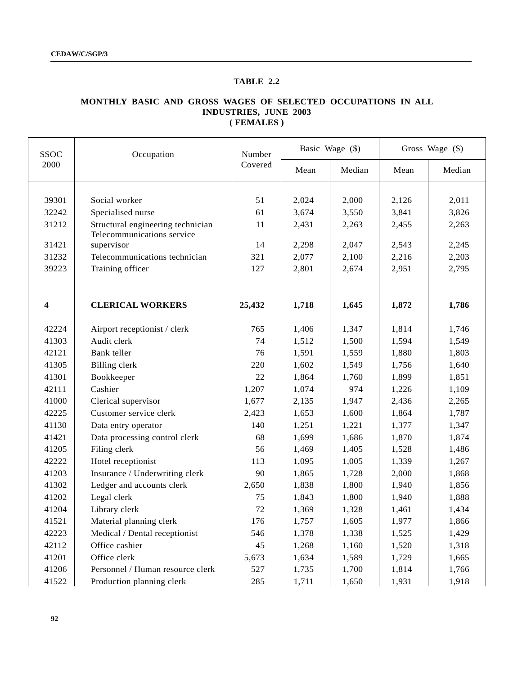| <b>SSOC</b> | Occupation                                                      | Number  | Basic Wage (\$) |        | Gross Wage (\$) |        |
|-------------|-----------------------------------------------------------------|---------|-----------------|--------|-----------------|--------|
| 2000        |                                                                 | Covered | Mean            | Median | Mean            | Median |
|             |                                                                 |         |                 |        |                 |        |
| 39301       | Social worker                                                   | 51      | 2,024           | 2,000  | 2,126           | 2,011  |
| 32242       | Specialised nurse                                               | 61      | 3,674           | 3,550  | 3,841           | 3,826  |
| 31212       | Structural engineering technician<br>Telecommunications service | 11      | 2,431           | 2,263  | 2,455           | 2,263  |
| 31421       | supervisor                                                      | 14      | 2,298           | 2,047  | 2,543           | 2,245  |
| 31232       | Telecommunications technician                                   | 321     | 2,077           | 2,100  | 2,216           | 2,203  |
| 39223       | Training officer                                                | 127     | 2,801           | 2,674  | 2,951           | 2,795  |
|             |                                                                 |         |                 |        |                 |        |
|             |                                                                 |         |                 |        |                 |        |
| 4           | <b>CLERICAL WORKERS</b>                                         | 25,432  | 1,718           | 1,645  | 1,872           | 1,786  |
|             |                                                                 |         |                 |        |                 |        |
| 42224       | Airport receptionist / clerk                                    | 765     | 1,406           | 1,347  | 1,814           | 1,746  |
| 41303       | Audit clerk                                                     | 74      | 1,512           | 1,500  | 1,594           | 1,549  |
| 42121       | Bank teller                                                     | 76      | 1,591           | 1,559  | 1,880           | 1,803  |
| 41305       | <b>Billing</b> clerk                                            | 220     | 1,602           | 1,549  | 1,756           | 1,640  |
| 41301       | Bookkeeper                                                      | 22      | 1,864           | 1,760  | 1,899           | 1,851  |
| 42111       | Cashier                                                         | 1,207   | 1,074           | 974    | 1,226           | 1,109  |
| 41000       | Clerical supervisor                                             | 1,677   | 2,135           | 1,947  | 2,436           | 2,265  |
| 42225       | Customer service clerk                                          | 2,423   | 1,653           | 1,600  | 1,864           | 1,787  |
| 41130       | Data entry operator                                             | 140     | 1,251           | 1,221  | 1,377           | 1,347  |
| 41421       | Data processing control clerk                                   | 68      | 1,699           | 1,686  | 1,870           | 1,874  |
| 41205       | Filing clerk                                                    | 56      | 1,469           | 1,405  | 1,528           | 1,486  |
| 42222       | Hotel receptionist                                              | 113     | 1,095           | 1,005  | 1,339           | 1,267  |
| 41203       | Insurance / Underwriting clerk                                  | 90      | 1,865           | 1,728  | 2,000           | 1,868  |
| 41302       | Ledger and accounts clerk                                       | 2,650   | 1,838           | 1,800  | 1,940           | 1,856  |
| 41202       | Legal clerk                                                     | 75      | 1,843           | 1,800  | 1,940           | 1,888  |
| 41204       | Library clerk                                                   | 72      | 1,369           | 1,328  | 1,461           | 1,434  |
| 41521       | Material planning clerk                                         | 176     | 1,757           | 1,605  | 1,977           | 1,866  |
| 42223       | Medical / Dental receptionist                                   | 546     | 1,378           | 1,338  | 1,525           | 1,429  |
| 42112       | Office cashier                                                  | 45      | 1,268           | 1,160  | 1,520           | 1,318  |
| 41201       | Office clerk                                                    | 5,673   | 1,634           | 1,589  | 1,729           | 1,665  |
| 41206       | Personnel / Human resource clerk                                | 527     | 1,735           | 1,700  | 1,814           | 1,766  |
| 41522       | Production planning clerk                                       | 285     | 1,711           | 1,650  | 1,931           | 1,918  |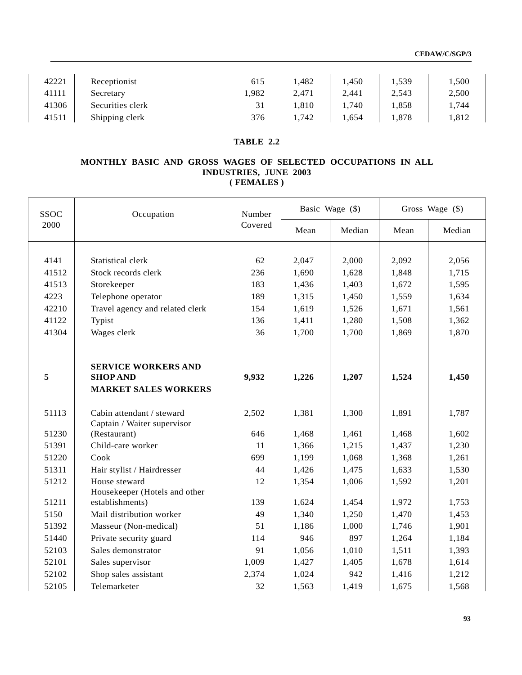| 42221 | Receptionist     | 615  | 1.482 | 1.450 | 1,539 | .500  |
|-------|------------------|------|-------|-------|-------|-------|
| 41111 | Secretary        | .982 | 2,471 | 2,441 | 2,543 | 2,500 |
| 41306 | Securities clerk | 31   | l.810 | .740  | .,858 | 744ء  |
| 41511 | Shipping clerk   | 376  | 1.742 | 654   | 1,878 | 1,812 |

| SSOC  | Occupation                                  | Number  | Basic Wage (\$) |        | Gross Wage (\$) |        |
|-------|---------------------------------------------|---------|-----------------|--------|-----------------|--------|
| 2000  |                                             | Covered | Mean            | Median | Mean            | Median |
|       |                                             |         |                 |        |                 |        |
| 4141  | Statistical clerk                           | 62      | 2,047           | 2,000  | 2,092           | 2,056  |
| 41512 | Stock records clerk                         | 236     | 1,690           | 1,628  | 1,848           | 1,715  |
| 41513 | Storekeeper                                 | 183     | 1,436           | 1,403  | 1,672           | 1,595  |
| 4223  | Telephone operator                          | 189     | 1,315           | 1,450  | 1,559           | 1,634  |
| 42210 | Travel agency and related clerk             | 154     | 1,619           | 1,526  | 1,671           | 1,561  |
| 41122 | Typist                                      | 136     | 1,411           | 1,280  | 1,508           | 1,362  |
| 41304 | Wages clerk                                 | 36      | 1,700           | 1,700  | 1,869           | 1,870  |
|       |                                             |         |                 |        |                 |        |
|       | <b>SERVICE WORKERS AND</b>                  |         |                 |        |                 |        |
| 5     | <b>SHOP AND</b>                             | 9,932   | 1,226           | 1,207  | 1,524           | 1,450  |
|       | <b>MARKET SALES WORKERS</b>                 |         |                 |        |                 |        |
|       |                                             |         |                 |        |                 |        |
| 51113 | Cabin attendant / steward                   | 2,502   | 1,381           | 1,300  | 1,891           | 1,787  |
| 51230 | Captain / Waiter supervisor<br>(Restaurant) | 646     | 1,468           | 1,461  | 1,468           | 1,602  |
| 51391 | Child-care worker                           | 11      | 1,366           | 1,215  | 1,437           | 1,230  |
| 51220 | Cook                                        | 699     | 1,199           | 1,068  | 1,368           | 1,261  |
| 51311 | Hair stylist / Hairdresser                  | 44      | 1,426           | 1,475  | 1,633           | 1,530  |
| 51212 | House steward                               | 12      | 1,354           | 1,006  | 1,592           | 1,201  |
|       | Housekeeper (Hotels and other               |         |                 |        |                 |        |
| 51211 | establishments)                             | 139     | 1,624           | 1,454  | 1,972           | 1,753  |
| 5150  | Mail distribution worker                    | 49      | 1,340           | 1,250  | 1,470           | 1,453  |
| 51392 | Masseur (Non-medical)                       | 51      | 1,186           | 1,000  | 1,746           | 1,901  |
| 51440 | Private security guard                      | 114     | 946             | 897    | 1,264           | 1,184  |
| 52103 | Sales demonstrator                          | 91      | 1,056           | 1,010  | 1,511           | 1,393  |
| 52101 | Sales supervisor                            | 1,009   | 1,427           | 1,405  | 1,678           | 1,614  |
| 52102 | Shop sales assistant                        | 2,374   | 1,024           | 942    | 1,416           | 1,212  |
| 52105 | Telemarketer                                | 32      | 1,563           | 1,419  | 1,675           | 1,568  |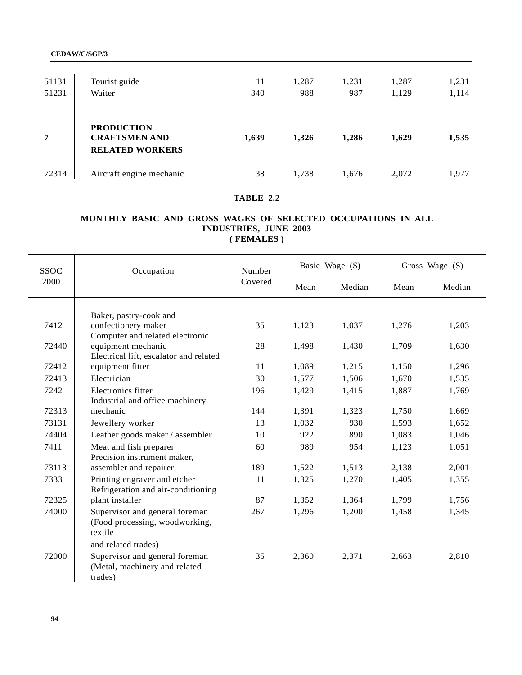| 51131<br>51231 | Tourist guide<br>Waiter                                             | 11<br>340 | 1,287<br>988 | 1,231<br>987 | 1,287<br>1,129 | 1,231<br>1,114 |
|----------------|---------------------------------------------------------------------|-----------|--------------|--------------|----------------|----------------|
| 7              | <b>PRODUCTION</b><br><b>CRAFTSMEN AND</b><br><b>RELATED WORKERS</b> | 1,639     | 1,326        | 1,286        | 1,629          | 1,535          |
| 72314          | Aircraft engine mechanic                                            | 38        | 1,738        | 1,676        | 2,072          | 1,977          |

## **TABLE 2.2**

| <b>SSOC</b> | Occupation                                                                  | Number  | Basic Wage (\$) |        | Gross Wage (\$) |        |
|-------------|-----------------------------------------------------------------------------|---------|-----------------|--------|-----------------|--------|
| 2000        |                                                                             | Covered | Mean            | Median | Mean            | Median |
|             |                                                                             |         |                 |        |                 |        |
|             | Baker, pastry-cook and                                                      |         |                 |        |                 |        |
| 7412        | confectionery maker                                                         | 35      | 1,123           | 1,037  | 1,276           | 1,203  |
| 72440       | Computer and related electronic<br>equipment mechanic                       | 28      | 1,498           | 1,430  | 1,709           | 1,630  |
|             | Electrical lift, escalator and related                                      |         |                 |        |                 |        |
| 72412       | equipment fitter                                                            | 11      | 1,089           | 1,215  | 1,150           | 1,296  |
| 72413       | Electrician                                                                 | 30      | 1,577           | 1,506  | 1,670           | 1,535  |
| 7242        | Electronics fitter                                                          | 196     | 1,429           | 1,415  | 1,887           | 1,769  |
|             | Industrial and office machinery                                             |         |                 |        |                 |        |
| 72313       | mechanic                                                                    | 144     | 1,391           | 1,323  | 1,750           | 1,669  |
| 73131       | Jewellery worker                                                            | 13      | 1,032           | 930    | 1,593           | 1,652  |
| 74404       | Leather goods maker / assembler                                             | 10      | 922             | 890    | 1,083           | 1,046  |
| 7411        | Meat and fish preparer                                                      | 60      | 989             | 954    | 1,123           | 1,051  |
|             | Precision instrument maker,                                                 |         |                 |        |                 |        |
| 73113       | assembler and repairer                                                      | 189     | 1,522           | 1,513  | 2,138           | 2,001  |
| 7333        | Printing engraver and etcher                                                | 11      | 1,325           | 1,270  | 1,405           | 1,355  |
|             | Refrigeration and air-conditioning                                          |         |                 |        |                 |        |
| 72325       | plant installer                                                             | 87      | 1,352           | 1,364  | 1,799           | 1,756  |
| 74000       | Supervisor and general foreman<br>(Food processing, woodworking,<br>textile | 267     | 1,296           | 1,200  | 1,458           | 1,345  |
|             | and related trades)                                                         |         |                 |        |                 |        |
| 72000       | Supervisor and general foreman<br>(Metal, machinery and related<br>trades)  | 35      | 2,360           | 2,371  | 2,663           | 2,810  |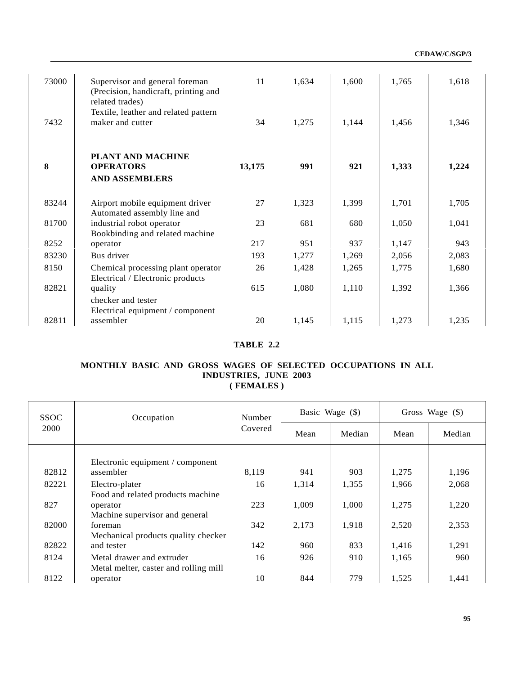| 73000 | Supervisor and general foreman<br>(Precision, handicraft, printing and      | 11     | 1,634 | 1,600 | 1,765 | 1,618 |
|-------|-----------------------------------------------------------------------------|--------|-------|-------|-------|-------|
| 7432  | related trades)<br>Textile, leather and related pattern<br>maker and cutter | 34     | 1,275 | 1,144 | 1,456 | 1,346 |
| 8     | PLANT AND MACHINE<br><b>OPERATORS</b><br><b>AND ASSEMBLERS</b>              | 13,175 | 991   | 921   | 1,333 | 1,224 |
| 83244 | Airport mobile equipment driver<br>Automated assembly line and              | 27     | 1,323 | 1,399 | 1,701 | 1,705 |
| 81700 | industrial robot operator<br>Bookbinding and related machine                | 23     | 681   | 680   | 1,050 | 1,041 |
| 8252  | operator                                                                    | 217    | 951   | 937   | 1,147 | 943   |
| 83230 | Bus driver                                                                  | 193    | 1,277 | 1,269 | 2,056 | 2,083 |
| 8150  | Chemical processing plant operator<br>Electrical / Electronic products      | 26     | 1,428 | 1,265 | 1,775 | 1,680 |
| 82821 | quality                                                                     | 615    | 1,080 | 1,110 | 1,392 | 1,366 |
| 82811 | checker and tester<br>Electrical equipment / component<br>assembler         | 20     | 1,145 | 1,115 | 1,273 | 1,235 |

| <b>SSOC</b><br>2000 | Occupation                            | Number  | Basic Wage (\$) |        | Gross Wage $(\$)$ |        |
|---------------------|---------------------------------------|---------|-----------------|--------|-------------------|--------|
|                     |                                       | Covered | Mean            | Median | Mean              | Median |
|                     | Electronic equipment / component      |         |                 |        |                   |        |
| 82812               | assembler                             | 8,119   | 941             | 903    | 1,275             | 1,196  |
| 82221               | Electro-plater                        | 16      | 1,314           | 1,355  | 1,966             | 2,068  |
|                     | Food and related products machine     |         |                 |        |                   |        |
| 827                 | operator                              | 223     | 1,009           | 1,000  | 1,275             | 1,220  |
|                     | Machine supervisor and general        |         |                 |        |                   |        |
| 82000               | foreman                               | 342     | 2,173           | 1,918  | 2,520             | 2,353  |
|                     | Mechanical products quality checker   |         |                 |        |                   |        |
| 82822               | and tester                            | 142     | 960             | 833    | 1,416             | 1,291  |
| 8124                | Metal drawer and extruder             | 16      | 926             | 910    | 1,165             | 960    |
|                     | Metal melter, caster and rolling mill |         |                 |        |                   |        |
| 8122                | operator                              | 10      | 844             | 779    | 1,525             | 1,441  |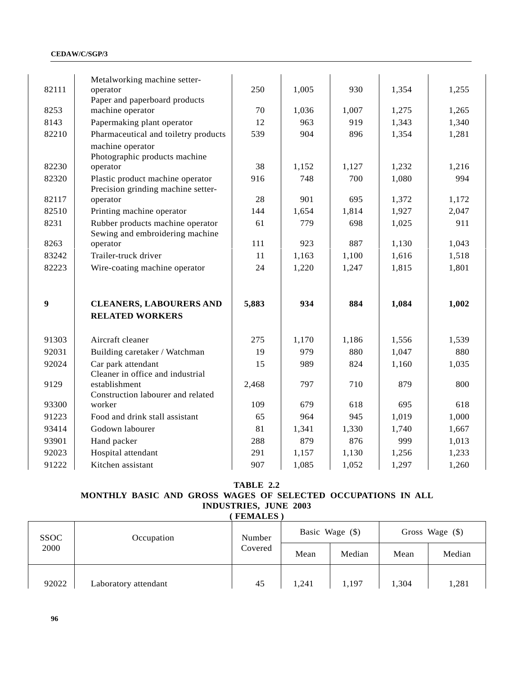|       | Metalworking machine setter-                |       |       |       |       |       |
|-------|---------------------------------------------|-------|-------|-------|-------|-------|
| 82111 | operator                                    | 250   | 1,005 | 930   | 1,354 | 1,255 |
|       | Paper and paperboard products               |       |       |       |       |       |
| 8253  | machine operator                            | 70    | 1,036 | 1,007 | 1,275 | 1,265 |
| 8143  | Papermaking plant operator                  | 12    | 963   | 919   | 1,343 | 1,340 |
| 82210 | Pharmaceutical and toiletry products        | 539   | 904   | 896   | 1,354 | 1,281 |
|       | machine operator                            |       |       |       |       |       |
|       | Photographic products machine               |       |       |       |       |       |
| 82230 | operator                                    | 38    | 1,152 | 1,127 | 1,232 | 1,216 |
| 82320 | Plastic product machine operator            | 916   | 748   | 700   | 1,080 | 994   |
|       | Precision grinding machine setter-          |       |       |       |       |       |
| 82117 | operator                                    | 28    | 901   | 695   | 1,372 | 1,172 |
| 82510 | Printing machine operator                   | 144   | 1,654 | 1,814 | 1,927 | 2,047 |
| 8231  | Rubber products machine operator            | 61    | 779   | 698   | 1,025 | 911   |
| 8263  | Sewing and embroidering machine             | 111   | 923   | 887   | 1,130 |       |
|       | operator                                    |       |       |       |       | 1,043 |
| 83242 | Trailer-truck driver                        | 11    | 1,163 | 1,100 | 1,616 | 1,518 |
| 82223 | Wire-coating machine operator               | 24    | 1,220 | 1,247 | 1,815 | 1,801 |
|       |                                             |       |       |       |       |       |
| 9     | <b>CLEANERS, LABOURERS AND</b>              | 5,883 | 934   | 884   | 1,084 | 1,002 |
|       | <b>RELATED WORKERS</b>                      |       |       |       |       |       |
|       |                                             |       |       |       |       |       |
| 91303 | Aircraft cleaner                            | 275   | 1,170 | 1,186 | 1,556 | 1,539 |
| 92031 | Building caretaker / Watchman               | 19    | 979   | 880   | 1,047 | 880   |
| 92024 | Car park attendant                          | 15    | 989   | 824   | 1,160 | 1,035 |
|       | Cleaner in office and industrial            |       |       |       |       |       |
| 9129  | establishment                               | 2,468 | 797   | 710   | 879   | 800   |
| 93300 | Construction labourer and related<br>worker | 109   | 679   | 618   | 695   | 618   |
| 91223 | Food and drink stall assistant              | 65    | 964   | 945   | 1,019 | 1,000 |
| 93414 | Godown labourer                             | 81    |       |       | 1,740 |       |
|       |                                             |       | 1,341 | 1,330 |       | 1,667 |
| 93901 | Hand packer                                 | 288   | 879   | 876   | 999   | 1,013 |
| 92023 | Hospital attendant                          | 291   | 1,157 | 1,130 | 1,256 | 1,233 |
| 91222 | Kitchen assistant                           | 907   | 1,085 | 1,052 | 1,297 | 1,260 |

**TABLE 2.2**

| <b>SSOC</b><br>2000 | Occupation           | Number<br>Covered | Basic Wage (\$) |        | Gross Wage (\$) |        |
|---------------------|----------------------|-------------------|-----------------|--------|-----------------|--------|
|                     |                      |                   | Mean            | Median | Mean            | Median |
| 92022               | Laboratory attendant | 45                | 1,241           | 1,197  | 1,304           | 1,281  |